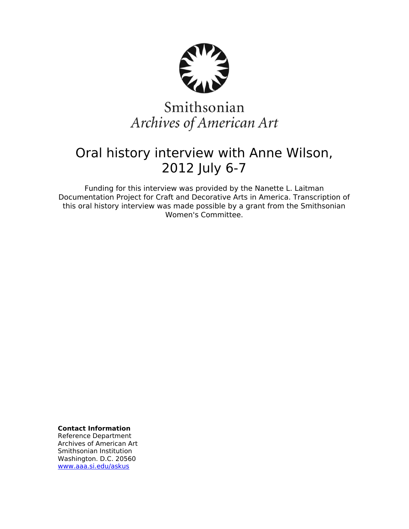

# Smithsonian Archives of American Art

# Oral history interview with Anne Wilson, 2012 July 6-7

Funding for this interview was provided by the Nanette L. Laitman Documentation Project for Craft and Decorative Arts in America. Transcription of this oral history interview was made possible by a grant from the Smithsonian Women's Committee.

**Contact Information**

Reference Department Archives of American Art Smithsonian Institution Washington. D.C. 20560 [www.aaa.si.edu/askus](http://www.aaa.si.edu/askus)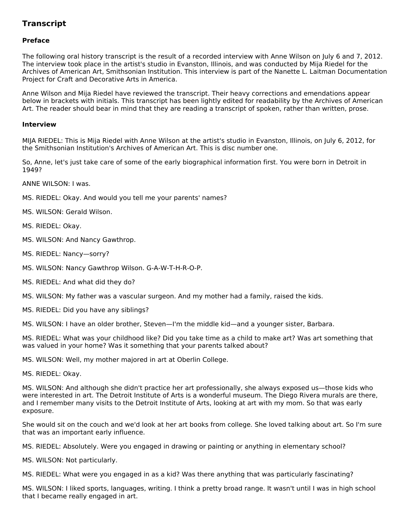## **Transcript**

### **Preface**

The following oral history transcript is the result of a recorded interview with Anne Wilson on July 6 and 7, 2012. The interview took place in the artist's studio in Evanston, Illinois, and was conducted by Mija Riedel for the Archives of American Art, Smithsonian Institution. This interview is part of the Nanette L. Laitman Documentation Project for Craft and Decorative Arts in America.

Anne Wilson and Mija Riedel have reviewed the transcript. Their heavy corrections and emendations appear below in brackets with initials. This transcript has been lightly edited for readability by the Archives of American Art. The reader should bear in mind that they are reading a transcript of spoken, rather than written, prose.

#### **Interview**

MIJA RIEDEL: This is Mija Riedel with Anne Wilson at the artist's studio in Evanston, Illinois, on July 6, 2012, for the Smithsonian Institution's Archives of American Art. This is disc number one.

So, Anne, let's just take care of some of the early biographical information first. You were born in Detroit in 1949?

ANNE WILSON: I was.

- MS. RIEDEL: Okay. And would you tell me your parents' names?
- MS. WILSON: Gerald Wilson.
- MS. RIEDEL: Okay.
- MS. WILSON: And Nancy Gawthrop.
- MS. RIEDEL: Nancy—sorry?
- MS. WILSON: Nancy Gawthrop Wilson. G-A-W-T-H-R-O-P.
- MS. RIEDEL: And what did they do?
- MS. WILSON: My father was a vascular surgeon. And my mother had a family, raised the kids.
- MS. RIEDEL: Did you have any siblings?

MS. WILSON: I have an older brother, Steven—I'm the middle kid—and a younger sister, Barbara.

MS. RIEDEL: What was your childhood like? Did you take time as a child to make art? Was art something that was valued in your home? Was it something that your parents talked about?

MS. WILSON: Well, my mother majored in art at Oberlin College.

MS. RIEDEL: Okay.

MS. WILSON: And although she didn't practice her art professionally, she always exposed us—those kids who were interested in art. The Detroit Institute of Arts is a wonderful museum. The Diego Rivera murals are there, and I remember many visits to the Detroit Institute of Arts, looking at art with my mom. So that was early exposure.

She would sit on the couch and we'd look at her art books from college. She loved talking about art. So I'm sure that was an important early influence.

MS. RIEDEL: Absolutely. Were you engaged in drawing or painting or anything in elementary school?

MS. WILSON: Not particularly.

MS. RIEDEL: What were you engaged in as a kid? Was there anything that was particularly fascinating?

MS. WILSON: I liked sports, languages, writing. I think a pretty broad range. It wasn't until I was in high school that I became really engaged in art.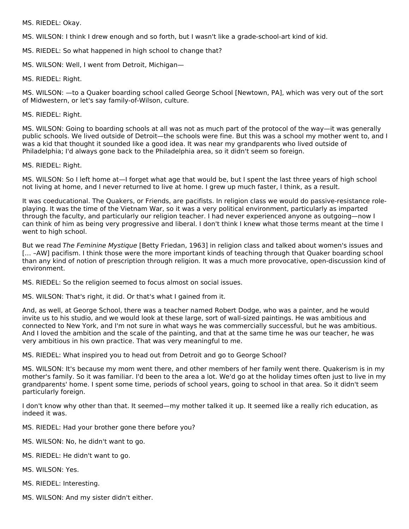MS. RIEDEL: Okay.

MS. WILSON: I think I drew enough and so forth, but I wasn't like a grade-school-art kind of kid.

MS. RIEDEL: So what happened in high school to change that?

MS. WILSON: Well, I went from Detroit, Michigan—

MS. RIEDEL: Right.

MS. WILSON: —to a Quaker boarding school called George School [Newtown, PA], which was very out of the sort of Midwestern, or let's say family-of-Wilson, culture.

MS. RIEDEL: Right.

MS. WILSON: Going to boarding schools at all was not as much part of the protocol of the way—it was generally public schools. We lived outside of Detroit—the schools were fine. But this was a school my mother went to, and I was a kid that thought it sounded like a good idea. It was near my grandparents who lived outside of Philadelphia; I'd always gone back to the Philadelphia area, so it didn't seem so foreign.

MS. RIEDEL: Right.

MS. WILSON: So I left home at—I forget what age that would be, but I spent the last three years of high school not living at home, and I never returned to live at home. I grew up much faster, I think, as a result.

It was coeducational. The Quakers, or Friends, are pacifists. In religion class we would do passive-resistance roleplaying. It was the time of the Vietnam War, so it was a very political environment, particularly as imparted through the faculty, and particularly our religion teacher. I had never experienced anyone as outgoing—now I can think of him as being very progressive and liberal. I don't think I knew what those terms meant at the time I went to high school.

But we read The Feminine Mystique [Betty Friedan, 1963] in religion class and talked about women's issues and [… –AW] pacifism. I think those were the more important kinds of teaching through that Quaker boarding school than any kind of notion of prescription through religion. It was a much more provocative, open-discussion kind of environment.

MS. RIEDEL: So the religion seemed to focus almost on social issues.

MS. WILSON: That's right, it did. Or that's what I gained from it.

And, as well, at George School, there was a teacher named Robert Dodge, who was a painter, and he would invite us to his studio, and we would look at these large, sort of wall-sized paintings. He was ambitious and connected to New York, and I'm not sure in what ways he was commercially successful, but he was ambitious. And I loved the ambition and the scale of the painting, and that at the same time he was our teacher, he was very ambitious in his own practice. That was very meaningful to me.

MS. RIEDEL: What inspired you to head out from Detroit and go to George School?

MS. WILSON: It's because my mom went there, and other members of her family went there. Quakerism is in my mother's family. So it was familiar. I'd been to the area a lot. We'd go at the holiday times often just to live in my grandparents' home. I spent some time, periods of school years, going to school in that area. So it didn't seem particularly foreign.

I don't know why other than that. It seemed—my mother talked it up. It seemed like a really rich education, as indeed it was.

MS. RIEDEL: Had your brother gone there before you?

MS. WILSON: No, he didn't want to go.

- MS. RIEDEL: He didn't want to go.
- MS. WILSON: Yes.
- MS. RIEDEL: Interesting.
- MS. WILSON: And my sister didn't either.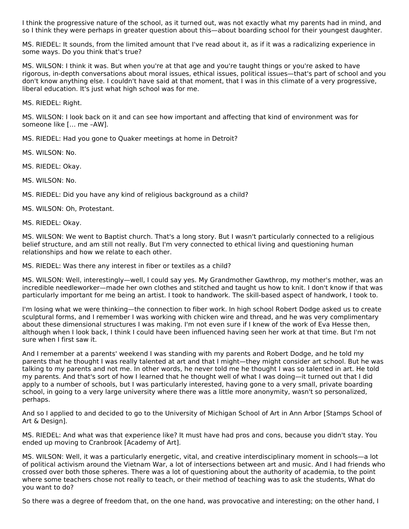I think the progressive nature of the school, as it turned out, was not exactly what my parents had in mind, and so I think they were perhaps in greater question about this—about boarding school for their youngest daughter.

MS. RIEDEL: It sounds, from the limited amount that I've read about it, as if it was a radicalizing experience in some ways. Do you think that's true?

MS. WILSON: I think it was. But when you're at that age and you're taught things or you're asked to have rigorous, in-depth conversations about moral issues, ethical issues, political issues—that's part of school and you don't know anything else. I couldn't have said at that moment, that I was in this climate of a very progressive, liberal education. It's just what high school was for me.

MS. RIEDEL: Right.

MS. WILSON: I look back on it and can see how important and affecting that kind of environment was for someone like [… me –AW].

MS. RIEDEL: Had you gone to Quaker meetings at home in Detroit?

MS. WILSON: No.

MS. RIEDEL: Okay.

MS. WILSON: No.

MS. RIEDEL: Did you have any kind of religious background as a child?

MS. WILSON: Oh, Protestant.

MS. RIEDEL: Okay.

MS. WILSON: We went to Baptist church. That's a long story. But I wasn't particularly connected to a religious belief structure, and am still not really. But I'm very connected to ethical living and questioning human relationships and how we relate to each other.

MS. RIEDEL: Was there any interest in fiber or textiles as a child?

MS. WILSON: Well, interestingly—well, I could say yes. My Grandmother Gawthrop, my mother's mother, was an incredible needleworker—made her own clothes and stitched and taught us how to knit. I don't know if that was particularly important for me being an artist. I took to handwork. The skill-based aspect of handwork, I took to.

I'm losing what we were thinking—the connection to fiber work. In high school Robert Dodge asked us to create sculptural forms, and I remember I was working with chicken wire and thread, and he was very complimentary about these dimensional structures I was making. I'm not even sure if I knew of the work of Eva Hesse then, although when I look back, I think I could have been influenced having seen her work at that time. But I'm not sure when I first saw it.

And I remember at a parents' weekend I was standing with my parents and Robert Dodge, and he told my parents that he thought I was really talented at art and that I might—they might consider art school. But he was talking to my parents and not me. In other words, he never told me he thought I was so talented in art. He told my parents. And that's sort of how I learned that he thought well of what I was doing—it turned out that I did apply to a number of schools, but I was particularly interested, having gone to a very small, private boarding school, in going to a very large university where there was a little more anonymity, wasn't so personalized, perhaps.

And so I applied to and decided to go to the University of Michigan School of Art in Ann Arbor [Stamps School of Art & Design].

MS. RIEDEL: And what was that experience like? It must have had pros and cons, because you didn't stay. You ended up moving to Cranbrook [Academy of Art].

MS. WILSON: Well, it was a particularly energetic, vital, and creative interdisciplinary moment in schools—a lot of political activism around the Vietnam War, a lot of intersections between art and music. And I had friends who crossed over both those spheres. There was a lot of questioning about the authority of academia, to the point where some teachers chose not really to teach, or their method of teaching was to ask the students, What do you want to do?

So there was a degree of freedom that, on the one hand, was provocative and interesting; on the other hand, I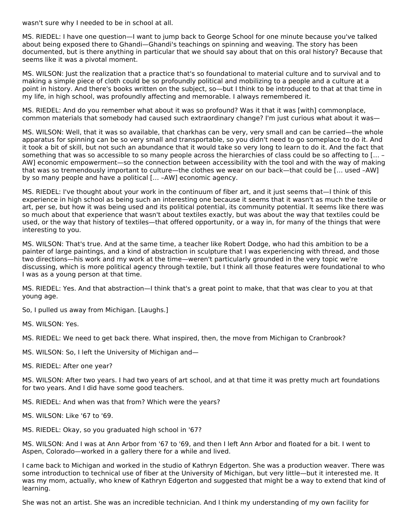wasn't sure why I needed to be in school at all.

MS. RIEDEL: I have one question—I want to jump back to George School for one minute because you've talked about being exposed there to Ghandi—Ghandi's teachings on spinning and weaving. The story has been documented, but is there anything in particular that we should say about that on this oral history? Because that seems like it was a pivotal moment.

MS. WILSON: Just the realization that a practice that's so foundational to material culture and to survival and to making a simple piece of cloth could be so profoundly political and mobilizing to a people and a culture at a point in history. And there's books written on the subject, so—but I think to be introduced to that at that time in my life, in high school, was profoundly affecting and memorable. I always remembered it.

MS. RIEDEL: And do you remember what about it was so profound? Was it that it was [with] commonplace, common materials that somebody had caused such extraordinary change? I'm just curious what about it was—

MS. WILSON: Well, that it was so available, that charkhas can be very, very small and can be carried—the whole apparatus for spinning can be so very small and transportable, so you didn't need to go someplace to do it. And it took a bit of skill, but not such an abundance that it would take so very long to learn to do it. And the fact that something that was so accessible to so many people across the hierarchies of class could be so affecting to [… – AW] economic empowerment—so the connection between accessibility with the tool and with the way of making that was so tremendously important to culture—the clothes we wear on our back—that could be [… used –AW] by so many people and have a political [… –AW] economic agency.

MS. RIEDEL: I've thought about your work in the continuum of fiber art, and it just seems that—I think of this experience in high school as being such an interesting one because it seems that it wasn't as much the textile or art, per se, but how it was being used and its political potential, its community potential. It seems like there was so much about that experience that wasn't about textiles exactly, but was about the way that textiles could be used, or the way that history of textiles—that offered opportunity, or a way in, for many of the things that were interesting to you.

MS. WILSON: That's true. And at the same time, a teacher like Robert Dodge, who had this ambition to be a painter of large paintings, and a kind of abstraction in sculpture that I was experiencing with thread, and those two directions—his work and my work at the time—weren't particularly grounded in the very topic we're discussing, which is more political agency through textile, but I think all those features were foundational to who I was as a young person at that time.

MS. RIEDEL: Yes. And that abstraction—I think that's a great point to make, that that was clear to you at that young age.

So, I pulled us away from Michigan. [Laughs.]

MS. WILSON: Yes.

MS. RIEDEL: We need to get back there. What inspired, then, the move from Michigan to Cranbrook?

- MS. WILSON: So, I left the University of Michigan and—
- MS. RIEDEL: After one year?

MS. WILSON: After two years. I had two years of art school, and at that time it was pretty much art foundations for two years. And I did have some good teachers.

- MS. RIEDEL: And when was that from? Which were the years?
- MS. WILSON: Like '67 to '69.
- MS. RIEDEL: Okay, so you graduated high school in '67?

MS. WILSON: And I was at Ann Arbor from '67 to '69, and then I left Ann Arbor and floated for a bit. I went to Aspen, Colorado—worked in a gallery there for a while and lived.

I came back to Michigan and worked in the studio of Kathryn Edgerton. She was a production weaver. There was some introduction to technical use of fiber at the University of Michigan, but very little—but it interested me. It was my mom, actually, who knew of Kathryn Edgerton and suggested that might be a way to extend that kind of learning.

She was not an artist. She was an incredible technician. And I think my understanding of my own facility for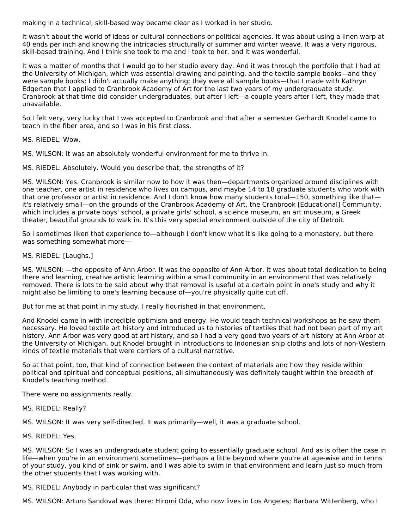making in a technical, skill-based way became clear as I worked in her studio.

It wasn't about the world of ideas or cultural connections or political agencies. It was about using a linen warp at 40 ends per inch and knowing the intricacies structurally of summer and winter weave. It was a very rigorous, skill-based training. And I think she took to me and I took to her, and it was wonderful.

It was a matter of months that I would go to her studio every day. And it was through the portfolio that I had at the University of Michigan, which was essential drawing and painting, and the textile sample books—and they were sample books; I didn't actually make anything; they were all sample books—that I made with Kathryn Edgerton that I applied to Cranbrook Academy of Art for the last two years of my undergraduate study. Cranbrook at that time did consider undergraduates, but after I left—a couple years after I left, they made that unavailable.

So I felt very, very lucky that I was accepted to Cranbrook and that after a semester Gerhardt Knodel came to teach in the fiber area, and so I was in his first class.

MS. RIEDEL: Wow.

MS. WILSON: It was an absolutely wonderful environment for me to thrive in.

MS. RIEDEL: Absolutely. Would you describe that, the strengths of it?

MS. WILSON: Yes. Cranbrook is similar now to how it was then—departments organized around disciplines with one teacher, one artist in residence who lives on campus, and maybe 14 to 18 graduate students who work with that one professor or artist in residence. And I don't know how many students total—150, something like that it's relatively small—on the grounds of the Cranbrook Academy of Art, the Cranbrook [Educational] Community, which includes a private boys' school, a private girls' school, a science museum, an art museum, a Greek theater, beautiful grounds to walk in. It's this very special environment outside of the city of Detroit.

So I sometimes liken that experience to—although I don't know what it's like going to a monastery, but there was something somewhat more—

MS. RIEDEL: [Laughs.]

MS. WILSON: —the opposite of Ann Arbor. It was the opposite of Ann Arbor. It was about total dedication to being there and learning, creative artistic learning within a small community in an environment that was relatively removed. There is lots to be said about why that removal is useful at a certain point in one's study and why it might also be limiting to one's learning because of—you're physically quite cut off.

But for me at that point in my study, I really flourished in that environment.

And Knodel came in with incredible optimism and energy. He would teach technical workshops as he saw them necessary. He loved textile art history and introduced us to histories of textiles that had not been part of my art history. Ann Arbor was very good at art history, and so I had a very good two years of art history at Ann Arbor at the University of Michigan, but Knodel brought in introductions to Indonesian ship cloths and lots of non-Western kinds of textile materials that were carriers of a cultural narrative.

So at that point, too, that kind of connection between the context of materials and how they reside within political and spiritual and conceptual positions, all simultaneously was definitely taught within the breadth of Knodel's teaching method.

There were no assignments really.

MS. RIEDEL: Really?

MS. WILSON: It was very self-directed. It was primarily—well, it was a graduate school.

MS. RIEDEL: Yes.

MS. WILSON: So I was an undergraduate student going to essentially graduate school. And as is often the case in life—when you're in an environment sometimes—perhaps a little beyond where you're at age-wise and in terms of your study, you kind of sink or swim, and I was able to swim in that environment and learn just so much from the other students that I was working with.

MS. RIEDEL: Anybody in particular that was significant?

MS. WILSON: Arturo Sandoval was there; Hiromi Oda, who now lives in Los Angeles; Barbara Wittenberg, who I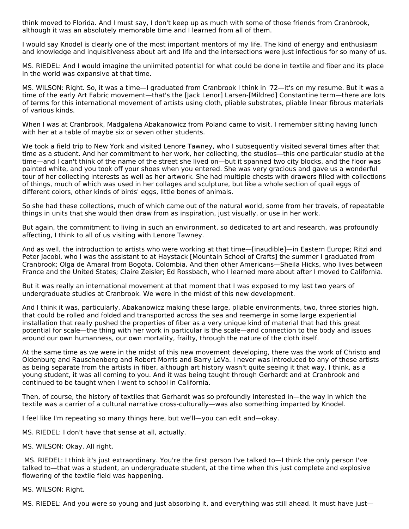think moved to Florida. And I must say, I don't keep up as much with some of those friends from Cranbrook, although it was an absolutely memorable time and I learned from all of them.

I would say Knodel is clearly one of the most important mentors of my life. The kind of energy and enthusiasm and knowledge and inquisitiveness about art and life and the intersections were just infectious for so many of us.

MS. RIEDEL: And I would imagine the unlimited potential for what could be done in textile and fiber and its place in the world was expansive at that time.

MS. WILSON: Right. So, it was a time—I graduated from Cranbrook I think in '72—it's on my resume. But it was a time of the early Art Fabric movement—that's the [Jack Lenor] Larsen-[Mildred] Constantine term—there are lots of terms for this international movement of artists using cloth, pliable substrates, pliable linear fibrous materials of various kinds.

When I was at Cranbrook, Madgalena Abakanowicz from Poland came to visit. I remember sitting having lunch with her at a table of maybe six or seven other students.

We took a field trip to New York and visited Lenore Tawney, who I subsequently visited several times after that time as a student. And her commitment to her work, her collecting, the studios—this one particular studio at the time—and I can't think of the name of the street she lived on—but it spanned two city blocks, and the floor was painted white, and you took off your shoes when you entered. She was very gracious and gave us a wonderful tour of her collecting interests as well as her artwork. She had multiple chests with drawers filled with collections of things, much of which was used in her collages and sculpture, but like a whole section of quail eggs of different colors, other kinds of birds' eggs, little bones of animals.

So she had these collections, much of which came out of the natural world, some from her travels, of repeatable things in units that she would then draw from as inspiration, just visually, or use in her work.

But again, the commitment to living in such an environment, so dedicated to art and research, was profoundly affecting, I think to all of us visiting with Lenore Tawney.

And as well, the introduction to artists who were working at that time—[inaudible]—in Eastern Europe; Ritzi and Peter Jacobi, who I was the assistant to at Haystack [Mountain School of Crafts] the summer I graduated from Cranbrook; Olga de Amaral from Bogota, Colombia. And then other Americans—Sheila Hicks, who lives between France and the United States; Claire Zeisler; Ed Rossbach, who I learned more about after I moved to California.

But it was really an international movement at that moment that I was exposed to my last two years of undergraduate studies at Cranbrook. We were in the midst of this new development.

And I think it was, particularly, Abakanowicz making these large, pliable environments, two, three stories high, that could be rolled and folded and transported across the sea and reemerge in some large experiential installation that really pushed the properties of fiber as a very unique kind of material that had this great potential for scale—the thing with her work in particular is the scale—and connection to the body and issues around our own humanness, our own mortality, frailty, through the nature of the cloth itself.

At the same time as we were in the midst of this new movement developing, there was the work of Christo and Oldenburg and Rauschenberg and Robert Morris and Barry LeVa. I never was introduced to any of these artists as being separate from the artists in fiber, although art history wasn't quite seeing it that way. I think, as a young student, it was all coming to you. And it was being taught through Gerhardt and at Cranbrook and continued to be taught when I went to school in California.

Then, of course, the history of textiles that Gerhardt was so profoundly interested in—the way in which the textile was a carrier of a cultural narrative cross-culturally—was also something imparted by Knodel.

I feel like I'm repeating so many things here, but we'll—you can edit and—okay.

MS. RIEDEL: I don't have that sense at all, actually.

MS. WILSON: Okay. All right.

MS. RIEDEL: I think it's just extraordinary. You're the first person I've talked to—I think the only person I've talked to—that was a student, an undergraduate student, at the time when this just complete and explosive flowering of the textile field was happening.

MS. WILSON: Right.

MS. RIEDEL: And you were so young and just absorbing it, and everything was still ahead. It must have just—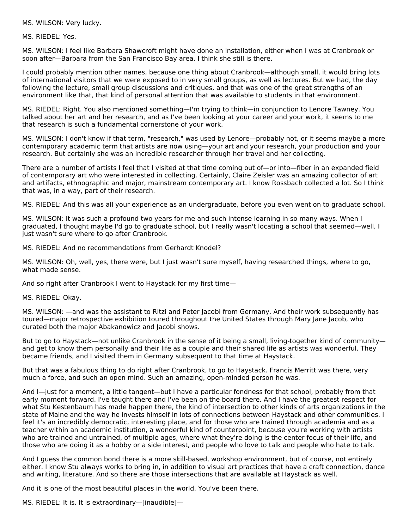MS. WILSON: Very lucky.

MS. RIEDEL: Yes.

MS. WILSON: I feel like Barbara Shawcroft might have done an installation, either when I was at Cranbrook or soon after—Barbara from the San Francisco Bay area. I think she still is there.

I could probably mention other names, because one thing about Cranbrook—although small, it would bring lots of international visitors that we were exposed to in very small groups, as well as lectures. But we had, the day following the lecture, small group discussions and critiques, and that was one of the great strengths of an environment like that, that kind of personal attention that was available to students in that environment.

MS. RIEDEL: Right. You also mentioned something—I'm trying to think—in conjunction to Lenore Tawney. You talked about her art and her research, and as I've been looking at your career and your work, it seems to me that research is such a fundamental cornerstone of your work.

MS. WILSON: I don't know if that term, "research," was used by Lenore—probably not, or it seems maybe a more contemporary academic term that artists are now using—your art and your research, your production and your research. But certainly she was an incredible researcher through her travel and her collecting.

There are a number of artists I feel that I visited at that time coming out of—or into—fiber in an expanded field of contemporary art who were interested in collecting. Certainly, Claire Zeisler was an amazing collector of art and artifacts, ethnographic and major, mainstream contemporary art. I know Rossbach collected a lot. So I think that was, in a way, part of their research.

MS. RIEDEL: And this was all your experience as an undergraduate, before you even went on to graduate school.

MS. WILSON: It was such a profound two years for me and such intense learning in so many ways. When I graduated, I thought maybe I'd go to graduate school, but I really wasn't locating a school that seemed—well, I just wasn't sure where to go after Cranbrook.

MS. RIEDEL: And no recommendations from Gerhardt Knodel?

MS. WILSON: Oh, well, yes, there were, but I just wasn't sure myself, having researched things, where to go, what made sense.

And so right after Cranbrook I went to Haystack for my first time—

MS. RIEDEL: Okay.

MS. WILSON: —and was the assistant to Ritzi and Peter Jacobi from Germany. And their work subsequently has toured—major retrospective exhibition toured throughout the United States through Mary Jane Jacob, who curated both the major Abakanowicz and Jacobi shows.

But to go to Haystack—not unlike Cranbrook in the sense of it being a small, living-together kind of community and get to know them personally and their life as a couple and their shared life as artists was wonderful. They became friends, and I visited them in Germany subsequent to that time at Haystack.

But that was a fabulous thing to do right after Cranbrook, to go to Haystack. Francis Merritt was there, very much a force, and such an open mind. Such an amazing, open-minded person he was.

And I—just for a moment, a little tangent—but I have a particular fondness for that school, probably from that early moment forward. I've taught there and I've been on the board there. And I have the greatest respect for what Stu Kestenbaum has made happen there, the kind of intersection to other kinds of arts organizations in the state of Maine and the way he invests himself in lots of connections between Haystack and other communities. I feel it's an incredibly democratic, interesting place, and for those who are trained through academia and as a teacher within an academic institution, a wonderful kind of counterpoint, because you're working with artists who are trained and untrained, of multiple ages, where what they're doing is the center focus of their life, and those who are doing it as a hobby or a side interest, and people who love to talk and people who hate to talk.

And I guess the common bond there is a more skill-based, workshop environment, but of course, not entirely either. I know Stu always works to bring in, in addition to visual art practices that have a craft connection, dance and writing, literature. And so there are those intersections that are available at Haystack as well.

And it is one of the most beautiful places in the world. You've been there.

MS. RIEDEL: It is. It is extraordinary—[inaudible]—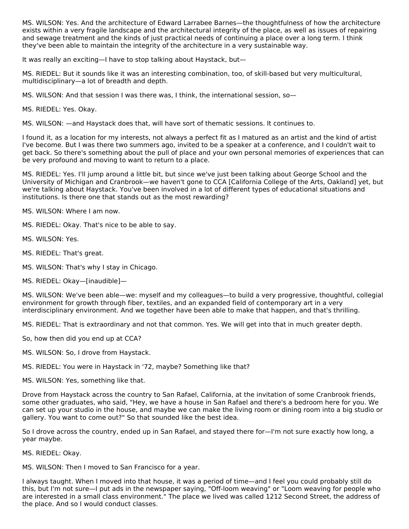MS. WILSON: Yes. And the architecture of Edward Larrabee Barnes—the thoughtfulness of how the architecture exists within a very fragile landscape and the architectural integrity of the place, as well as issues of repairing and sewage treatment and the kinds of just practical needs of continuing a place over a long term. I think they've been able to maintain the integrity of the architecture in a very sustainable way.

It was really an exciting—I have to stop talking about Haystack, but—

MS. RIEDEL: But it sounds like it was an interesting combination, too, of skill-based but very multicultural, multidisciplinary—a lot of breadth and depth.

MS. WILSON: And that session I was there was, I think, the international session, so—

MS. RIEDEL: Yes. Okay.

MS. WILSON: —and Haystack does that, will have sort of thematic sessions. It continues to.

I found it, as a location for my interests, not always a perfect fit as I matured as an artist and the kind of artist I've become. But I was there two summers ago, invited to be a speaker at a conference, and I couldn't wait to get back. So there's something about the pull of place and your own personal memories of experiences that can be very profound and moving to want to return to a place.

MS. RIEDEL: Yes. I'll jump around a little bit, but since we've just been talking about George School and the University of Michigan and Cranbrook—we haven't gone to CCA [California College of the Arts, Oakland] yet, but we're talking about Haystack. You've been involved in a lot of different types of educational situations and institutions. Is there one that stands out as the most rewarding?

MS. WILSON: Where I am now.

MS. RIEDEL: Okay. That's nice to be able to say.

MS. WILSON: Yes.

MS. RIEDEL: That's great.

MS. WILSON: That's why I stay in Chicago.

MS. RIEDEL: Okay—[inaudible]—

MS. WILSON: We've been able—we: myself and my colleagues—to build a very progressive, thoughtful, collegial environment for growth through fiber, textiles, and an expanded field of contemporary art in a very interdisciplinary environment. And we together have been able to make that happen, and that's thrilling.

MS. RIEDEL: That is extraordinary and not that common. Yes. We will get into that in much greater depth.

So, how then did you end up at CCA?

MS. WILSON: So, I drove from Haystack.

MS. RIEDEL: You were in Haystack in '72, maybe? Something like that?

MS. WILSON: Yes, something like that.

Drove from Haystack across the country to San Rafael, California, at the invitation of some Cranbrook friends, some other graduates, who said, "Hey, we have a house in San Rafael and there's a bedroom here for you. We can set up your studio in the house, and maybe we can make the living room or dining room into a big studio or gallery. You want to come out?" So that sounded like the best idea.

So I drove across the country, ended up in San Rafael, and stayed there for—I'm not sure exactly how long, a year maybe.

MS. RIEDEL: Okay.

MS. WILSON: Then I moved to San Francisco for a year.

I always taught. When I moved into that house, it was a period of time—and I feel you could probably still do this, but I'm not sure—I put ads in the newspaper saying, "Off-loom weaving" or "Loom weaving for people who are interested in a small class environment." The place we lived was called 1212 Second Street, the address of the place. And so I would conduct classes.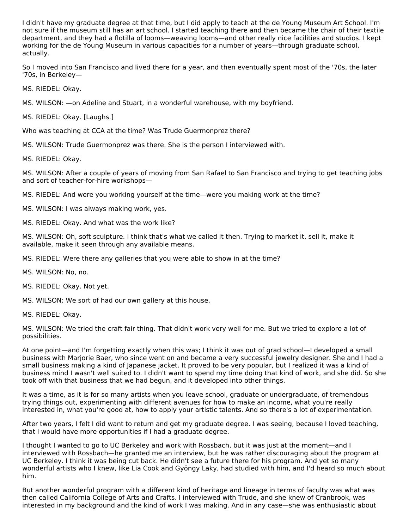I didn't have my graduate degree at that time, but I did apply to teach at the de Young Museum Art School. I'm not sure if the museum still has an art school. I started teaching there and then became the chair of their textile department, and they had a flotilla of looms—weaving looms—and other really nice facilities and studios. I kept working for the de Young Museum in various capacities for a number of years—through graduate school, actually.

So I moved into San Francisco and lived there for a year, and then eventually spent most of the '70s, the later '70s, in Berkeley—

MS. RIEDEL: Okay.

MS. WILSON: —on Adeline and Stuart, in a wonderful warehouse, with my boyfriend.

MS. RIEDEL: Okay. [Laughs.]

Who was teaching at CCA at the time? Was Trude Guermonprez there?

MS. WILSON: Trude Guermonprez was there. She is the person I interviewed with.

MS. RIEDEL: Okay.

MS. WILSON: After a couple of years of moving from San Rafael to San Francisco and trying to get teaching jobs and sort of teacher-for-hire workshops—

MS. RIEDEL: And were you working yourself at the time—were you making work at the time?

MS. WILSON: I was always making work, yes.

MS. RIEDEL: Okay. And what was the work like?

MS. WILSON: Oh, soft sculpture. I think that's what we called it then. Trying to market it, sell it, make it available, make it seen through any available means.

MS. RIEDEL: Were there any galleries that you were able to show in at the time?

MS. WILSON: No, no.

MS. RIEDEL: Okay. Not yet.

MS. WILSON: We sort of had our own gallery at this house.

MS. RIEDEL: Okay.

MS. WILSON: We tried the craft fair thing. That didn't work very well for me. But we tried to explore a lot of possibilities.

At one point—and I'm forgetting exactly when this was; I think it was out of grad school—I developed a small business with Marjorie Baer, who since went on and became a very successful jewelry designer. She and I had a small business making a kind of Japanese jacket. It proved to be very popular, but I realized it was a kind of business mind I wasn't well suited to. I didn't want to spend my time doing that kind of work, and she did. So she took off with that business that we had begun, and it developed into other things.

It was a time, as it is for so many artists when you leave school, graduate or undergraduate, of tremendous trying things out, experimenting with different avenues for how to make an income, what you're really interested in, what you're good at, how to apply your artistic talents. And so there's a lot of experimentation.

After two years, I felt I did want to return and get my graduate degree. I was seeing, because I loved teaching, that I would have more opportunities if I had a graduate degree.

I thought I wanted to go to UC Berkeley and work with Rossbach, but it was just at the moment—and I interviewed with Rossbach—he granted me an interview, but he was rather discouraging about the program at UC Berkeley. I think it was being cut back. He didn't see a future there for his program. And yet so many wonderful artists who I knew, like Lia Cook and Gyöngy Laky, had studied with him, and I'd heard so much about him.

But another wonderful program with a different kind of heritage and lineage in terms of faculty was what was then called California College of Arts and Crafts. I interviewed with Trude, and she knew of Cranbrook, was interested in my background and the kind of work I was making. And in any case—she was enthusiastic about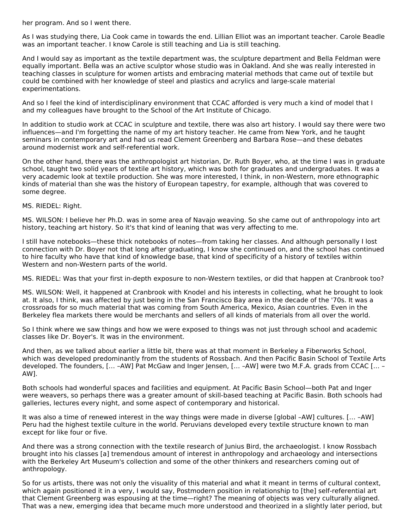her program. And so I went there.

As I was studying there, Lia Cook came in towards the end. Lillian Elliot was an important teacher. Carole Beadle was an important teacher. I know Carole is still teaching and Lia is still teaching.

And I would say as important as the textile department was, the sculpture department and Bella Feldman were equally important. Bella was an active sculptor whose studio was in Oakland. And she was really interested in teaching classes in sculpture for women artists and embracing material methods that came out of textile but could be combined with her knowledge of steel and plastics and acrylics and large-scale material experimentations.

And so I feel the kind of interdisciplinary environment that CCAC afforded is very much a kind of model that I and my colleagues have brought to the School of the Art Institute of Chicago.

In addition to studio work at CCAC in sculpture and textile, there was also art history. I would say there were two influences—and I'm forgetting the name of my art history teacher. He came from New York, and he taught seminars in contemporary art and had us read Clement Greenberg and Barbara Rose—and these debates around modernist work and self-referential work.

On the other hand, there was the anthropologist art historian, Dr. Ruth Boyer, who, at the time I was in graduate school, taught two solid years of textile art history, which was both for graduates and undergraduates. It was a very academic look at textile production. She was more interested, I think, in non-Western, more ethnographic kinds of material than she was the history of European tapestry, for example, although that was covered to some degree.

MS. RIEDEL: Right.

MS. WILSON: I believe her Ph.D. was in some area of Navajo weaving. So she came out of anthropology into art history, teaching art history. So it's that kind of leaning that was very affecting to me.

I still have notebooks—these thick notebooks of notes—from taking her classes. And although personally I lost connection with Dr. Boyer not that long after graduating, I know she continued on, and the school has continued to hire faculty who have that kind of knowledge base, that kind of specificity of a history of textiles within Western and non-Western parts of the world.

MS. RIEDEL: Was that your first in-depth exposure to non-Western textiles, or did that happen at Cranbrook too?

MS. WILSON: Well, it happened at Cranbrook with Knodel and his interests in collecting, what he brought to look at. It also, I think, was affected by just being in the San Francisco Bay area in the decade of the '70s. It was a crossroads for so much material that was coming from South America, Mexico, Asian countries. Even in the Berkeley flea markets there would be merchants and sellers of all kinds of materials from all over the world.

So I think where we saw things and how we were exposed to things was not just through school and academic classes like Dr. Boyer's. It was in the environment.

And then, as we talked about earlier a little bit, there was at that moment in Berkeley a Fiberworks School, which was developed predominantly from the students of Rossbach. And then Pacific Basin School of Textile Arts developed. The founders, [… –AW] Pat McGaw and Inger Jensen, [… –AW] were two M.F.A. grads from CCAC [… – AW].

Both schools had wonderful spaces and facilities and equipment. At Pacific Basin School—both Pat and Inger were weavers, so perhaps there was a greater amount of skill-based teaching at Pacific Basin. Both schools had galleries, lectures every night, and some aspect of contemporary and historical.

It was also a time of renewed interest in the way things were made in diverse [global –AW] cultures. [… –AW] Peru had the highest textile culture in the world. Peruvians developed every textile structure known to man except for like four or five.

And there was a strong connection with the textile research of Junius Bird, the archaeologist. I know Rossbach brought into his classes [a] tremendous amount of interest in anthropology and archaeology and intersections with the Berkeley Art Museum's collection and some of the other thinkers and researchers coming out of anthropology.

So for us artists, there was not only the visuality of this material and what it meant in terms of cultural context, which again positioned it in a very, I would say, Postmodern position in relationship to [the] self-referential art that Clement Greenberg was espousing at the time—right? The meaning of objects was very culturally aligned. That was a new, emerging idea that became much more understood and theorized in a slightly later period, but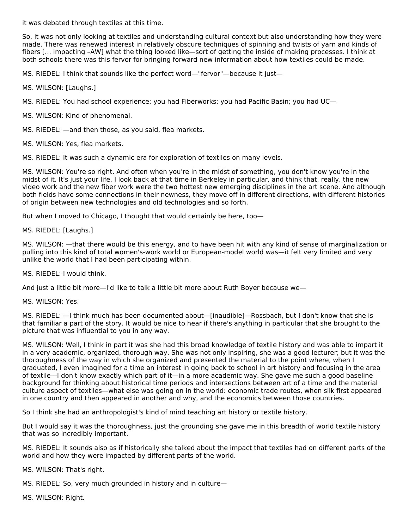it was debated through textiles at this time.

So, it was not only looking at textiles and understanding cultural context but also understanding how they were made. There was renewed interest in relatively obscure techniques of spinning and twists of yarn and kinds of fibers [… impacting –AW] what the thing looked like—sort of getting the inside of making processes. I think at both schools there was this fervor for bringing forward new information about how textiles could be made.

MS. RIEDEL: I think that sounds like the perfect word—"fervor"—because it just—

MS. WILSON: [Laughs.]

MS. RIEDEL: You had school experience; you had Fiberworks; you had Pacific Basin; you had UC—

MS. WILSON: Kind of phenomenal.

MS. RIEDEL: —and then those, as you said, flea markets.

MS. WILSON: Yes, flea markets.

MS. RIEDEL: It was such a dynamic era for exploration of textiles on many levels.

MS. WILSON: You're so right. And often when you're in the midst of something, you don't know you're in the midst of it. It's just your life. I look back at that time in Berkeley in particular, and think that, really, the new video work and the new fiber work were the two hottest new emerging disciplines in the art scene. And although both fields have some connections in their newness, they move off in different directions, with different histories of origin between new technologies and old technologies and so forth.

But when I moved to Chicago, I thought that would certainly be here, too—

MS. RIEDEL: [Laughs.]

MS. WILSON: —that there would be this energy, and to have been hit with any kind of sense of marginalization or pulling into this kind of total women's-work world or European-model world was—it felt very limited and very unlike the world that I had been participating within.

MS. RIEDEL: I would think.

And just a little bit more—I'd like to talk a little bit more about Ruth Boyer because we—

MS. WILSON: Yes.

MS. RIEDEL: —I think much has been documented about—[inaudible]—Rossbach, but I don't know that she is that familiar a part of the story. It would be nice to hear if there's anything in particular that she brought to the picture that was influential to you in any way.

MS. WILSON: Well, I think in part it was she had this broad knowledge of textile history and was able to impart it in a very academic, organized, thorough way. She was not only inspiring, she was a good lecturer; but it was the thoroughness of the way in which she organized and presented the material to the point where, when I graduated, I even imagined for a time an interest in going back to school in art history and focusing in the area of textile—I don't know exactly which part of it—in a more academic way. She gave me such a good baseline background for thinking about historical time periods and intersections between art of a time and the material culture aspect of textiles—what else was going on in the world: economic trade routes, when silk first appeared in one country and then appeared in another and why, and the economics between those countries.

So I think she had an anthropologist's kind of mind teaching art history or textile history.

But I would say it was the thoroughness, just the grounding she gave me in this breadth of world textile history that was so incredibly important.

MS. RIEDEL: It sounds also as if historically she talked about the impact that textiles had on different parts of the world and how they were impacted by different parts of the world.

MS. WILSON: That's right.

MS. RIEDEL: So, very much grounded in history and in culture—

MS. WILSON: Right.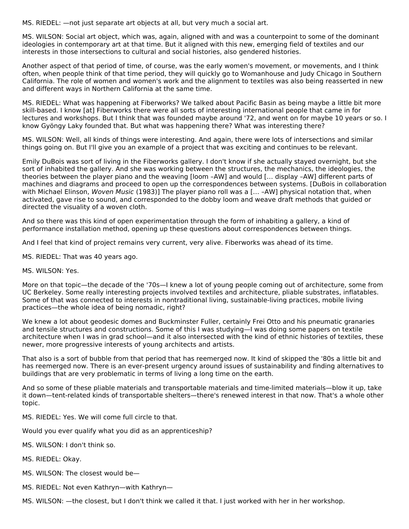MS. RIEDEL: —not just separate art objects at all, but very much a social art.

MS. WILSON: Social art object, which was, again, aligned with and was a counterpoint to some of the dominant ideologies in contemporary art at that time. But it aligned with this new, emerging field of textiles and our interests in those intersections to cultural and social histories, also gendered histories.

Another aspect of that period of time, of course, was the early women's movement, or movements, and I think often, when people think of that time period, they will quickly go to Womanhouse and Judy Chicago in Southern California. The role of women and women's work and the alignment to textiles was also being reasserted in new and different ways in Northern California at the same time.

MS. RIEDEL: What was happening at Fiberworks? We talked about Pacific Basin as being maybe a little bit more skill-based. I know [at] Fiberworks there were all sorts of interesting international people that came in for lectures and workshops. But I think that was founded maybe around '72, and went on for maybe 10 years or so. I know Gyöngy Laky founded that. But what was happening there? What was interesting there?

MS. WILSON: Well, all kinds of things were interesting. And again, there were lots of intersections and similar things going on. But I'll give you an example of a project that was exciting and continues to be relevant.

Emily DuBois was sort of living in the Fiberworks gallery. I don't know if she actually stayed overnight, but she sort of inhabited the gallery. And she was working between the structures, the mechanics, the ideologies, the theories between the player piano and the weaving [loom –AW] and would [… display –AW] different parts of machines and diagrams and proceed to open up the correspondences between systems. [DuBois in collaboration with Michael Elinson, Woven Music (1983)] The player piano roll was a [... -AW] physical notation that, when activated, gave rise to sound, and corresponded to the dobby loom and weave draft methods that guided or directed the visuality of a woven cloth.

And so there was this kind of open experimentation through the form of inhabiting a gallery, a kind of performance installation method, opening up these questions about correspondences between things.

And I feel that kind of project remains very current, very alive. Fiberworks was ahead of its time.

MS. RIEDEL: That was 40 years ago.

MS. WILSON: Yes.

More on that topic—the decade of the '70s—I knew a lot of young people coming out of architecture, some from UC Berkeley. Some really interesting projects involved textiles and architecture, pliable substrates, inflatables. Some of that was connected to interests in nontraditional living, sustainable-living practices, mobile living practices—the whole idea of being nomadic, right?

We knew a lot about geodesic domes and Buckminster Fuller, certainly Frei Otto and his pneumatic granaries and tensile structures and constructions. Some of this I was studying—I was doing some papers on textile architecture when I was in grad school—and it also intersected with the kind of ethnic histories of textiles, these newer, more progressive interests of young architects and artists.

That also is a sort of bubble from that period that has reemerged now. It kind of skipped the '80s a little bit and has reemerged now. There is an ever-present urgency around issues of sustainability and finding alternatives to buildings that are very problematic in terms of living a long time on the earth.

And so some of these pliable materials and transportable materials and time-limited materials—blow it up, take it down—tent-related kinds of transportable shelters—there's renewed interest in that now. That's a whole other topic.

MS. RIEDEL: Yes. We will come full circle to that.

Would you ever qualify what you did as an apprenticeship?

MS. WILSON: I don't think so.

MS. RIEDEL: Okay.

MS. WILSON: The closest would be—

MS. RIEDEL: Not even Kathryn—with Kathryn—

MS. WILSON: —the closest, but I don't think we called it that. I just worked with her in her workshop.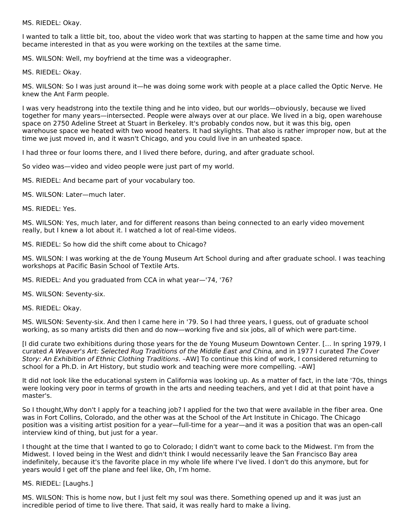MS. RIEDEL: Okay.

I wanted to talk a little bit, too, about the video work that was starting to happen at the same time and how you became interested in that as you were working on the textiles at the same time.

MS. WILSON: Well, my boyfriend at the time was a videographer.

MS. RIEDEL: Okay.

MS. WILSON: So I was just around it—he was doing some work with people at a place called the Optic Nerve. He knew the Ant Farm people.

I was very headstrong into the textile thing and he into video, but our worlds—obviously, because we lived together for many years—intersected. People were always over at our place. We lived in a big, open warehouse space on 2750 Adeline Street at Stuart in Berkeley. It's probably condos now, but it was this big, open warehouse space we heated with two wood heaters. It had skylights. That also is rather improper now, but at the time we just moved in, and it wasn't Chicago, and you could live in an unheated space.

I had three or four looms there, and I lived there before, during, and after graduate school.

So video was—video and video people were just part of my world.

MS. RIEDEL: And became part of your vocabulary too.

MS. WILSON: Later—much later.

MS. RIEDEL: Yes.

MS. WILSON: Yes, much later, and for different reasons than being connected to an early video movement really, but I knew a lot about it. I watched a lot of real-time videos.

MS. RIEDEL: So how did the shift come about to Chicago?

MS. WILSON: I was working at the de Young Museum Art School during and after graduate school. I was teaching workshops at Pacific Basin School of Textile Arts.

MS. RIEDEL: And you graduated from CCA in what year—'74, '76?

MS. WILSON: Seventy-six.

MS. RIEDEL: Okay.

MS. WILSON: Seventy-six. And then I came here in '79. So I had three years, I guess, out of graduate school working, as so many artists did then and do now—working five and six jobs, all of which were part-time.

[I did curate two exhibitions during those years for the de Young Museum Downtown Center. [… In spring 1979, I curated A Weaver's Art: Selected Rug Traditions of the Middle East and China, and in 1977 I curated The Cover Story: An Exhibition of Ethnic Clothing Traditions. –AW] To continue this kind of work, I considered returning to school for a Ph.D. in Art History, but studio work and teaching were more compelling. –AW]

It did not look like the educational system in California was looking up. As a matter of fact, in the late '70s, things were looking very poor in terms of growth in the arts and needing teachers, and yet I did at that point have a master's.

So I thought,Why don't I apply for a teaching job? I applied for the two that were available in the fiber area. One was in Fort Collins, Colorado, and the other was at the School of the Art Institute in Chicago. The Chicago position was a visiting artist position for a year—full-time for a year—and it was a position that was an open-call interview kind of thing, but just for a year.

I thought at the time that I wanted to go to Colorado; I didn't want to come back to the Midwest. I'm from the Midwest. I loved being in the West and didn't think I would necessarily leave the San Francisco Bay area indefinitely, because it's the favorite place in my whole life where I've lived. I don't do this anymore, but for years would I get off the plane and feel like, Oh, I'm home.

MS. RIEDEL: [Laughs.]

MS. WILSON: This is home now, but I just felt my soul was there. Something opened up and it was just an incredible period of time to live there. That said, it was really hard to make a living.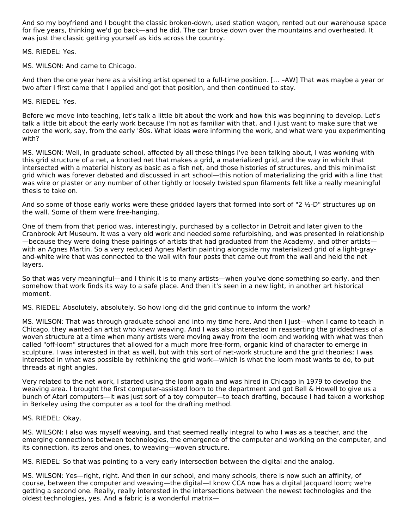And so my boyfriend and I bought the classic broken-down, used station wagon, rented out our warehouse space for five years, thinking we'd go back—and he did. The car broke down over the mountains and overheated. It was just the classic getting yourself as kids across the country.

MS. RIEDEL: Yes.

MS. WILSON: And came to Chicago.

And then the one year here as a visiting artist opened to a full-time position. [… –AW] That was maybe a year or two after I first came that I applied and got that position, and then continued to stay.

MS. RIEDEL: Yes.

Before we move into teaching, let's talk a little bit about the work and how this was beginning to develop. Let's talk a little bit about the early work because I'm not as familiar with that, and I just want to make sure that we cover the work, say, from the early '80s. What ideas were informing the work, and what were you experimenting with?

MS. WILSON: Well, in graduate school, affected by all these things I've been talking about, I was working with this grid structure of a net, a knotted net that makes a grid, a materialized grid, and the way in which that intersected with a material history as basic as a fish net, and those histories of structures, and this minimalist grid which was forever debated and discussed in art school—this notion of materializing the grid with a line that was wire or plaster or any number of other tightly or loosely twisted spun filaments felt like a really meaningful thesis to take on.

And so some of those early works were these gridded layers that formed into sort of "2 ½-D" structures up on the wall. Some of them were free-hanging.

One of them from that period was, interestingly, purchased by a collector in Detroit and later given to the Cranbrook Art Museum. It was a very old work and needed some refurbishing, and was presented in relationship —because they were doing these pairings of artists that had graduated from the Academy, and other artists with an Agnes Martin. So a very reduced Agnes Martin painting alongside my materialized grid of a light-grayand-white wire that was connected to the wall with four posts that came out from the wall and held the net layers.

So that was very meaningful—and I think it is to many artists—when you've done something so early, and then somehow that work finds its way to a safe place. And then it's seen in a new light, in another art historical moment.

MS. RIEDEL: Absolutely, absolutely. So how long did the grid continue to inform the work?

MS. WILSON: That was through graduate school and into my time here. And then I just—when I came to teach in Chicago, they wanted an artist who knew weaving. And I was also interested in reasserting the griddedness of a woven structure at a time when many artists were moving away from the loom and working with what was then called "off-loom" structures that allowed for a much more free-form, organic kind of character to emerge in sculpture. I was interested in that as well, but with this sort of net-work structure and the grid theories; I was interested in what was possible by rethinking the grid work—which is what the loom most wants to do, to put threads at right angles.

Very related to the net work, I started using the loom again and was hired in Chicago in 1979 to develop the weaving area. I brought the first computer-assisted loom to the department and got Bell & Howell to give us a bunch of Atari computers—it was just sort of a toy computer—to teach drafting, because I had taken a workshop in Berkeley using the computer as a tool for the drafting method.

#### MS. RIEDEL: Okay.

MS. WILSON: I also was myself weaving, and that seemed really integral to who I was as a teacher, and the emerging connections between technologies, the emergence of the computer and working on the computer, and its connection, its zeros and ones, to weaving—woven structure.

MS. RIEDEL: So that was pointing to a very early intersection between the digital and the analog.

MS. WILSON: Yes—right, right. And then in our school, and many schools, there is now such an affinity, of course, between the computer and weaving—the digital—I know CCA now has a digital Jacquard loom; we're getting a second one. Really, really interested in the intersections between the newest technologies and the oldest technologies, yes. And a fabric is a wonderful matrix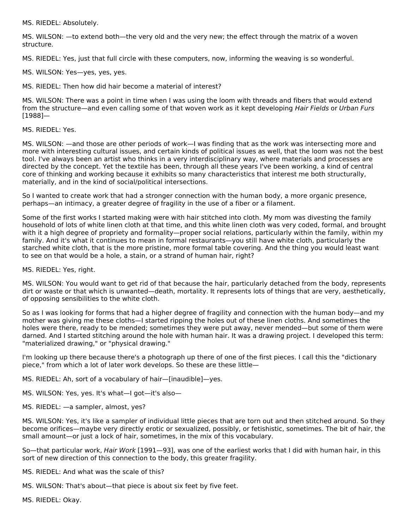MS. RIEDEL: Absolutely.

MS. WILSON: —to extend both—the very old and the very new; the effect through the matrix of a woven structure.

MS. RIEDEL: Yes, just that full circle with these computers, now, informing the weaving is so wonderful.

MS. WILSON: Yes—yes, yes, yes.

MS. RIEDEL: Then how did hair become a material of interest?

MS. WILSON: There was a point in time when I was using the loom with threads and fibers that would extend from the structure—and even calling some of that woven work as it kept developing Hair Fields or Urban Furs [1988]—

#### MS. RIEDEL: Yes.

MS. WILSON: —and those are other periods of work—I was finding that as the work was intersecting more and more with interesting cultural issues, and certain kinds of political issues as well, that the loom was not the best tool. I've always been an artist who thinks in a very interdisciplinary way, where materials and processes are directed by the concept. Yet the textile has been, through all these years I've been working, a kind of central core of thinking and working because it exhibits so many characteristics that interest me both structurally, materially, and in the kind of social/political intersections.

So I wanted to create work that had a stronger connection with the human body, a more organic presence, perhaps—an intimacy, a greater degree of fragility in the use of a fiber or a filament.

Some of the first works I started making were with hair stitched into cloth. My mom was divesting the family household of lots of white linen cloth at that time, and this white linen cloth was very coded, formal, and brought with it a high degree of propriety and formality—proper social relations, particularly within the family, within my family. And it's what it continues to mean in formal restaurants—you still have white cloth, particularly the starched white cloth, that is the more pristine, more formal table covering. And the thing you would least want to see on that would be a hole, a stain, or a strand of human hair, right?

MS. RIEDEL: Yes, right.

MS. WILSON: You would want to get rid of that because the hair, particularly detached from the body, represents dirt or waste or that which is unwanted—death, mortality. It represents lots of things that are very, aesthetically, of opposing sensibilities to the white cloth.

So as I was looking for forms that had a higher degree of fragility and connection with the human body—and my mother was giving me these cloths—I started ripping the holes out of these linen cloths. And sometimes the holes were there, ready to be mended; sometimes they were put away, never mended—but some of them were darned. And I started stitching around the hole with human hair. It was a drawing project. I developed this term: "materialized drawing," or "physical drawing."

I'm looking up there because there's a photograph up there of one of the first pieces. I call this the "dictionary piece," from which a lot of later work develops. So these are these little—

MS. RIEDEL: Ah, sort of a vocabulary of hair—[inaudible]—yes.

MS. WILSON: Yes, yes. It's what—I got—it's also—

MS. RIEDEL: —a sampler, almost, yes?

MS. WILSON: Yes, it's like a sampler of individual little pieces that are torn out and then stitched around. So they become orifices—maybe very directly erotic or sexualized, possibly, or fetishistic, sometimes. The bit of hair, the small amount—or just a lock of hair, sometimes, in the mix of this vocabulary.

So—that particular work, Hair Work [1991—93], was one of the earliest works that I did with human hair, in this sort of new direction of this connection to the body, this greater fragility.

MS. RIEDEL: And what was the scale of this?

MS. WILSON: That's about—that piece is about six feet by five feet.

MS. RIEDEL: Okay.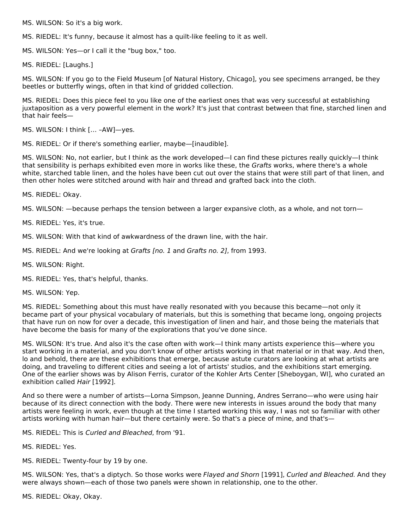MS. WILSON: So it's a big work.

MS. RIEDEL: It's funny, because it almost has a quilt-like feeling to it as well.

MS. WILSON: Yes—or I call it the "bug box," too.

MS. RIEDEL: [Laughs.]

MS. WILSON: If you go to the Field Museum [of Natural History, Chicago], you see specimens arranged, be they beetles or butterfly wings, often in that kind of gridded collection.

MS. RIEDEL: Does this piece feel to you like one of the earliest ones that was very successful at establishing juxtaposition as a very powerful element in the work? It's just that contrast between that fine, starched linen and that hair feels—

MS. WILSON: I think [… –AW]—yes.

MS. RIEDEL: Or if there's something earlier, maybe—[inaudible].

MS. WILSON: No, not earlier, but I think as the work developed—I can find these pictures really quickly—I think that sensibility is perhaps exhibited even more in works like these, the Grafts works, where there's a whole white, starched table linen, and the holes have been cut out over the stains that were still part of that linen, and then other holes were stitched around with hair and thread and grafted back into the cloth.

MS. RIEDEL: Okay.

MS. WILSON: —because perhaps the tension between a larger expansive cloth, as a whole, and not torn—

MS. RIEDEL: Yes, it's true.

MS. WILSON: With that kind of awkwardness of the drawn line, with the hair.

- MS. RIEDEL: And we're looking at Grafts [no. 1 and Grafts no. 2], from 1993.
- MS. WILSON: Right.
- MS. RIEDEL: Yes, that's helpful, thanks.

MS. WILSON: Yep.

MS. RIEDEL: Something about this must have really resonated with you because this became—not only it became part of your physical vocabulary of materials, but this is something that became long, ongoing projects that have run on now for over a decade, this investigation of linen and hair, and those being the materials that have become the basis for many of the explorations that you've done since.

MS. WILSON: It's true. And also it's the case often with work—I think many artists experience this—where you start working in a material, and you don't know of other artists working in that material or in that way. And then, lo and behold, there are these exhibitions that emerge, because astute curators are looking at what artists are doing, and traveling to different cities and seeing a lot of artists' studios, and the exhibitions start emerging. One of the earlier shows was by Alison Ferris, curator of the Kohler Arts Center [Sheboygan, WI], who curated an exhibition called Hair [1992].

And so there were a number of artists—Lorna Simpson, Jeanne Dunning, Andres Serrano—who were using hair because of its direct connection with the body. There were new interests in issues around the body that many artists were feeling in work, even though at the time I started working this way, I was not so familiar with other artists working with human hair—but there certainly were. So that's a piece of mine, and that's—

MS. RIEDEL: This is Curled and Bleached, from '91.

MS. RIEDEL: Yes.

MS. RIEDEL: Twenty-four by 19 by one.

MS. WILSON: Yes, that's a diptych. So those works were Flayed and Shorn [1991], Curled and Bleached. And they were always shown—each of those two panels were shown in relationship, one to the other.

MS. RIEDEL: Okay, Okay.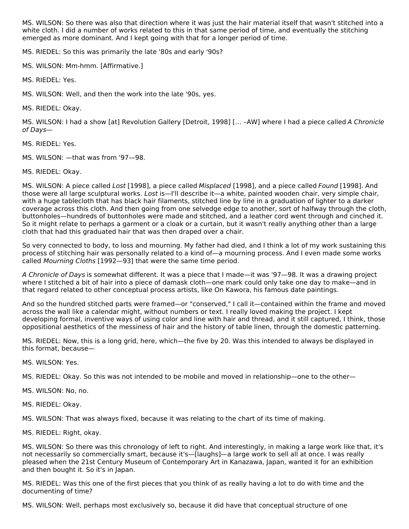MS. WILSON: So there was also that direction where it was just the hair material itself that wasn't stitched into a white cloth. I did a number of works related to this in that same period of time, and eventually the stitching emerged as more dominant. And I kept going with that for a longer period of time.

MS. RIEDEL: So this was primarily the late '80s and early '90s?

MS. WILSON: Mm-hmm. [Affirmative.]

MS. RIEDEL: Yes.

MS. WILSON: Well, and then the work into the late '90s, yes.

MS. RIEDEL: Okay.

MS. WILSON: I had a show [at] Revolution Gallery [Detroit, 1998] [… –AW] where I had a piece called A Chronicle of Days—

MS. RIEDEL: Yes.

MS. WILSON: —that was from '97—98.

MS. RIEDEL: Okay.

MS. WILSON: A piece called Lost [1998], a piece called Misplaced [1998], and a piece called Found [1998]. And those were all large sculptural works. Lost is—I'll describe it—a white, painted wooden chair, very simple chair, with a huge tablecloth that has black hair filaments, stitched line by line in a graduation of lighter to a darker coverage across this cloth. And then going from one selvedge edge to another, sort of halfway through the cloth, buttonholes—hundreds of buttonholes were made and stitched, and a leather cord went through and cinched it. So it might relate to perhaps a garment or a cloak or a curtain, but it wasn't really anything other than a large cloth that had this graduated hair that was then draped over a chair.

So very connected to body, to loss and mourning. My father had died, and I think a lot of my work sustaining this process of stitching hair was personally related to a kind of—a mourning process. And I even made some works called Mourning Cloths [1992—93] that were the same time period.

A Chronicle of Days is somewhat different. It was a piece that I made—it was '97—98. It was a drawing project where I stitched a bit of hair into a piece of damask cloth—one mark could only take one day to make—and in that regard related to other conceptual process artists, like On Kawora, his famous date paintings.

And so the hundred stitched parts were framed—or "conserved," I call it—contained within the frame and moved across the wall like a calendar might, without numbers or text. I really loved making the project. I kept developing formal, inventive ways of using color and line with hair and thread, and it still captured, I think, those oppositional aesthetics of the messiness of hair and the history of table linen, through the domestic patterning.

MS. RIEDEL: Now, this is a long grid, here, which—the five by 20. Was this intended to always be displayed in this format, because—

MS. WILSON: Yes.

MS. RIEDEL: Okay. So this was not intended to be mobile and moved in relationship—one to the other—

- MS. WILSON: No, no.
- MS. RIEDEL: Okay.

MS. WILSON: That was always fixed, because it was relating to the chart of its time of making.

MS. RIEDEL: Right, okay.

MS. WILSON: So there was this chronology of left to right. And interestingly, in making a large work like that, it's not necessarily so commercially smart, because it's—[laughs]—a large work to sell all at once. I was really pleased when the 21st Century Museum of Contemporary Art in Kanazawa, Japan, wanted it for an exhibition and then bought it. So it's in Japan.

MS. RIEDEL: Was this one of the first pieces that you think of as really having a lot to do with time and the documenting of time?

MS. WILSON: Well, perhaps most exclusively so, because it did have that conceptual structure of one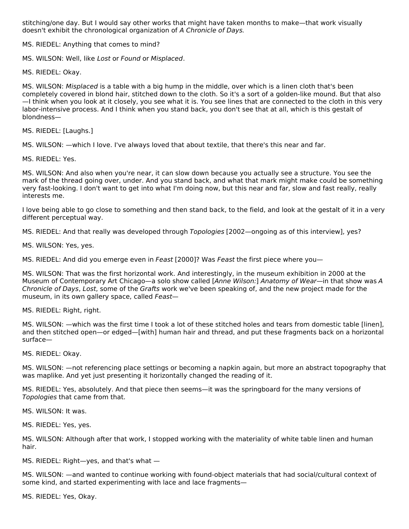stitching/one day. But I would say other works that might have taken months to make—that work visually doesn't exhibit the chronological organization of A Chronicle of Days.

MS. RIEDEL: Anything that comes to mind?

MS. WILSON: Well, like Lost or Found or Misplaced.

MS. RIEDEL: Okay.

MS. WILSON: Misplaced is a table with a big hump in the middle, over which is a linen cloth that's been completely covered in blond hair, stitched down to the cloth. So it's a sort of a golden-like mound. But that also —I think when you look at it closely, you see what it is. You see lines that are connected to the cloth in this very labor-intensive process. And I think when you stand back, you don't see that at all, which is this gestalt of blondness—

MS. RIEDEL: [Laughs.]

MS. WILSON: —which I love. I've always loved that about textile, that there's this near and far.

MS. RIEDEL: Yes.

MS. WILSON: And also when you're near, it can slow down because you actually see a structure. You see the mark of the thread going over, under. And you stand back, and what that mark might make could be something very fast-looking. I don't want to get into what I'm doing now, but this near and far, slow and fast really, really interests me.

I love being able to go close to something and then stand back, to the field, and look at the gestalt of it in a very different perceptual way.

MS. RIEDEL: And that really was developed through Topologies [2002—ongoing as of this interview], yes?

MS. WILSON: Yes, yes.

MS. RIEDEL: And did you emerge even in Feast [2000]? Was Feast the first piece where you-

MS. WILSON: That was the first horizontal work. And interestingly, in the museum exhibition in 2000 at the Museum of Contemporary Art Chicago—a solo show called [Anne Wilson:] Anatomy of Wear—in that show was A Chronicle of Days, Lost, some of the Grafts work we've been speaking of, and the new project made for the museum, in its own gallery space, called Feast—

MS. RIEDEL: Right, right.

MS. WILSON: —which was the first time I took a lot of these stitched holes and tears from domestic table [linen], and then stitched open—or edged—[with] human hair and thread, and put these fragments back on a horizontal surface—

MS. RIEDEL: Okay.

MS. WILSON: —not referencing place settings or becoming a napkin again, but more an abstract topography that was maplike. And yet just presenting it horizontally changed the reading of it.

MS. RIEDEL: Yes, absolutely. And that piece then seems—it was the springboard for the many versions of Topologies that came from that.

MS. WILSON: It was.

MS. RIEDEL: Yes, yes.

MS. WILSON: Although after that work, I stopped working with the materiality of white table linen and human hair.

MS. RIEDEL: Right—yes, and that's what —

MS. WILSON: —and wanted to continue working with found-object materials that had social/cultural context of some kind, and started experimenting with lace and lace fragments—

MS. RIEDEL: Yes, Okay.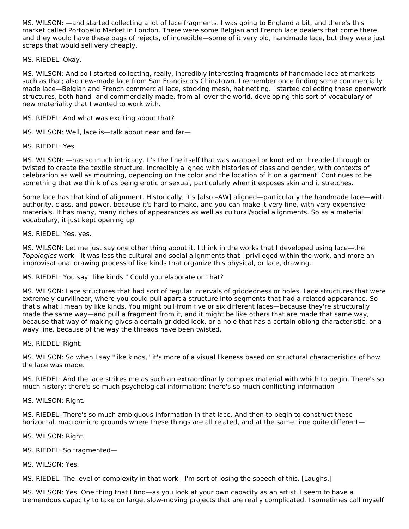MS. WILSON: —and started collecting a lot of lace fragments. I was going to England a bit, and there's this market called Portobello Market in London. There were some Belgian and French lace dealers that come there, and they would have these bags of rejects, of incredible—some of it very old, handmade lace, but they were just scraps that would sell very cheaply.

MS. RIEDEL: Okay.

MS. WILSON: And so I started collecting, really, incredibly interesting fragments of handmade lace at markets such as that; also new-made lace from San Francisco's Chinatown. I remember once finding some commercially made lace—Belgian and French commercial lace, stocking mesh, hat netting. I started collecting these openwork structures, both hand- and commercially made, from all over the world, developing this sort of vocabulary of new materiality that I wanted to work with.

MS. RIEDEL: And what was exciting about that?

MS. WILSON: Well, lace is—talk about near and far—

MS. RIEDEL: Yes.

MS. WILSON: —has so much intricacy. It's the line itself that was wrapped or knotted or threaded through or twisted to create the textile structure. Incredibly aligned with histories of class and gender, with contexts of celebration as well as mourning, depending on the color and the location of it on a garment. Continues to be something that we think of as being erotic or sexual, particularly when it exposes skin and it stretches.

Some lace has that kind of alignment. Historically, it's [also –AW] aligned—particularly the handmade lace—with authority, class, and power, because it's hard to make, and you can make it very fine, with very expensive materials. It has many, many riches of appearances as well as cultural/social alignments. So as a material vocabulary, it just kept opening up.

MS. RIEDEL: Yes, yes.

MS. WILSON: Let me just say one other thing about it. I think in the works that I developed using lace—the Topologies work—it was less the cultural and social alignments that I privileged within the work, and more an improvisational drawing process of like kinds that organize this physical, or lace, drawing.

MS. RIEDEL: You say "like kinds." Could you elaborate on that?

MS. WILSON: Lace structures that had sort of regular intervals of griddedness or holes. Lace structures that were extremely curvilinear, where you could pull apart a structure into segments that had a related appearance. So that's what I mean by like kinds. You might pull from five or six different laces—because they're structurally made the same way—and pull a fragment from it, and it might be like others that are made that same way, because that way of making gives a certain gridded look, or a hole that has a certain oblong characteristic, or a wavy line, because of the way the threads have been twisted.

MS. RIEDEL: Right.

MS. WILSON: So when I say "like kinds," it's more of a visual likeness based on structural characteristics of how the lace was made.

MS. RIEDEL: And the lace strikes me as such an extraordinarily complex material with which to begin. There's so much history; there's so much psychological information; there's so much conflicting information—

MS. WILSON: Right.

MS. RIEDEL: There's so much ambiguous information in that lace. And then to begin to construct these horizontal, macro/micro grounds where these things are all related, and at the same time quite different—

MS. WILSON: Right.

MS. RIEDEL: So fragmented—

MS. WILSON: Yes.

MS. RIEDEL: The level of complexity in that work—I'm sort of losing the speech of this. [Laughs.]

MS. WILSON: Yes. One thing that I find—as you look at your own capacity as an artist, I seem to have a tremendous capacity to take on large, slow-moving projects that are really complicated. I sometimes call myself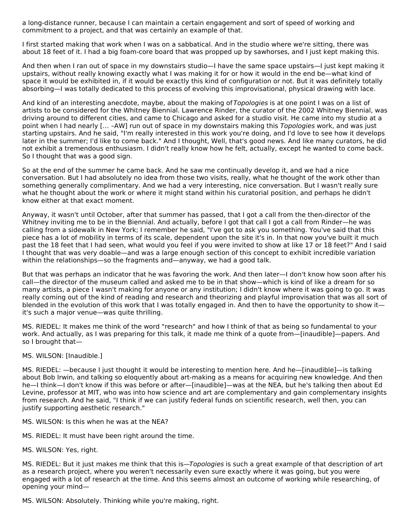a long-distance runner, because I can maintain a certain engagement and sort of speed of working and commitment to a project, and that was certainly an example of that.

I first started making that work when I was on a sabbatical. And in the studio where we're sitting, there was about 18 feet of it. I had a big foam-core board that was propped up by sawhorses, and I just kept making this.

And then when I ran out of space in my downstairs studio—I have the same space upstairs—I just kept making it upstairs, without really knowing exactly what I was making it for or how it would in the end be—what kind of space it would be exhibited in, if it would be exactly this kind of configuration or not. But it was definitely totally absorbing—I was totally dedicated to this process of evolving this improvisational, physical drawing with lace.

And kind of an interesting anecdote, maybe, about the making of Topologies is at one point I was on a list of artists to be considered for the Whitney Biennial. Lawrence Rinder, the curator of the 2002 Whitney Biennial, was driving around to different cities, and came to Chicago and asked for a studio visit. He came into my studio at a point when I had nearly [... -AW] run out of space in my downstairs making this Topologies work, and was just starting upstairs. And he said, "I'm really interested in this work you're doing, and I'd love to see how it develops later in the summer; I'd like to come back." And I thought, Well, that's good news. And like many curators, he did not exhibit a tremendous enthusiasm. I didn't really know how he felt, actually, except he wanted to come back. So I thought that was a good sign.

So at the end of the summer he came back. And he saw me continually develop it, and we had a nice conversation. But I had absolutely no idea from those two visits, really, what he thought of the work other than something generally complimentary. And we had a very interesting, nice conversation. But I wasn't really sure what he thought about the work or where it might stand within his curatorial position, and perhaps he didn't know either at that exact moment.

Anyway, it wasn't until October, after that summer has passed, that I got a call from the then-director of the Whitney inviting me to be in the Biennial. And actually, before I got that call I got a call from Rinder—he was calling from a sidewalk in New York; I remember he said, "I've got to ask you something. You've said that this piece has a lot of mobility in terms of its scale, dependent upon the site it's in. In that now you've built it much past the 18 feet that I had seen, what would you feel if you were invited to show at like 17 or 18 feet?" And I said I thought that was very doable—and was a large enough section of this concept to exhibit incredible variation within the relationships—so the fragments and—anyway, we had a good talk.

But that was perhaps an indicator that he was favoring the work. And then later—I don't know how soon after his call—the director of the museum called and asked me to be in that show—which is kind of like a dream for so many artists, a piece I wasn't making for anyone or any institution; I didn't know where it was going to go. It was really coming out of the kind of reading and research and theorizing and playful improvisation that was all sort of blended in the evolution of this work that I was totally engaged in. And then to have the opportunity to show it it's such a major venue—was quite thrilling.

MS. RIEDEL: It makes me think of the word "research" and how I think of that as being so fundamental to your work. And actually, as I was preparing for this talk, it made me think of a quote from—[inaudible]—papers. And so I brought that—

#### MS. WILSON: [Inaudible.]

MS. RIEDEL: —because I just thought it would be interesting to mention here. And he—[inaudible]—is talking about Bob Irwin, and talking so eloquently about art-making as a means for acquiring new knowledge. And then he—I think—I don't know if this was before or after—[inaudible]—was at the NEA, but he's talking then about Ed Levine, professor at MIT, who was into how science and art are complementary and gain complementary insights from research. And he said, "I think if we can justify federal funds on scientific research, well then, you can justify supporting aesthetic research."

MS. WILSON: Is this when he was at the NEA?

MS. RIEDEL: It must have been right around the time.

MS. WILSON: Yes, right.

MS. RIEDEL: But it just makes me think that this is—Topologies is such a great example of that description of art as a research project, where you weren't necessarily even sure exactly where it was going, but you were engaged with a lot of research at the time. And this seems almost an outcome of working while researching, of opening your mind—

MS. WILSON: Absolutely. Thinking while you're making, right.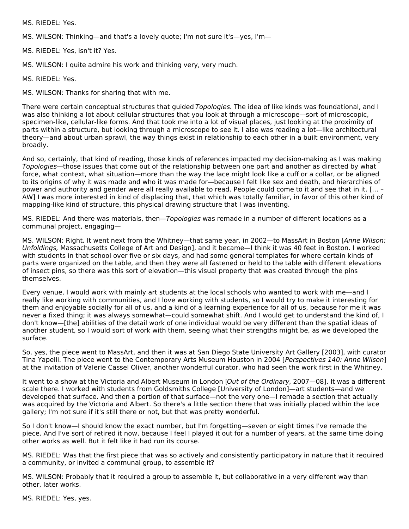MS. RIEDEL: Yes.

MS. WILSON: Thinking—and that's a lovely quote; I'm not sure it's—yes, I'm—

MS. RIEDEL: Yes, isn't it? Yes.

MS. WILSON: I quite admire his work and thinking very, very much.

MS. RIEDEL: Yes.

MS. WILSON: Thanks for sharing that with me.

There were certain conceptual structures that guided Topologies. The idea of like kinds was foundational, and I was also thinking a lot about cellular structures that you look at through a microscope—sort of microscopic, specimen-like, cellular-like forms. And that took me into a lot of visual places, just looking at the proximity of parts within a structure, but looking through a microscope to see it. I also was reading a lot—like architectural theory—and about urban sprawl, the way things exist in relationship to each other in a built environment, very broadly.

And so, certainly, that kind of reading, those kinds of references impacted my decision-making as I was making Topologies—those issues that come out of the relationship between one part and another as directed by what force, what context, what situation—more than the way the lace might look like a cuff or a collar, or be aligned to its origins of why it was made and who it was made for—because I felt like sex and death, and hierarchies of power and authority and gender were all really available to read. People could come to it and see that in it. [… – AW] I was more interested in kind of displacing that, that which was totally familiar, in favor of this other kind of mapping-like kind of structure, this physical drawing structure that I was inventing.

MS. RIEDEL: And there was materials, then—Topologies was remade in a number of different locations as a communal project, engaging—

MS. WILSON: Right. It went next from the Whitney—that same year, in 2002—to MassArt in Boston [Anne Wilson: Unfoldings, Massachusetts College of Art and Design], and it became—I think it was 40 feet in Boston. I worked with students in that school over five or six days, and had some general templates for where certain kinds of parts were organized on the table, and then they were all fastened or held to the table with different elevations of insect pins, so there was this sort of elevation—this visual property that was created through the pins themselves.

Every venue, I would work with mainly art students at the local schools who wanted to work with me—and I really like working with communities, and I love working with students, so I would try to make it interesting for them and enjoyable socially for all of us, and a kind of a learning experience for all of us, because for me it was never a fixed thing; it was always somewhat—could somewhat shift. And I would get to understand the kind of, I don't know—[the] abilities of the detail work of one individual would be very different than the spatial ideas of another student, so I would sort of work with them, seeing what their strengths might be, as we developed the surface.

So, yes, the piece went to MassArt, and then it was at San Diego State University Art Gallery [2003], with curator Tina Yapelli. The piece went to the Contemporary Arts Museum Houston in 2004 [Perspectives 140: Anne Wilson] at the invitation of Valerie Cassel Oliver, another wonderful curator, who had seen the work first in the Whitney.

It went to a show at the Victoria and Albert Museum in London [Out of the Ordinary, 2007-08]. It was a different scale there. I worked with students from Goldsmiths College [University of London]—art students—and we developed that surface. And then a portion of that surface—not the very one—I remade a section that actually was acquired by the Victoria and Albert. So there's a little section there that was initially placed within the lace gallery; I'm not sure if it's still there or not, but that was pretty wonderful.

So I don't know—I should know the exact number, but I'm forgetting—seven or eight times I've remade the piece. And I've sort of retired it now, because I feel I played it out for a number of years, at the same time doing other works as well. But it felt like it had run its course.

MS. RIEDEL: Was that the first piece that was so actively and consistently participatory in nature that it required a community, or invited a communal group, to assemble it?

MS. WILSON: Probably that it required a group to assemble it, but collaborative in a very different way than other, later works.

MS. RIEDEL: Yes, yes.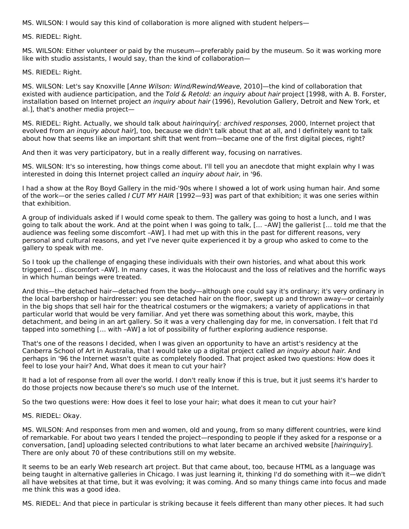MS. WILSON: I would say this kind of collaboration is more aligned with student helpers—

MS. RIEDEL: Right.

MS. WILSON: Either volunteer or paid by the museum—preferably paid by the museum. So it was working more like with studio assistants, I would say, than the kind of collaboration—

MS. RIEDEL: Right.

MS. WILSON: Let's say Knoxville [Anne Wilson: Wind/Rewind/Weave, 2010]—the kind of collaboration that existed with audience participation, and the Told & Retold: an inquiry about hair project [1998, with A. B. Forster, installation based on Internet project an inquiry about hair (1996), Revolution Gallery, Detroit and New York, et al.], that's another media project—

MS. RIEDEL: Right. Actually, we should talk about *hairinguiry[: archived responses*, 2000. Internet project that evolved from an inquiry about hair], too, because we didn't talk about that at all, and I definitely want to talk about how that seems like an important shift that went from—became one of the first digital pieces, right?

And then it was very participatory, but in a really different way, focusing on narratives.

MS. WILSON: It's so interesting, how things come about. I'll tell you an anecdote that might explain why I was interested in doing this Internet project called an inquiry about hair, in '96.

I had a show at the Roy Boyd Gallery in the mid-'90s where I showed a lot of work using human hair. And some of the work—or the series called I CUT MY HAIR [1992—93] was part of that exhibition; it was one series within that exhibition.

A group of individuals asked if I would come speak to them. The gallery was going to host a lunch, and I was going to talk about the work. And at the point when I was going to talk, [… –AW] the gallerist [… told me that the audience was feeling some discomfort –AW]. I had met up with this in the past for different reasons, very personal and cultural reasons, and yet I've never quite experienced it by a group who asked to come to the gallery to speak with me.

So I took up the challenge of engaging these individuals with their own histories, and what about this work triggered [… discomfort –AW]. In many cases, it was the Holocaust and the loss of relatives and the horrific ways in which human beings were treated.

And this—the detached hair—detached from the body—although one could say it's ordinary; it's very ordinary in the local barbershop or hairdresser: you see detached hair on the floor, swept up and thrown away—or certainly in the big shops that sell hair for the theatrical costumers or the wigmakers; a variety of applications in that particular world that would be very familiar. And yet there was something about this work, maybe, this detachment, and being in an art gallery. So it was a very challenging day for me, in conversation. I felt that I'd tapped into something [… with –AW] a lot of possibility of further exploring audience response.

That's one of the reasons I decided, when I was given an opportunity to have an artist's residency at the Canberra School of Art in Australia, that I would take up a digital project called an inquiry about hair. And perhaps in '96 the Internet wasn't quite as completely flooded. That project asked two questions: How does it feel to lose your hair? And, What does it mean to cut your hair?

It had a lot of response from all over the world. I don't really know if this is true, but it just seems it's harder to do those projects now because there's so much use of the Internet.

So the two questions were: How does it feel to lose your hair; what does it mean to cut your hair?

#### MS. RIEDEL: Okay.

MS. WILSON: And responses from men and women, old and young, from so many different countries, were kind of remarkable. For about two years I tended the project—responding to people if they asked for a response or a conversation, [and] uploading selected contributions to what later became an archived website [hairinquiry]. There are only about 70 of these contributions still on my website.

It seems to be an early Web research art project. But that came about, too, because HTML as a language was being taught in alternative galleries in Chicago. I was just learning it, thinking I'd do something with it—we didn't all have websites at that time, but it was evolving; it was coming. And so many things came into focus and made me think this was a good idea.

MS. RIEDEL: And that piece in particular is striking because it feels different than many other pieces. It had such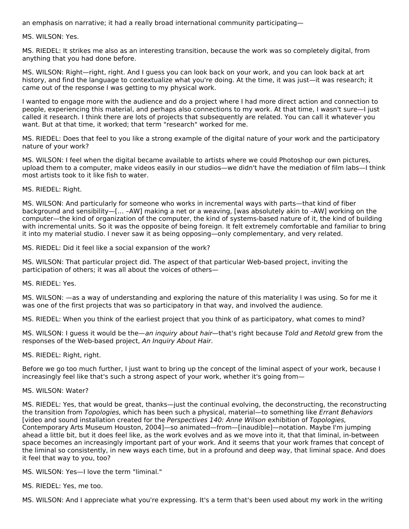an emphasis on narrative; it had a really broad international community participating—

MS. WILSON: Yes.

MS. RIEDEL: It strikes me also as an interesting transition, because the work was so completely digital, from anything that you had done before.

MS. WILSON: Right—right, right. And I guess you can look back on your work, and you can look back at art history, and find the language to contextualize what you're doing. At the time, it was just—it was research; it came out of the response I was getting to my physical work.

I wanted to engage more with the audience and do a project where I had more direct action and connection to people, experiencing this material, and perhaps also connections to my work. At that time, I wasn't sure—I just called it research. I think there are lots of projects that subsequently are related. You can call it whatever you want. But at that time, it worked; that term "research" worked for me.

MS. RIEDEL: Does that feel to you like a strong example of the digital nature of your work and the participatory nature of your work?

MS. WILSON: I feel when the digital became available to artists where we could Photoshop our own pictures, upload them to a computer, make videos easily in our studios—we didn't have the mediation of film labs—I think most artists took to it like fish to water.

MS. RIEDEL: Right.

MS. WILSON: And particularly for someone who works in incremental ways with parts—that kind of fiber background and sensibility—[… –AW] making a net or a weaving, [was absolutely akin to –AW] working on the computer—the kind of organization of the computer, the kind of systems-based nature of it, the kind of building with incremental units. So it was the opposite of being foreign. It felt extremely comfortable and familiar to bring it into my material studio. I never saw it as being opposing—only complementary, and very related.

MS. RIEDEL: Did it feel like a social expansion of the work?

MS. WILSON: That particular project did. The aspect of that particular Web-based project, inviting the participation of others; it was all about the voices of others—

MS. RIEDEL: Yes.

MS. WILSON: —as a way of understanding and exploring the nature of this materiality I was using. So for me it was one of the first projects that was so participatory in that way, and involved the audience.

MS. RIEDEL: When you think of the earliest project that you think of as participatory, what comes to mind?

MS. WILSON: I guess it would be the—an inquiry about hair—that's right because Told and Retold grew from the responses of the Web-based project, An Inquiry About Hair.

MS. RIEDEL: Right, right.

Before we go too much further, I just want to bring up the concept of the liminal aspect of your work, because I increasingly feel like that's such a strong aspect of your work, whether it's going from—

#### MS. WILSON: Water?

MS. RIEDEL: Yes, that would be great, thanks—just the continual evolving, the deconstructing, the reconstructing the transition from Topologies, which has been such a physical, material—to something like Errant Behaviors [video and sound installation created for the Perspectives 140: Anne Wilson exhibition of Topologies, Contemporary Arts Museum Houston, 2004]—so animated—from—[inaudible]—notation. Maybe I'm jumping ahead a little bit, but it does feel like, as the work evolves and as we move into it, that that liminal, in-between space becomes an increasingly important part of your work. And it seems that your work frames that concept of the liminal so consistently, in new ways each time, but in a profound and deep way, that liminal space. And does it feel that way to you, too?

MS. WILSON: Yes—I love the term "liminal."

MS. RIEDEL: Yes, me too.

MS. WILSON: And I appreciate what you're expressing. It's a term that's been used about my work in the writing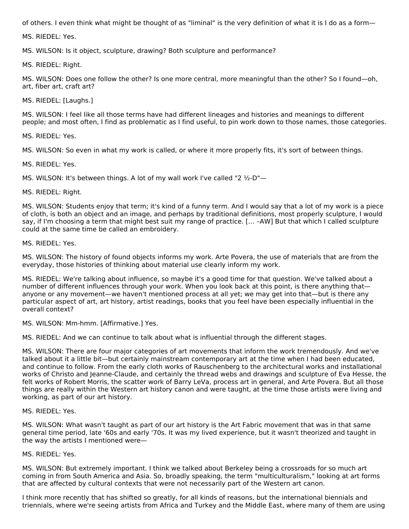of others. I even think what might be thought of as "liminal" is the very definition of what it is I do as a form—

MS. RIEDEL: Yes.

MS. WILSON: Is it object, sculpture, drawing? Both sculpture and performance?

MS. RIEDEL: Right.

MS. WILSON: Does one follow the other? Is one more central, more meaningful than the other? So I found—oh, art, fiber art, craft art?

MS. RIEDEL: [Laughs.]

MS. WILSON: I feel like all those terms have had different lineages and histories and meanings to different people; and most often, I find as problematic as I find useful, to pin work down to those names, those categories.

MS. RIEDEL: Yes.

MS. WILSON: So even in what my work is called, or where it more properly fits, it's sort of between things.

MS. RIEDEL: Yes.

MS. WILSON: It's between things. A lot of my wall work I've called "2 ½-D"—

MS. RIEDEL: Right.

MS. WILSON: Students enjoy that term; it's kind of a funny term. And I would say that a lot of my work is a piece of cloth, is both an object and an image, and perhaps by traditional definitions, most properly sculpture, I would say, if I'm choosing a term that might best suit my range of practice. [… –AW] But that which I called sculpture could at the same time be called an embroidery.

MS. RIEDEL: Yes.

MS. WILSON: The history of found objects informs my work. Arte Povera, the use of materials that are from the everyday, those histories of thinking about material use clearly inform my work.

MS. RIEDEL: We're talking about influence, so maybe it's a good time for that question. We've talked about a number of different influences through your work. When you look back at this point, is there anything that anyone or any movement—we haven't mentioned process at all yet; we may get into that—but is there any particular aspect of art, art history, artist readings, books that you feel have been especially influential in the overall context?

MS. WILSON: Mm-hmm. [Affirmative.] Yes.

MS. RIEDEL: And we can continue to talk about what is influential through the different stages.

MS. WILSON: There are four major categories of art movements that inform the work tremendously. And we've talked about it a little bit—but certainly mainstream contemporary art at the time when I had been educated, and continue to follow. From the early cloth works of Rauschenberg to the architectural works and installational works of Christo and Jeanne-Claude, and certainly the thread webs and drawings and sculpture of Eva Hesse, the felt works of Robert Morris, the scatter work of Barry LeVa, process art in general, and Arte Povera. But all those things are really within the Western art history canon and were taught, at the time those artists were living and working, as part of our art history.

MS. RIEDEL: Yes.

MS. WILSON: What wasn't taught as part of our art history is the Art Fabric movement that was in that same general time period, late '60s and early '70s. It was my lived experience, but it wasn't theorized and taught in the way the artists I mentioned were—

#### MS. RIEDEL: Yes.

MS. WILSON: But extremely important. I think we talked about Berkeley being a crossroads for so much art coming in from South America and Asia. So, broadly speaking, the term "multiculturalism," looking at art forms that are affected by cultural contexts that were not necessarily part of the Western art canon.

I think more recently that has shifted so greatly, for all kinds of reasons, but the international biennials and triennials, where we're seeing artists from Africa and Turkey and the Middle East, where many of them are using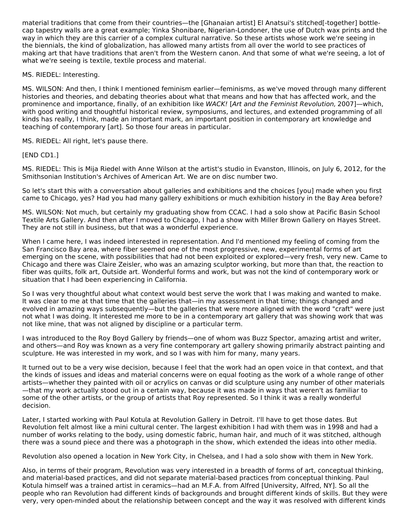material traditions that come from their countries—the [Ghanaian artist] El Anatsui's stitched[-together] bottlecap tapestry walls are a great example; Yinka Shonibare, Nigerian-Londoner, the use of Dutch wax prints and the way in which they are this carrier of a complex cultural narrative. So these artists whose work we're seeing in the biennials, the kind of globalization, has allowed many artists from all over the world to see practices of making art that have traditions that aren't from the Western canon. And that some of what we're seeing, a lot of what we're seeing is textile, textile process and material.

#### MS. RIEDEL: Interesting.

MS. WILSON: And then, I think I mentioned feminism earlier—feminisms, as we've moved through many different histories and theories, and debating theories about what that means and how that has affected work, and the prominence and importance, finally, of an exhibition like WACK! [Art and the Feminist Revolution, 2007]—which, with good writing and thoughtful historical review, symposiums, and lectures, and extended programming of all kinds has really, I think, made an important mark, an important position in contemporary art knowledge and teaching of contemporary [art]. So those four areas in particular.

MS. RIEDEL: All right, let's pause there.

### [END CD1.]

MS. RIEDEL: This is Mija Riedel with Anne Wilson at the artist's studio in Evanston, Illinois, on July 6, 2012, for the Smithsonian Institution's Archives of American Art. We are on disc number two.

So let's start this with a conversation about galleries and exhibitions and the choices [you] made when you first came to Chicago, yes? Had you had many gallery exhibitions or much exhibition history in the Bay Area before?

MS. WILSON: Not much, but certainly my graduating show from CCAC. I had a solo show at Pacific Basin School Textile Arts Gallery. And then after I moved to Chicago, I had a show with Miller Brown Gallery on Hayes Street. They are not still in business, but that was a wonderful experience.

When I came here, I was indeed interested in representation. And I'd mentioned my feeling of coming from the San Francisco Bay area, where fiber seemed one of the most progressive, new, experimental forms of art emerging on the scene, with possibilities that had not been exploited or explored—very fresh, very new. Came to Chicago and there was Claire Zeisler, who was an amazing sculptor working, but more than that, the reaction to fiber was quilts, folk art, Outside art. Wonderful forms and work, but was not the kind of contemporary work or situation that I had been experiencing in California.

So I was very thoughtful about what context would best serve the work that I was making and wanted to make. It was clear to me at that time that the galleries that—in my assessment in that time; things changed and evolved in amazing ways subsequently—but the galleries that were more aligned with the word "craft" were just not what I was doing. It interested me more to be in a contemporary art gallery that was showing work that was not like mine, that was not aligned by discipline or a particular term.

I was introduced to the Roy Boyd Gallery by friends—one of whom was Buzz Spector, amazing artist and writer, and others—and Roy was known as a very fine contemporary art gallery showing primarily abstract painting and sculpture. He was interested in my work, and so I was with him for many, many years.

It turned out to be a very wise decision, because I feel that the work had an open voice in that context, and that the kinds of issues and ideas and material concerns were on equal footing as the work of a whole range of other artists—whether they painted with oil or acrylics on canvas or did sculpture using any number of other materials —that my work actually stood out in a certain way, because it was made in ways that weren't as familiar to some of the other artists, or the group of artists that Roy represented. So I think it was a really wonderful decision.

Later, I started working with Paul Kotula at Revolution Gallery in Detroit. I'll have to get those dates. But Revolution felt almost like a mini cultural center. The largest exhibition I had with them was in 1998 and had a number of works relating to the body, using domestic fabric, human hair, and much of it was stitched, although there was a sound piece and there was a photograph in the show, which extended the ideas into other media.

Revolution also opened a location in New York City, in Chelsea, and I had a solo show with them in New York.

Also, in terms of their program, Revolution was very interested in a breadth of forms of art, conceptual thinking, and material-based practices, and did not separate material-based practices from conceptual thinking. Paul Kotula himself was a trained artist in ceramics—had an M.F.A. from Alfred [University, Alfred, NY]. So all the people who ran Revolution had different kinds of backgrounds and brought different kinds of skills. But they were very, very open-minded about the relationship between concept and the way it was resolved with different kinds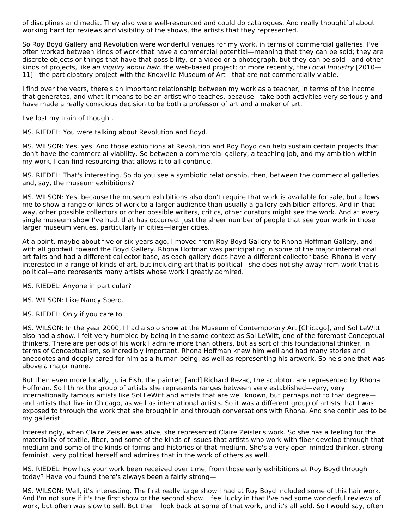of disciplines and media. They also were well-resourced and could do catalogues. And really thoughtful about working hard for reviews and visibility of the shows, the artists that they represented.

So Roy Boyd Gallery and Revolution were wonderful venues for my work, in terms of commercial galleries. I've often worked between kinds of work that have a commercial potential—meaning that they can be sold; they are discrete objects or things that have that possibility, or a video or a photograph, but they can be sold—and other kinds of projects, like an inquiry about hair, the web-based project; or more recently, the Local Industry [2010— 11]—the participatory project with the Knoxville Museum of Art—that are not commercially viable.

I find over the years, there's an important relationship between my work as a teacher, in terms of the income that generates, and what it means to be an artist who teaches, because I take both activities very seriously and have made a really conscious decision to be both a professor of art and a maker of art.

I've lost my train of thought.

MS. RIEDEL: You were talking about Revolution and Boyd.

MS. WILSON: Yes, yes. And those exhibitions at Revolution and Roy Boyd can help sustain certain projects that don't have the commercial viability. So between a commercial gallery, a teaching job, and my ambition within my work, I can find resourcing that allows it to all continue.

MS. RIEDEL: That's interesting. So do you see a symbiotic relationship, then, between the commercial galleries and, say, the museum exhibitions?

MS. WILSON: Yes, because the museum exhibitions also don't require that work is available for sale, but allows me to show a range of kinds of work to a larger audience than usually a gallery exhibition affords. And in that way, other possible collectors or other possible writers, critics, other curators might see the work. And at every single museum show I've had, that has occurred. Just the sheer number of people that see your work in those larger museum venues, particularly in cities—larger cities.

At a point, maybe about five or six years ago, I moved from Roy Boyd Gallery to Rhona Hoffman Gallery, and with all goodwill toward the Boyd Gallery. Rhona Hoffman was participating in some of the major international art fairs and had a different collector base, as each gallery does have a different collector base. Rhona is very interested in a range of kinds of art, but including art that is political—she does not shy away from work that is political—and represents many artists whose work I greatly admired.

MS. RIEDEL: Anyone in particular?

MS. WILSON: Like Nancy Spero.

MS. RIEDEL: Only if you care to.

MS. WILSON: In the year 2000, I had a solo show at the Museum of Contemporary Art [Chicago], and Sol LeWitt also had a show. I felt very humbled by being in the same context as Sol LeWitt, one of the foremost Conceptual thinkers. There are periods of his work I admire more than others, but as sort of this foundational thinker, in terms of Conceptualism, so incredibly important. Rhona Hoffman knew him well and had many stories and anecdotes and deeply cared for him as a human being, as well as representing his artwork. So he's one that was above a major name.

But then even more locally, Julia Fish, the painter, [and] Richard Rezac, the sculptor, are represented by Rhona Hoffman. So I think the group of artists she represents ranges between very established—very, very internationally famous artists like Sol LeWitt and artists that are well known, but perhaps not to that degree and artists that live in Chicago, as well as international artists. So it was a different group of artists that I was exposed to through the work that she brought in and through conversations with Rhona. And she continues to be my gallerist.

Interestingly, when Claire Zeisler was alive, she represented Claire Zeisler's work. So she has a feeling for the materiality of textile, fiber, and some of the kinds of issues that artists who work with fiber develop through that medium and some of the kinds of forms and histories of that medium. She's a very open-minded thinker, strong feminist, very political herself and admires that in the work of others as well.

MS. RIEDEL: How has your work been received over time, from those early exhibitions at Roy Boyd through today? Have you found there's always been a fairly strong—

MS. WILSON: Well, it's interesting. The first really large show I had at Roy Boyd included some of this hair work. And I'm not sure if it's the first show or the second show. I feel lucky in that I've had some wonderful reviews of work, but often was slow to sell. But then I look back at some of that work, and it's all sold. So I would say, often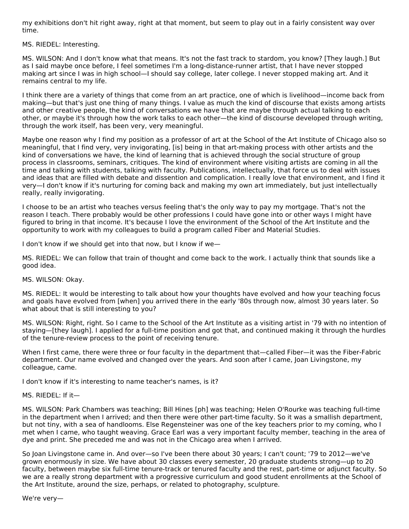my exhibitions don't hit right away, right at that moment, but seem to play out in a fairly consistent way over time.

MS. RIEDEL: Interesting.

MS. WILSON: And I don't know what that means. It's not the fast track to stardom, you know? [They laugh.] But as I said maybe once before, I feel sometimes I'm a long-distance-runner artist, that I have never stopped making art since I was in high school—I should say college, later college. I never stopped making art. And it remains central to my life.

I think there are a variety of things that come from an art practice, one of which is livelihood—income back from making—but that's just one thing of many things. I value as much the kind of discourse that exists among artists and other creative people, the kind of conversations we have that are maybe through actual talking to each other, or maybe it's through how the work talks to each other—the kind of discourse developed through writing, through the work itself, has been very, very meaningful.

Maybe one reason why I find my position as a professor of art at the School of the Art Institute of Chicago also so meaningful, that I find very, very invigorating, [is] being in that art-making process with other artists and the kind of conversations we have, the kind of learning that is achieved through the social structure of group process in classrooms, seminars, critiques. The kind of environment where visiting artists are coming in all the time and talking with students, talking with faculty. Publications, intellectually, that force us to deal with issues and ideas that are filled with debate and dissention and complication. I really love that environment, and I find it very—I don't know if it's nurturing for coming back and making my own art immediately, but just intellectually really, really invigorating.

I choose to be an artist who teaches versus feeling that's the only way to pay my mortgage. That's not the reason I teach. There probably would be other professions I could have gone into or other ways I might have figured to bring in that income. It's because I love the environment of the School of the Art Institute and the opportunity to work with my colleagues to build a program called Fiber and Material Studies.

I don't know if we should get into that now, but I know if we—

MS. RIEDEL: We can follow that train of thought and come back to the work. I actually think that sounds like a good idea.

MS. WILSON: Okay.

MS. RIEDEL: It would be interesting to talk about how your thoughts have evolved and how your teaching focus and goals have evolved from [when] you arrived there in the early '80s through now, almost 30 years later. So what about that is still interesting to you?

MS. WILSON: Right, right. So I came to the School of the Art Institute as a visiting artist in '79 with no intention of staying—[they laugh]. I applied for a full-time position and got that, and continued making it through the hurdles of the tenure-review process to the point of receiving tenure.

When I first came, there were three or four faculty in the department that—called Fiber—it was the Fiber-Fabric department. Our name evolved and changed over the years. And soon after I came, Joan Livingstone, my colleague, came.

I don't know if it's interesting to name teacher's names, is it?

MS. RIEDEL: If it—

MS. WILSON: Park Chambers was teaching; Bill Hines [ph] was teaching; Helen O'Rourke was teaching full-time in the department when I arrived; and then there were other part-time faculty. So it was a smallish department, but not tiny, with a sea of handlooms. Else Regensteiner was one of the key teachers prior to my coming, who I met when I came, who taught weaving. Grace Earl was a very important faculty member, teaching in the area of dye and print. She preceded me and was not in the Chicago area when I arrived.

So Joan Livingstone came in. And over—so I've been there about 30 years; I can't count; '79 to 2012—we've grown enormously in size. We have about 30 classes every semester, 20 graduate students strong—up to 20 faculty, between maybe six full-time tenure-track or tenured faculty and the rest, part-time or adjunct faculty. So we are a really strong department with a progressive curriculum and good student enrollments at the School of the Art Institute, around the size, perhaps, or related to photography, sculpture.

We're very—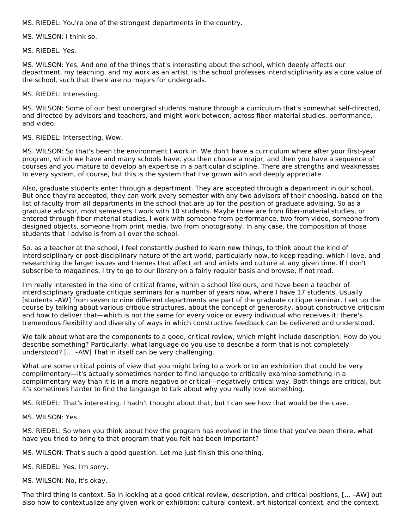MS. RIEDEL: You're one of the strongest departments in the country.

MS. WILSON: I think so.

MS. RIEDEL: Yes.

MS. WILSON: Yes. And one of the things that's interesting about the school, which deeply affects our department, my teaching, and my work as an artist, is the school professes interdisciplinarity as a core value of the school, such that there are no majors for undergrads.

MS. RIEDEL: Interesting.

MS. WILSON: Some of our best undergrad students mature through a curriculum that's somewhat self-directed, and directed by advisors and teachers, and might work between, across fiber-material studies, performance, and video.

MS. RIEDEL: Intersecting. Wow.

MS. WILSON: So that's been the environment I work in. We don't have a curriculum where after your first-year program, which we have and many schools have, you then choose a major, and then you have a sequence of courses and you mature to develop an expertise in a particular discipline. There are strengths and weaknesses to every system, of course, but this is the system that I've grown with and deeply appreciate.

Also, graduate students enter through a department. They are accepted through a department in our school. But once they're accepted, they can work every semester with any two advisors of their choosing, based on the list of faculty from all departments in the school that are up for the position of graduate advising. So as a graduate advisor, most semesters I work with 10 students. Maybe three are from fiber-material studies, or entered through fiber-material studies. I work with someone from performance, two from video, someone from designed objects, someone from print media, two from photography. In any case, the composition of those students that I advise is from all over the school.

So, as a teacher at the school, I feel constantly pushed to learn new things, to think about the kind of interdisciplinary or post-disciplinary nature of the art world, particularly now, to keep reading, which I love, and researching the larger issues and themes that affect art and artists and culture at any given time. If I don't subscribe to magazines, I try to go to our library on a fairly regular basis and browse, if not read.

I'm really interested in the kind of critical frame, within a school like ours, and have been a teacher of interdisciplinary graduate critique seminars for a number of years now, where I have 17 students. Usually [students –AW] from seven to nine different departments are part of the graduate critique seminar. I set up the course by talking about various critique structures, about the concept of generosity, about constructive criticism and how to deliver that—which is not the same for every voice or every individual who receives it; there's tremendous flexibility and diversity of ways in which constructive feedback can be delivered and understood.

We talk about what are the components to a good, critical review, which might include description. How do you describe something? Particularly, what language do you use to describe a form that is not completely understood? [… –AW] That in itself can be very challenging.

What are some critical points of view that you might bring to a work or to an exhibition that could be very complimentary—it's actually sometimes harder to find language to critically examine something in a complimentary way than it is in a more negative or critical—negatively critical way. Both things are critical, but it's sometimes harder to find the language to talk about why you really love something.

MS. RIEDEL: That's interesting. I hadn't thought about that, but I can see how that would be the case.

MS. WILSON: Yes.

MS. RIEDEL: So when you think about how the program has evolved in the time that you've been there, what have you tried to bring to that program that you felt has been important?

MS. WILSON: That's such a good question. Let me just finish this one thing.

MS. RIEDEL: Yes, I'm sorry.

MS. WILSON: No, it's okay.

The third thing is context. So in looking at a good critical review, description, and critical positions, [… –AW] but also how to contextualize any given work or exhibition: cultural context, art historical context, and the context,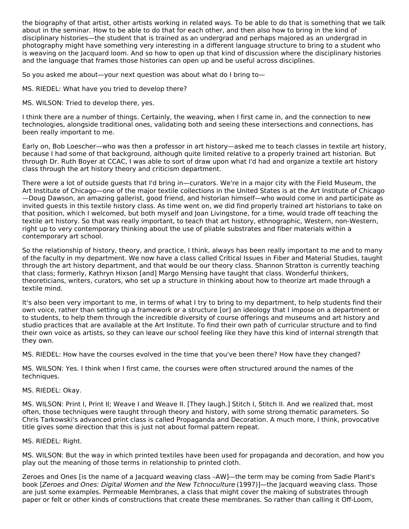the biography of that artist, other artists working in related ways. To be able to do that is something that we talk about in the seminar. How to be able to do that for each other, and then also how to bring in the kind of disciplinary histories—the student that is trained as an undergrad and perhaps majored as an undergrad in photography might have something very interesting in a different language structure to bring to a student who is weaving on the Jacquard loom. And so how to open up that kind of discussion where the disciplinary histories and the language that frames those histories can open up and be useful across disciplines.

So you asked me about—your next question was about what do I bring to—

MS. RIEDEL: What have you tried to develop there?

MS. WILSON: Tried to develop there, yes.

I think there are a number of things. Certainly, the weaving, when I first came in, and the connection to new technologies, alongside traditional ones, validating both and seeing these intersections and connections, has been really important to me.

Early on, Bob Loescher—who was then a professor in art history—asked me to teach classes in textile art history, because I had some of that background, although quite limited relative to a properly trained art historian. But through Dr. Ruth Boyer at CCAC, I was able to sort of draw upon what I'd had and organize a textile art history class through the art history theory and criticism department.

There were a lot of outside guests that I'd bring in—curators. We're in a major city with the Field Museum, the Art Institute of Chicago—one of the major textile collections in the United States is at the Art Institute of Chicago —Doug Dawson, an amazing gallerist, good friend, and historian himself—who would come in and participate as invited guests in this textile history class. As time went on, we did find properly trained art historians to take on that position, which I welcomed, but both myself and Joan Livingstone, for a time, would trade off teaching the textile art history. So that was really important, to teach that art history, ethnographic, Western, non-Western, right up to very contemporary thinking about the use of pliable substrates and fiber materials within a contemporary art school.

So the relationship of history, theory, and practice, I think, always has been really important to me and to many of the faculty in my department. We now have a class called Critical Issues in Fiber and Material Studies, taught through the art history department, and that would be our theory class. Shannon Stratton is currently teaching that class; formerly, Kathryn Hixson [and] Margo Mensing have taught that class. Wonderful thinkers, theoreticians, writers, curators, who set up a structure in thinking about how to theorize art made through a textile mind.

It's also been very important to me, in terms of what I try to bring to my department, to help students find their own voice, rather than setting up a framework or a structure [or] an ideology that I impose on a department or to students, to help them through the incredible diversity of course offerings and museums and art history and studio practices that are available at the Art Institute. To find their own path of curricular structure and to find their own voice as artists, so they can leave our school feeling like they have this kind of internal strength that they own.

MS. RIEDEL: How have the courses evolved in the time that you've been there? How have they changed?

MS. WILSON: Yes. I think when I first came, the courses were often structured around the names of the techniques.

#### MS. RIEDEL: Okay.

MS. WILSON: Print I, Print II; Weave I and Weave II. [They laugh.] Stitch I, Stitch II. And we realized that, most often, those techniques were taught through theory and history, with some strong thematic parameters. So Chris Tarkowski's advanced print class is called Propaganda and Decoration. A much more, I think, provocative title gives some direction that this is just not about formal pattern repeat.

#### MS. RIEDEL: Right.

MS. WILSON: But the way in which printed textiles have been used for propaganda and decoration, and how you play out the meaning of those terms in relationship to printed cloth.

Zeroes and Ones [is the name of a Jacquard weaving class –AW]—the term may be coming from Sadie Plant's book [Zeroes and Ones: Digital Women and the New Tchnoculture (1997)]—the Jacquard weaving class. Those are just some examples. Permeable Membranes, a class that might cover the making of substrates through paper or felt or other kinds of constructions that create these membranes. So rather than calling it Off-Loom,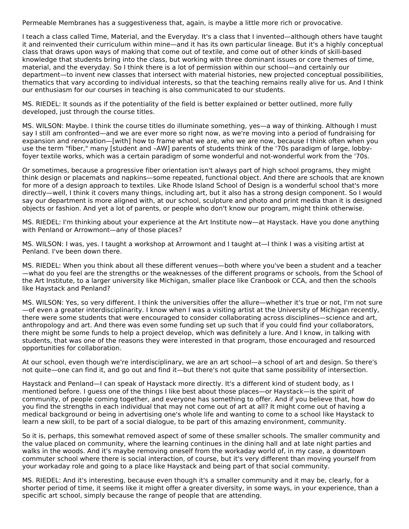Permeable Membranes has a suggestiveness that, again, is maybe a little more rich or provocative.

I teach a class called Time, Material, and the Everyday. It's a class that I invented—although others have taught it and reinvented their curriculum within mine—and it has its own particular lineage. But it's a highly conceptual class that draws upon ways of making that come out of textile, and come out of other kinds of skill-based knowledge that students bring into the class, but working with three dominant issues or core themes of time, material, and the everyday. So I think there is a lot of permission within our school—and certainly our department—to invent new classes that intersect with material histories, new projected conceptual possibilities, thematics that vary according to individual interests, so that the teaching remains really alive for us. And I think our enthusiasm for our courses in teaching is also communicated to our students.

MS. RIEDEL: It sounds as if the potentiality of the field is better explained or better outlined, more fully developed, just through the course titles.

MS. WILSON: Maybe. I think the course titles do illuminate something, yes—a way of thinking. Although I must say I still am confronted—and we are ever more so right now, as we're moving into a period of fundraising for expansion and renovation—[with] how to frame what we are, who we are now, because I think often when you use the term "fiber," many [student and –AW] parents of students think of the '70s paradigm of large, lobbyfoyer textile works, which was a certain paradigm of some wonderful and not-wonderful work from the '70s.

Or sometimes, because a progressive fiber orientation isn't always part of high school programs, they might think design or placemats and napkins—some repeated, functional object. And there are schools that are known for more of a design approach to textiles. Like Rhode Island School of Design is a wonderful school that's more directly—well, I think it covers many things, including art, but it also has a strong design component. So I would say our department is more aligned with, at our school, sculpture and photo and print media than it is designed objects or fashion. And yet a lot of parents, or people who don't know our program, might think otherwise.

MS. RIEDEL: I'm thinking about your experience at the Art Institute now—at Haystack. Have you done anything with Penland or Arrowmont—any of those places?

MS. WILSON: I was, yes. I taught a workshop at Arrowmont and I taught at—I think I was a visiting artist at Penland. I've been down there.

MS. RIEDEL: When you think about all these different venues—both where you've been a student and a teacher —what do you feel are the strengths or the weaknesses of the different programs or schools, from the School of the Art Institute, to a larger university like Michigan, smaller place like Cranbook or CCA, and then the schools like Haystack and Penland?

MS. WILSON: Yes, so very different. I think the universities offer the allure—whether it's true or not, I'm not sure —of even a greater interdisciplinarity. I know when I was a visiting artist at the University of Michigan recently, there were some students that were encouraged to consider collaborating across disciplines—science and art, anthropology and art. And there was even some funding set up such that if you could find your collaborators, there might be some funds to help a project develop, which was definitely a lure. And I know, in talking with students, that was one of the reasons they were interested in that program, those encouraged and resourced opportunities for collaboration.

At our school, even though we're interdisciplinary, we are an art school—a school of art and design. So there's not quite—one can find it, and go out and find it—but there's not quite that same possibility of intersection.

Haystack and Penland—I can speak of Haystack more directly. It's a different kind of student body, as I mentioned before. I guess one of the things I like best about those places—or Haystack—is the spirit of community, of people coming together, and everyone has something to offer. And if you believe that, how do you find the strengths in each individual that may not come out of art at all? It might come out of having a medical background or being in advertising one's whole life and wanting to come to a school like Haystack to learn a new skill, to be part of a social dialogue, to be part of this amazing environment, community.

So it is, perhaps, this somewhat removed aspect of some of these smaller schools. The smaller community and the value placed on community, where the learning continues in the dining hall and at late night parties and walks in the woods. And it's maybe removing oneself from the workaday world of, in my case, a downtown commuter school where there is social interaction, of course, but it's very different than moving yourself from your workaday role and going to a place like Haystack and being part of that social community.

MS. RIEDEL: And it's interesting, because even though it's a smaller community and it may be, clearly, for a shorter period of time, it seems like it might offer a greater diversity, in some ways, in your experience, than a specific art school, simply because the range of people that are attending.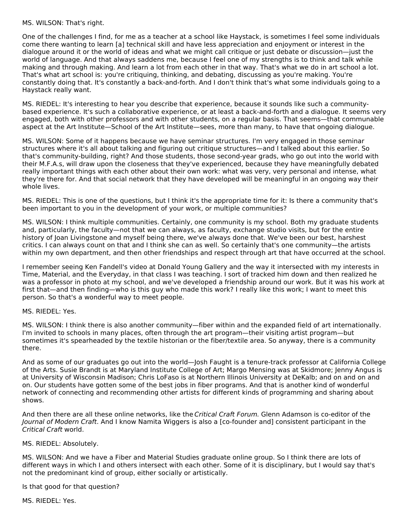MS. WILSON: That's right.

One of the challenges I find, for me as a teacher at a school like Haystack, is sometimes I feel some individuals come there wanting to learn [a] technical skill and have less appreciation and enjoyment or interest in the dialogue around it or the world of ideas and what we might call critique or just debate or discussion—just the world of language. And that always saddens me, because I feel one of my strengths is to think and talk while making and through making. And learn a lot from each other in that way. That's what we do in art school a lot. That's what art school is: you're critiquing, thinking, and debating, discussing as you're making. You're constantly doing that. It's constantly a back-and-forth. And I don't think that's what some individuals going to a Haystack really want.

MS. RIEDEL: It's interesting to hear you describe that experience, because it sounds like such a communitybased experience. It's such a collaborative experience, or at least a back-and-forth and a dialogue. It seems very engaged, both with other professors and with other students, on a regular basis. That seems—that communable aspect at the Art Institute—School of the Art Institute—sees, more than many, to have that ongoing dialogue.

MS. WILSON: Some of it happens because we have seminar structures. I'm very engaged in those seminar structures where it's all about talking and figuring out critique structures—and I talked about this earlier. So that's community-building, right? And those students, those second-year grads, who go out into the world with their M.F.A.s, will draw upon the closeness that they've experienced, because they have meaningfully debated really important things with each other about their own work: what was very, very personal and intense, what they're there for. And that social network that they have developed will be meaningful in an ongoing way their whole lives.

MS. RIEDEL: This is one of the questions, but I think it's the appropriate time for it: Is there a community that's been important to you in the development of your work, or multiple communities?

MS. WILSON: I think multiple communities. Certainly, one community is my school. Both my graduate students and, particularly, the faculty—not that we can always, as faculty, exchange studio visits, but for the entire history of Joan Livingstone and myself being there, we've always done that. We've been our best, harshest critics. I can always count on that and I think she can as well. So certainly that's one community—the artists within my own department, and then other friendships and respect through art that have occurred at the school.

I remember seeing Ken Fandell's video at Donald Young Gallery and the way it intersected with my interests in Time, Material, and the Everyday, in that class I was teaching. I sort of tracked him down and then realized he was a professor in photo at my school, and we've developed a friendship around our work. But it was his work at first that—and then finding—who is this guy who made this work? I really like this work; I want to meet this person. So that's a wonderful way to meet people.

MS. RIEDEL: Yes.

MS. WILSON: I think there is also another community—fiber within and the expanded field of art internationally. I'm invited to schools in many places, often through the art program—their visiting artist program—but sometimes it's spearheaded by the textile historian or the fiber/textile area. So anyway, there is a community there.

And as some of our graduates go out into the world—Josh Faught is a tenure-track professor at California College of the Arts. Susie Brandt is at Maryland Institute College of Art; Margo Mensing was at Skidmore; Jenny Angus is at University of Wisconsin Madison; Chris LoFaso is at Northern Illinois University at DeKalb; and on and on and on. Our students have gotten some of the best jobs in fiber programs. And that is another kind of wonderful network of connecting and recommending other artists for different kinds of programming and sharing about shows.

And then there are all these online networks, like the Critical Craft Forum. Glenn Adamson is co-editor of the Journal of Modern Craft. And I know Namita Wiggers is also a [co-founder and] consistent participant in the Critical Craft world.

MS. RIEDEL: Absolutely.

MS. WILSON: And we have a Fiber and Material Studies graduate online group. So I think there are lots of different ways in which I and others intersect with each other. Some of it is disciplinary, but I would say that's not the predominant kind of group, either socially or artistically.

Is that good for that question?

MS. RIEDEL: Yes.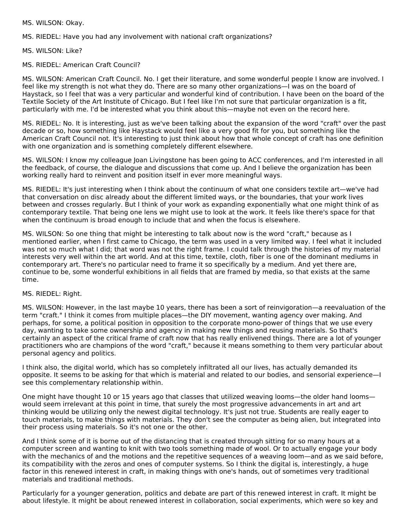MS. WILSON: Okay.

MS. RIEDEL: Have you had any involvement with national craft organizations?

MS. WILSON: Like?

MS. RIEDEL: American Craft Council?

MS. WILSON: American Craft Council. No. I get their literature, and some wonderful people I know are involved. I feel like my strength is not what they do. There are so many other organizations—I was on the board of Haystack, so I feel that was a very particular and wonderful kind of contribution. I have been on the board of the Textile Society of the Art Institute of Chicago. But I feel like I'm not sure that particular organization is a fit, particularly with me. I'd be interested what you think about this—maybe not even on the record here.

MS. RIEDEL: No. It is interesting, just as we've been talking about the expansion of the word "craft" over the past decade or so, how something like Haystack would feel like a very good fit for you, but something like the American Craft Council not. It's interesting to just think about how that whole concept of craft has one definition with one organization and is something completely different elsewhere.

MS. WILSON: I know my colleague Joan Livingstone has been going to ACC conferences, and I'm interested in all the feedback, of course, the dialogue and discussions that come up. And I believe the organization has been working really hard to reinvent and position itself in ever more meaningful ways.

MS. RIEDEL: It's just interesting when I think about the continuum of what one considers textile art—we've had that conversation on disc already about the different limited ways, or the boundaries, that your work lives between and crosses regularly. But I think of your work as expanding exponentially what one might think of as contemporary textile. That being one lens we might use to look at the work. It feels like there's space for that when the continuum is broad enough to include that and when the focus is elsewhere.

MS. WILSON: So one thing that might be interesting to talk about now is the word "craft," because as I mentioned earlier, when I first came to Chicago, the term was used in a very limited way. I feel what it included was not so much what I did; that word was not the right frame. I could talk through the histories of my material interests very well within the art world. And at this time, textile, cloth, fiber is one of the dominant mediums in contemporary art. There's no particular need to frame it so specifically by a medium. And yet there are, continue to be, some wonderful exhibitions in all fields that are framed by media, so that exists at the same time.

#### MS. RIEDEL: Right.

MS. WILSON: However, in the last maybe 10 years, there has been a sort of reinvigoration—a reevaluation of the term "craft." I think it comes from multiple places—the DIY movement, wanting agency over making. And perhaps, for some, a political position in opposition to the corporate mono-power of things that we use every day, wanting to take some ownership and agency in making new things and reusing materials. So that's certainly an aspect of the critical frame of craft now that has really enlivened things. There are a lot of younger practitioners who are champions of the word "craft," because it means something to them very particular about personal agency and politics.

I think also, the digital world, which has so completely infiltrated all our lives, has actually demanded its opposite. It seems to be asking for that which is material and related to our bodies, and sensorial experience—I see this complementary relationship within.

One might have thought 10 or 15 years ago that classes that utilized weaving looms—the older hand looms would seem irrelevant at this point in time, that surely the most progressive advancements in art and art thinking would be utilizing only the newest digital technology. It's just not true. Students are really eager to touch materials, to make things with materials. They don't see the computer as being alien, but integrated into their process using materials. So it's not one or the other.

And I think some of it is borne out of the distancing that is created through sitting for so many hours at a computer screen and wanting to knit with two tools something made of wool. Or to actually engage your body with the mechanics of and the motions and the repetitive sequences of a weaving loom—and as we said before, its compatibility with the zeros and ones of computer systems. So I think the digital is, interestingly, a huge factor in this renewed interest in craft, in making things with one's hands, out of sometimes very traditional materials and traditional methods.

Particularly for a younger generation, politics and debate are part of this renewed interest in craft. It might be about lifestyle. It might be about renewed interest in collaboration, social experiments, which were so key and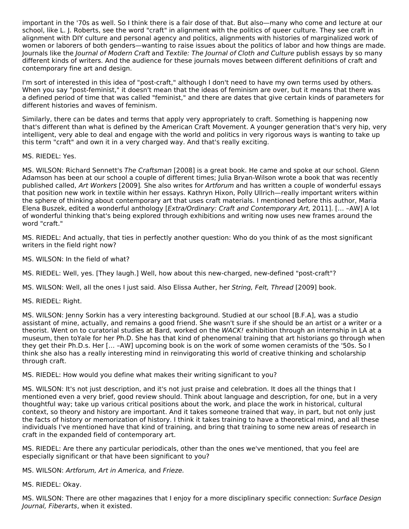important in the '70s as well. So I think there is a fair dose of that. But also—many who come and lecture at our school, like L. J. Roberts, see the word "craft" in alignment with the politics of queer culture. They see craft in alignment with DIY culture and personal agency and politics, alignments with histories of marginalized work of women or laborers of both genders—wanting to raise issues about the politics of labor and how things are made. Journals like the Journal of Modern Craft and Textile: The Journal of Cloth and Culture publish essays by so many different kinds of writers. And the audience for these journals moves between different definitions of craft and contemporary fine art and design.

I'm sort of interested in this idea of "post-craft," although I don't need to have my own terms used by others. When you say "post-feminist," it doesn't mean that the ideas of feminism are over, but it means that there was a defined period of time that was called "feminist," and there are dates that give certain kinds of parameters for different histories and waves of feminism.

Similarly, there can be dates and terms that apply very appropriately to craft. Something is happening now that's different than what is defined by the American Craft Movement. A younger generation that's very hip, very intelligent, very able to deal and engage with the world and politics in very rigorous ways is wanting to take up this term "craft" and own it in a very charged way. And that's really exciting.

#### MS. RIEDEL: Yes.

MS. WILSON: Richard Sennett's The Craftsman [2008] is a great book. He came and spoke at our school. Glenn Adamson has been at our school a couple of different times; Julia Bryan-Wilson wrote a book that was recently published called, Art Workers [2009]. She also writes for Artforum and has written a couple of wonderful essays that position new work in textile within her essays. Kathryn Hixon, Polly Ullrich—really important writers within the sphere of thinking about contemporary art that uses craft materials. I mentioned before this author, Maria Elena Buszek, edited a wonderful anthology [Extra/Ordinary: Craft and Contemporary Art, 2011]. [… –AW] A lot of wonderful thinking that's being explored through exhibitions and writing now uses new frames around the word "craft."

MS. RIEDEL: And actually, that ties in perfectly another question: Who do you think of as the most significant writers in the field right now?

MS. WILSON: In the field of what?

MS. RIEDEL: Well, yes. [They laugh.] Well, how about this new-charged, new-defined "post-craft"?

MS. WILSON: Well, all the ones I just said. Also Elissa Auther, her String, Felt, Thread [2009] book.

MS. RIEDEL: Right.

MS. WILSON: Jenny Sorkin has a very interesting background. Studied at our school [B.F.A], was a studio assistant of mine, actually, and remains a good friend. She wasn't sure if she should be an artist or a writer or a theorist. Went on to curatorial studies at Bard, worked on the WACK! exhibition through an internship in LA at a museum, then toYale for her Ph.D. She has that kind of phenomenal training that art historians go through when they get their Ph.D.s. Her [… –AW] upcoming book is on the work of some women ceramists of the '50s. So I think she also has a really interesting mind in reinvigorating this world of creative thinking and scholarship through craft.

MS. RIEDEL: How would you define what makes their writing significant to you?

MS. WILSON: It's not just description, and it's not just praise and celebration. It does all the things that I mentioned even a very brief, good review should. Think about language and description, for one, but in a very thoughtful way; take up various critical positions about the work, and place the work in historical, cultural context, so theory and history are important. And it takes someone trained that way, in part, but not only just the facts of history or memorization of history. I think it takes training to have a theoretical mind, and all these individuals I've mentioned have that kind of training, and bring that training to some new areas of research in craft in the expanded field of contemporary art.

MS. RIEDEL: Are there any particular periodicals, other than the ones we've mentioned, that you feel are especially significant or that have been significant to you?

MS. WILSON: Artforum, Art in America, and Frieze.

MS. RIEDEL: Okay.

MS. WILSON: There are other magazines that I enjoy for a more disciplinary specific connection: Surface Design Journal, Fiberarts, when it existed.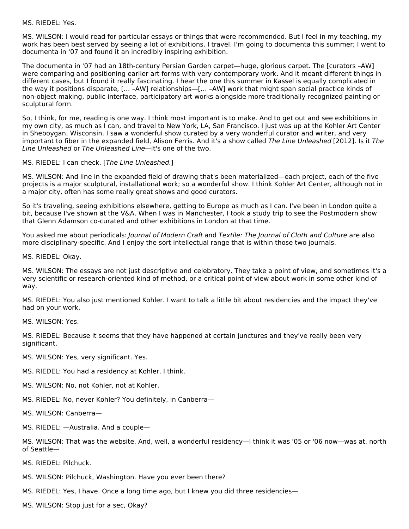#### MS. RIEDEL: Yes.

MS. WILSON: I would read for particular essays or things that were recommended. But I feel in my teaching, my work has been best served by seeing a lot of exhibitions. I travel. I'm going to documenta this summer; I went to documenta in '07 and found it an incredibly inspiring exhibition.

The documenta in '07 had an 18th-century Persian Garden carpet—huge, glorious carpet. The [curators –AW] were comparing and positioning earlier art forms with very contemporary work. And it meant different things in different cases, but I found it really fascinating. I hear the one this summer in Kassel is equally complicated in the way it positions disparate, [… –AW] relationships—[… –AW] work that might span social practice kinds of non-object making, public interface, participatory art works alongside more traditionally recognized painting or sculptural form.

So, I think, for me, reading is one way. I think most important is to make. And to get out and see exhibitions in my own city, as much as I can, and travel to New York, LA, San Francisco. I just was up at the Kohler Art Center in Sheboygan, Wisconsin. I saw a wonderful show curated by a very wonderful curator and writer, and very important to fiber in the expanded field, Alison Ferris. And it's a show called The Line Unleashed [2012]. Is it The Line Unleashed or The Unleashed Line—it's one of the two.

#### MS. RIEDEL: I can check. [The Line Unleashed.]

MS. WILSON: And line in the expanded field of drawing that's been materialized—each project, each of the five projects is a major sculptural, installational work; so a wonderful show. I think Kohler Art Center, although not in a major city, often has some really great shows and good curators.

So it's traveling, seeing exhibitions elsewhere, getting to Europe as much as I can. I've been in London quite a bit, because I've shown at the V&A. When I was in Manchester, I took a study trip to see the Postmodern show that Glenn Adamson co-curated and other exhibitions in London at that time.

You asked me about periodicals: Journal of Modern Craft and Textile: The Journal of Cloth and Culture are also more disciplinary-specific. And I enjoy the sort intellectual range that is within those two journals.

MS. RIEDEL: Okay.

MS. WILSON: The essays are not just descriptive and celebratory. They take a point of view, and sometimes it's a very scientific or research-oriented kind of method, or a critical point of view about work in some other kind of way.

MS. RIEDEL: You also just mentioned Kohler. I want to talk a little bit about residencies and the impact they've had on your work.

MS. WILSON: Yes.

MS. RIEDEL: Because it seems that they have happened at certain junctures and they've really been very significant.

MS. WILSON: Yes, very significant. Yes.

MS. RIEDEL: You had a residency at Kohler, I think.

MS. WILSON: No, not Kohler, not at Kohler.

MS. RIEDEL: No, never Kohler? You definitely, in Canberra—

MS. WILSON: Canberra—

MS. RIEDEL: —Australia. And a couple—

MS. WILSON: That was the website. And, well, a wonderful residency—I think it was '05 or '06 now—was at, north of Seattle—

MS. RIEDEL: Pilchuck.

MS. WILSON: Pilchuck, Washington. Have you ever been there?

MS. RIEDEL: Yes, I have. Once a long time ago, but I knew you did three residencies—

MS. WILSON: Stop just for a sec, Okay?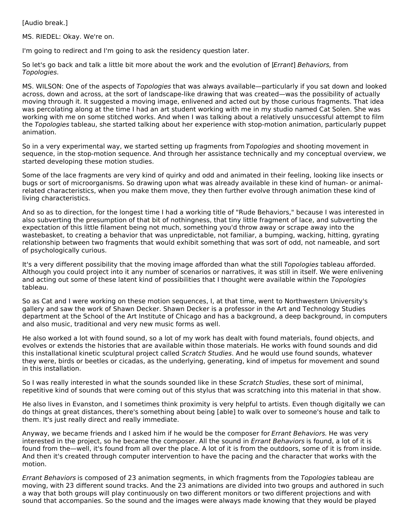[Audio break.]

MS. RIEDEL: Okay. We're on.

I'm going to redirect and I'm going to ask the residency question later.

So let's go back and talk a little bit more about the work and the evolution of [Errant] Behaviors, from Topologies.

MS. WILSON: One of the aspects of Topologies that was always available—particularly if you sat down and looked across, down and across, at the sort of landscape-like drawing that was created—was the possibility of actually moving through it. It suggested a moving image, enlivened and acted out by those curious fragments. That idea was percolating along at the time I had an art student working with me in my studio named Cat Solen. She was working with me on some stitched works. And when I was talking about a relatively unsuccessful attempt to film the Topologies tableau, she started talking about her experience with stop-motion animation, particularly puppet animation.

So in a very experimental way, we started setting up fragments from Topologies and shooting movement in sequence, in the stop-motion sequence. And through her assistance technically and my conceptual overview, we started developing these motion studies.

Some of the lace fragments are very kind of quirky and odd and animated in their feeling, looking like insects or bugs or sort of microorganisms. So drawing upon what was already available in these kind of human- or animalrelated characteristics, when you make them move, they then further evolve through animation these kind of living characteristics.

And so as to direction, for the longest time I had a working title of "Rude Behaviors," because I was interested in also subverting the presumption of that bit of nothingness, that tiny little fragment of lace, and subverting the expectation of this little filament being not much, something you'd throw away or scrape away into the wastebasket, to creating a behavior that was unpredictable, not familiar, a bumping, wacking, hitting, gyrating relationship between two fragments that would exhibit something that was sort of odd, not nameable, and sort of psychologically curious.

It's a very different possibility that the moving image afforded than what the still Topologies tableau afforded. Although you could project into it any number of scenarios or narratives, it was still in itself. We were enlivening and acting out some of these latent kind of possibilities that I thought were available within the Topologies tableau.

So as Cat and I were working on these motion sequences, I, at that time, went to Northwestern University's gallery and saw the work of Shawn Decker. Shawn Decker is a professor in the Art and Technology Studies department at the School of the Art Institute of Chicago and has a background, a deep background, in computers and also music, traditional and very new music forms as well.

He also worked a lot with found sound, so a lot of my work has dealt with found materials, found objects, and evolves or extends the histories that are available within those materials. He works with found sounds and did this installational kinetic sculptural project called Scratch Studies. And he would use found sounds, whatever they were, birds or beetles or cicadas, as the underlying, generating, kind of impetus for movement and sound in this installation.

So I was really interested in what the sounds sounded like in these Scratch Studies, these sort of minimal, repetitive kind of sounds that were coming out of this stylus that was scratching into this material in that show.

He also lives in Evanston, and I sometimes think proximity is very helpful to artists. Even though digitally we can do things at great distances, there's something about being [able] to walk over to someone's house and talk to them. It's just really direct and really immediate.

Anyway, we became friends and I asked him if he would be the composer for Errant Behaviors. He was very interested in the project, so he became the composer. All the sound in *Errant Behaviors* is found, a lot of it is found from the—well, it's found from all over the place. A lot of it is from the outdoors, some of it is from inside. And then it's created through computer intervention to have the pacing and the character that works with the motion.

Errant Behaviors is composed of 23 animation segments, in which fragments from the Topologies tableau are moving, with 23 different sound tracks. And the 23 animations are divided into two groups and authored in such a way that both groups will play continuously on two different monitors or two different projections and with sound that accompanies. So the sound and the images were always made knowing that they would be played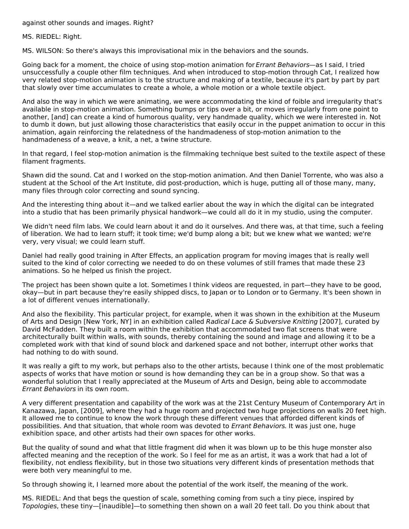against other sounds and images. Right?

MS. RIEDEL: Right.

MS. WILSON: So there's always this improvisational mix in the behaviors and the sounds.

Going back for a moment, the choice of using stop-motion animation for Errant Behaviors—as I said, I tried unsuccessfully a couple other film techniques. And when introduced to stop-motion through Cat, I realized how very related stop-motion animation is to the structure and making of a textile, because it's part by part by part that slowly over time accumulates to create a whole, a whole motion or a whole textile object.

And also the way in which we were animating, we were accommodating the kind of foible and irregularity that's available in stop-motion animation. Something bumps or tips over a bit, or moves irregularly from one point to another, [and] can create a kind of humorous quality, very handmade quality, which we were interested in. Not to dumb it down, but just allowing those characteristics that easily occur in the puppet animation to occur in this animation, again reinforcing the relatedness of the handmadeness of stop-motion animation to the handmadeness of a weave, a knit, a net, a twine structure.

In that regard, I feel stop-motion animation is the filmmaking technique best suited to the textile aspect of these filament fragments.

Shawn did the sound. Cat and I worked on the stop-motion animation. And then Daniel Torrente, who was also a student at the School of the Art Institute, did post-production, which is huge, putting all of those many, many, many files through color correcting and sound syncing.

And the interesting thing about it—and we talked earlier about the way in which the digital can be integrated into a studio that has been primarily physical handwork—we could all do it in my studio, using the computer.

We didn't need film labs. We could learn about it and do it ourselves. And there was, at that time, such a feeling of liberation. We had to learn stuff; it took time; we'd bump along a bit; but we knew what we wanted; we're very, very visual; we could learn stuff.

Daniel had really good training in After Effects, an application program for moving images that is really well suited to the kind of color correcting we needed to do on these volumes of still frames that made these 23 animations. So he helped us finish the project.

The project has been shown quite a lot. Sometimes I think videos are requested, in part—they have to be good, okay—but in part because they're easily shipped discs, to Japan or to London or to Germany. It's been shown in a lot of different venues internationally.

And also the flexibility. This particular project, for example, when it was shown in the exhibition at the Museum of Arts and Design [New York, NY] in an exhibition called Radical Lace & Subversive Knitting [2007], curated by David McFadden. They built a room within the exhibition that accommodated two flat screens that were architecturally built within walls, with sounds, thereby containing the sound and image and allowing it to be a completed work with that kind of sound block and darkened space and not bother, interrupt other works that had nothing to do with sound.

It was really a gift to my work, but perhaps also to the other artists, because I think one of the most problematic aspects of works that have motion or sound is how demanding they can be in a group show. So that was a wonderful solution that I really appreciated at the Museum of Arts and Design, being able to accommodate Errant Behaviors in its own room.

A very different presentation and capability of the work was at the 21st Century Museum of Contemporary Art in Kanazawa, Japan, [2009], where they had a huge room and projected two huge projections on walls 20 feet high. It allowed me to continue to know the work through these different venues that afforded different kinds of possibilities. And that situation, that whole room was devoted to Errant Behaviors. It was just one, huge exhibition space, and other artists had their own spaces for other works.

But the quality of sound and what that little fragment did when it was blown up to be this huge monster also affected meaning and the reception of the work. So I feel for me as an artist, it was a work that had a lot of flexibility, not endless flexibility, but in those two situations very different kinds of presentation methods that were both very meaningful to me.

So through showing it, I learned more about the potential of the work itself, the meaning of the work.

MS. RIEDEL: And that begs the question of scale, something coming from such a tiny piece, inspired by Topologies, these tiny—[inaudible]—to something then shown on a wall 20 feet tall. Do you think about that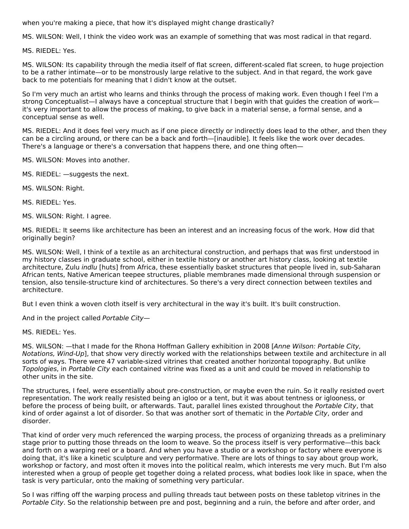when you're making a piece, that how it's displayed might change drastically?

MS. WILSON: Well, I think the video work was an example of something that was most radical in that regard.

MS. RIEDEL: Yes.

MS. WILSON: Its capability through the media itself of flat screen, different-scaled flat screen, to huge projection to be a rather intimate—or to be monstrously large relative to the subject. And in that regard, the work gave back to me potentials for meaning that I didn't know at the outset.

So I'm very much an artist who learns and thinks through the process of making work. Even though I feel I'm a strong Conceptualist—I always have a conceptual structure that I begin with that guides the creation of work it's very important to allow the process of making, to give back in a material sense, a formal sense, and a conceptual sense as well.

MS. RIEDEL: And it does feel very much as if one piece directly or indirectly does lead to the other, and then they can be a circling around, or there can be a back and forth—[inaudible]. It feels like the work over decades. There's a language or there's a conversation that happens there, and one thing often—

MS. WILSON: Moves into another.

- MS. RIEDEL: —suggests the next.
- MS. WILSON: Right.

MS. RIEDEL: Yes.

MS. WILSON: Right. I agree.

MS. RIEDEL: It seems like architecture has been an interest and an increasing focus of the work. How did that originally begin?

MS. WILSON: Well, I think of a textile as an architectural construction, and perhaps that was first understood in my history classes in graduate school, either in textile history or another art history class, looking at textile architecture, Zulu indlu [huts] from Africa, these essentially basket structures that people lived in, sub-Saharan African tents, Native American teepee structures, pliable membranes made dimensional through suspension or tension, also tensile-structure kind of architectures. So there's a very direct connection between textiles and architecture.

But I even think a woven cloth itself is very architectural in the way it's built. It's built construction.

And in the project called Portable City—

MS. RIEDEL: Yes.

MS. WILSON: —that I made for the Rhona Hoffman Gallery exhibition in 2008 [Anne Wilson: Portable City, Notations, Wind-Up], that show very directly worked with the relationships between textile and architecture in all sorts of ways. There were 47 variable-sized vitrines that created another horizontal topography. But unlike Topologies, in Portable City each contained vitrine was fixed as a unit and could be moved in relationship to other units in the site.

The structures, I feel, were essentially about pre-construction, or maybe even the ruin. So it really resisted overt representation. The work really resisted being an igloo or a tent, but it was about tentness or iglooness, or before the process of being built, or afterwards. Taut, parallel lines existed throughout the Portable City, that kind of order against a lot of disorder. So that was another sort of thematic in the Portable City, order and disorder.

That kind of order very much referenced the warping process, the process of organizing threads as a preliminary stage prior to putting those threads on the loom to weave. So the process itself is very performative—this back and forth on a warping reel or a board. And when you have a studio or a workshop or factory where everyone is doing that, it's like a kinetic sculpture and very performative. There are lots of things to say about group work, workshop or factory, and most often it moves into the political realm, which interests me very much. But I'm also interested when a group of people get together doing a related process, what bodies look like in space, when the task is very particular, onto the making of something very particular.

So I was riffing off the warping process and pulling threads taut between posts on these tabletop vitrines in the Portable City. So the relationship between pre and post, beginning and a ruin, the before and after order, and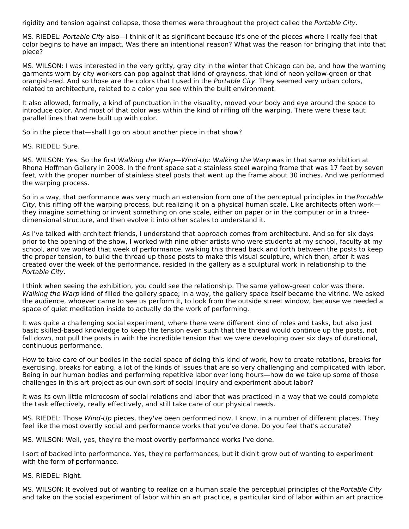rigidity and tension against collapse, those themes were throughout the project called the Portable City.

MS. RIEDEL: Portable City also—I think of it as significant because it's one of the pieces where I really feel that color begins to have an impact. Was there an intentional reason? What was the reason for bringing that into that piece?

MS. WILSON: I was interested in the very gritty, gray city in the winter that Chicago can be, and how the warning garments worn by city workers can pop against that kind of grayness, that kind of neon yellow-green or that orangish-red. And so those are the colors that I used in the Portable City. They seemed very urban colors, related to architecture, related to a color you see within the built environment.

It also allowed, formally, a kind of punctuation in the visuality, moved your body and eye around the space to introduce color. And most of that color was within the kind of riffing off the warping. There were these taut parallel lines that were built up with color.

So in the piece that—shall I go on about another piece in that show?

MS. RIEDEL: Sure.

MS. WILSON: Yes. So the first Walking the Warp—Wind-Up: Walking the Warp was in that same exhibition at Rhona Hoffman Gallery in 2008. In the front space sat a stainless steel warping frame that was 17 feet by seven feet, with the proper number of stainless steel posts that went up the frame about 30 inches. And we performed the warping process.

So in a way, that performance was very much an extension from one of the perceptual principles in the Portable City, this riffing off the warping process, but realizing it on a physical human scale. Like architects often work they imagine something or invent something on one scale, either on paper or in the computer or in a threedimensional structure, and then evolve it into other scales to understand it.

As I've talked with architect friends, I understand that approach comes from architecture. And so for six days prior to the opening of the show, I worked with nine other artists who were students at my school, faculty at my school, and we worked that week of performance, walking this thread back and forth between the posts to keep the proper tension, to build the thread up those posts to make this visual sculpture, which then, after it was created over the week of the performance, resided in the gallery as a sculptural work in relationship to the Portable City.

I think when seeing the exhibition, you could see the relationship. The same yellow-green color was there. Walking the Warp kind of filled the gallery space; in a way, the gallery space itself became the vitrine. We asked the audience, whoever came to see us perform it, to look from the outside street window, because we needed a space of quiet meditation inside to actually do the work of performing.

It was quite a challenging social experiment, where there were different kind of roles and tasks, but also just basic skilled-based knowledge to keep the tension even such that the thread would continue up the posts, not fall down, not pull the posts in with the incredible tension that we were developing over six days of durational, continuous performance.

How to take care of our bodies in the social space of doing this kind of work, how to create rotations, breaks for exercising, breaks for eating, a lot of the kinds of issues that are so very challenging and complicated with labor. Being in our human bodies and performing repetitive labor over long hours—how do we take up some of those challenges in this art project as our own sort of social inquiry and experiment about labor?

It was its own little microcosm of social relations and labor that was practiced in a way that we could complete the task effectively, really effectively, and still take care of our physical needs.

MS. RIEDEL: Those Wind-Up pieces, they've been performed now, I know, in a number of different places. They feel like the most overtly social and performance works that you've done. Do you feel that's accurate?

MS. WILSON: Well, yes, they're the most overtly performance works I've done.

I sort of backed into performance. Yes, they're performances, but it didn't grow out of wanting to experiment with the form of performance.

MS. RIEDEL: Right.

MS. WILSON: It evolved out of wanting to realize on a human scale the perceptual principles of the *Portable City* and take on the social experiment of labor within an art practice, a particular kind of labor within an art practice.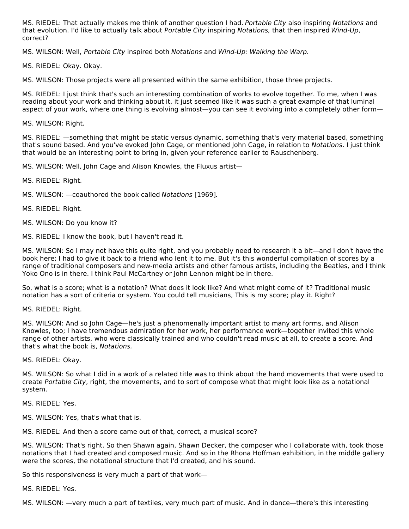MS. RIEDEL: That actually makes me think of another question I had. Portable City also inspiring Notations and that evolution. I'd like to actually talk about Portable City inspiring Notations, that then inspired Wind-Up, correct?

MS. WILSON: Well, Portable City inspired both Notations and Wind-Up: Walking the Warp.

MS. RIEDEL: Okay. Okay.

MS. WILSON: Those projects were all presented within the same exhibition, those three projects.

MS. RIEDEL: I just think that's such an interesting combination of works to evolve together. To me, when I was reading about your work and thinking about it, it just seemed like it was such a great example of that luminal aspect of your work, where one thing is evolving almost—you can see it evolving into a completely other form—

MS. WILSON: Right.

MS. RIEDEL: —something that might be static versus dynamic, something that's very material based, something that's sound based. And you've evoked John Cage, or mentioned John Cage, in relation to Notations. I just think that would be an interesting point to bring in, given your reference earlier to Rauschenberg.

MS. WILSON: Well, John Cage and Alison Knowles, the Fluxus artist—

MS. RIEDEL: Right.

MS. WILSON: —coauthored the book called Notations [1969].

MS. RIEDEL: Right.

MS. WILSON: Do you know it?

MS. RIEDEL: I know the book, but I haven't read it.

MS. WILSON: So I may not have this quite right, and you probably need to research it a bit—and I don't have the book here; I had to give it back to a friend who lent it to me. But it's this wonderful compilation of scores by a range of traditional composers and new-media artists and other famous artists, including the Beatles, and I think Yoko Ono is in there. I think Paul McCartney or John Lennon might be in there.

So, what is a score; what is a notation? What does it look like? And what might come of it? Traditional music notation has a sort of criteria or system. You could tell musicians, This is my score; play it. Right?

MS. RIEDEL: Right.

MS. WILSON: And so John Cage—he's just a phenomenally important artist to many art forms, and Alison Knowles, too; I have tremendous admiration for her work, her performance work—together invited this whole range of other artists, who were classically trained and who couldn't read music at all, to create a score. And that's what the book is, Notations.

MS. RIEDEL: Okay.

MS. WILSON: So what I did in a work of a related title was to think about the hand movements that were used to create Portable City, right, the movements, and to sort of compose what that might look like as a notational system.

MS. RIEDEL: Yes.

MS. WILSON: Yes, that's what that is.

MS. RIEDEL: And then a score came out of that, correct, a musical score?

MS. WILSON: That's right. So then Shawn again, Shawn Decker, the composer who I collaborate with, took those notations that I had created and composed music. And so in the Rhona Hoffman exhibition, in the middle gallery were the scores, the notational structure that I'd created, and his sound.

So this responsiveness is very much a part of that work—

MS. RIEDEL: Yes.

MS. WILSON: —very much a part of textiles, very much part of music. And in dance—there's this interesting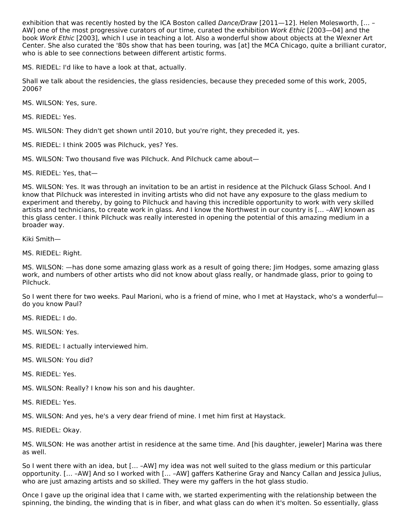exhibition that was recently hosted by the ICA Boston called Dance/Draw [2011-12]. Helen Molesworth, [... -AW] one of the most progressive curators of our time, curated the exhibition Work Ethic [2003—04] and the book Work Ethic [2003], which I use in teaching a lot. Also a wonderful show about objects at the Wexner Art Center. She also curated the '80s show that has been touring, was [at] the MCA Chicago, quite a brilliant curator, who is able to see connections between different artistic forms.

MS. RIEDEL: I'd like to have a look at that, actually.

Shall we talk about the residencies, the glass residencies, because they preceded some of this work, 2005, 2006?

MS. WILSON: Yes, sure.

MS. RIEDEL: Yes.

MS. WILSON: They didn't get shown until 2010, but you're right, they preceded it, yes.

MS. RIEDEL: I think 2005 was Pilchuck, yes? Yes.

MS. WILSON: Two thousand five was Pilchuck. And Pilchuck came about—

MS. RIEDEL: Yes, that—

MS. WILSON: Yes. It was through an invitation to be an artist in residence at the Pilchuck Glass School. And I know that Pilchuck was interested in inviting artists who did not have any exposure to the glass medium to experiment and thereby, by going to Pilchuck and having this incredible opportunity to work with very skilled artists and technicians, to create work in glass. And I know the Northwest in our country is [… –AW] known as this glass center. I think Pilchuck was really interested in opening the potential of this amazing medium in a broader way.

Kiki Smith—

MS. RIEDEL: Right.

MS. WILSON: —has done some amazing glass work as a result of going there; Jim Hodges, some amazing glass work, and numbers of other artists who did not know about glass really, or handmade glass, prior to going to Pilchuck.

So I went there for two weeks. Paul Marioni, who is a friend of mine, who I met at Haystack, who's a wonderful do you know Paul?

MS. RIEDEL: I do.

MS. WILSON: Yes.

MS. RIEDEL: I actually interviewed him.

MS. WILSON: You did?

MS. RIEDEL: Yes.

MS. WILSON: Really? I know his son and his daughter.

MS. RIEDEL: Yes.

MS. WILSON: And yes, he's a very dear friend of mine. I met him first at Haystack.

MS. RIEDEL: Okay.

MS. WILSON: He was another artist in residence at the same time. And [his daughter, jeweler] Marina was there as well.

So I went there with an idea, but [… –AW] my idea was not well suited to the glass medium or this particular opportunity. [… –AW] And so I worked with [… –AW] gaffers Katherine Gray and Nancy Callan and Jessica Julius, who are just amazing artists and so skilled. They were my gaffers in the hot glass studio.

Once I gave up the original idea that I came with, we started experimenting with the relationship between the spinning, the binding, the winding that is in fiber, and what glass can do when it's molten. So essentially, glass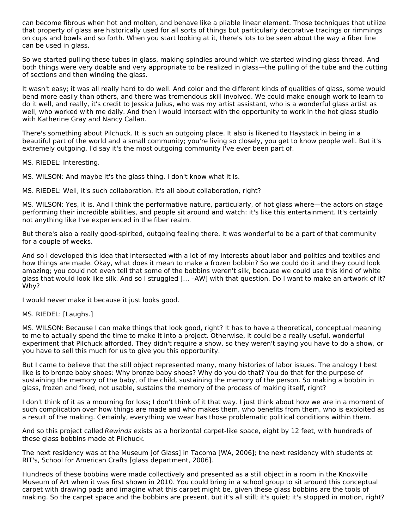can become fibrous when hot and molten, and behave like a pliable linear element. Those techniques that utilize that property of glass are historically used for all sorts of things but particularly decorative tracings or rimmings on cups and bowls and so forth. When you start looking at it, there's lots to be seen about the way a fiber line can be used in glass.

So we started pulling these tubes in glass, making spindles around which we started winding glass thread. And both things were very doable and very appropriate to be realized in glass—the pulling of the tube and the cutting of sections and then winding the glass.

It wasn't easy; it was all really hard to do well. And color and the different kinds of qualities of glass, some would bend more easily than others, and there was tremendous skill involved. We could make enough work to learn to do it well, and really, it's credit to Jessica Julius, who was my artist assistant, who is a wonderful glass artist as well, who worked with me daily. And then I would intersect with the opportunity to work in the hot glass studio with Katherine Gray and Nancy Callan.

There's something about Pilchuck. It is such an outgoing place. It also is likened to Haystack in being in a beautiful part of the world and a small community; you're living so closely, you get to know people well. But it's extremely outgoing. I'd say it's the most outgoing community I've ever been part of.

MS. RIEDEL: Interesting.

MS. WILSON: And maybe it's the glass thing. I don't know what it is.

MS. RIEDEL: Well, it's such collaboration. It's all about collaboration, right?

MS. WILSON: Yes, it is. And I think the performative nature, particularly, of hot glass where—the actors on stage performing their incredible abilities, and people sit around and watch: it's like this entertainment. It's certainly not anything like I've experienced in the fiber realm.

But there's also a really good-spirited, outgoing feeling there. It was wonderful to be a part of that community for a couple of weeks.

And so I developed this idea that intersected with a lot of my interests about labor and politics and textiles and how things are made. Okay, what does it mean to make a frozen bobbin? So we could do it and they could look amazing; you could not even tell that some of the bobbins weren't silk, because we could use this kind of white glass that would look like silk. And so I struggled [… –AW] with that question. Do I want to make an artwork of it? Why?

I would never make it because it just looks good.

#### MS. RIEDEL: [Laughs.]

MS. WILSON: Because I can make things that look good, right? It has to have a theoretical, conceptual meaning to me to actually spend the time to make it into a project. Otherwise, it could be a really useful, wonderful experiment that Pilchuck afforded. They didn't require a show, so they weren't saying you have to do a show, or you have to sell this much for us to give you this opportunity.

But I came to believe that the still object represented many, many histories of labor issues. The analogy I best like is to bronze baby shoes: Why bronze baby shoes? Why do you do that? You do that for the purpose of sustaining the memory of the baby, of the child, sustaining the memory of the person. So making a bobbin in glass, frozen and fixed, not usable, sustains the memory of the process of making itself, right?

I don't think of it as a mourning for loss; I don't think of it that way. I just think about how we are in a moment of such complication over how things are made and who makes them, who benefits from them, who is exploited as a result of the making. Certainly, everything we wear has those problematic political conditions within them.

And so this project called Rewinds exists as a horizontal carpet-like space, eight by 12 feet, with hundreds of these glass bobbins made at Pilchuck.

The next residency was at the Museum [of Glass] in Tacoma [WA, 2006]; the next residency with students at RIT's, School for American Crafts [glass department, 2006].

Hundreds of these bobbins were made collectively and presented as a still object in a room in the Knoxville Museum of Art when it was first shown in 2010. You could bring in a school group to sit around this conceptual carpet with drawing pads and imagine what this carpet might be, given these glass bobbins are the tools of making. So the carpet space and the bobbins are present, but it's all still; it's quiet; it's stopped in motion, right?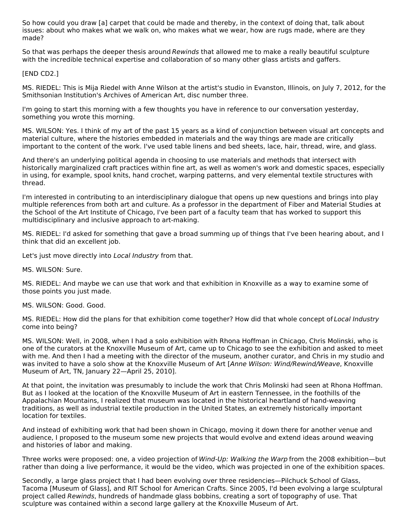So how could you draw [a] carpet that could be made and thereby, in the context of doing that, talk about issues: about who makes what we walk on, who makes what we wear, how are rugs made, where are they made?

So that was perhaps the deeper thesis around Rewinds that allowed me to make a really beautiful sculpture with the incredible technical expertise and collaboration of so many other glass artists and gaffers.

[END CD2.]

MS. RIEDEL: This is Mija Riedel with Anne Wilson at the artist's studio in Evanston, Illinois, on July 7, 2012, for the Smithsonian Institution's Archives of American Art, disc number three.

I'm going to start this morning with a few thoughts you have in reference to our conversation yesterday, something you wrote this morning.

MS. WILSON: Yes. I think of my art of the past 15 years as a kind of conjunction between visual art concepts and material culture, where the histories embedded in materials and the way things are made are critically important to the content of the work. I've used table linens and bed sheets, lace, hair, thread, wire, and glass.

And there's an underlying political agenda in choosing to use materials and methods that intersect with historically marginalized craft practices within fine art, as well as women's work and domestic spaces, especially in using, for example, spool knits, hand crochet, warping patterns, and very elemental textile structures with thread.

I'm interested in contributing to an interdisciplinary dialogue that opens up new questions and brings into play multiple references from both art and culture. As a professor in the department of Fiber and Material Studies at the School of the Art Institute of Chicago, I've been part of a faculty team that has worked to support this multidisciplinary and inclusive approach to art-making.

MS. RIEDEL: I'd asked for something that gave a broad summing up of things that I've been hearing about, and I think that did an excellent job.

Let's just move directly into Local Industry from that.

MS. WILSON: Sure.

MS. RIEDEL: And maybe we can use that work and that exhibition in Knoxville as a way to examine some of those points you just made.

MS. WILSON: Good. Good.

MS. RIEDEL: How did the plans for that exhibition come together? How did that whole concept of Local Industry come into being?

MS. WILSON: Well, in 2008, when I had a solo exhibition with Rhona Hoffman in Chicago, Chris Molinski, who is one of the curators at the Knoxville Museum of Art, came up to Chicago to see the exhibition and asked to meet with me. And then I had a meeting with the director of the museum, another curator, and Chris in my studio and was invited to have a solo show at the Knoxville Museum of Art [Anne Wilson: Wind/Rewind/Weave, Knoxville Museum of Art, TN, January 22—April 25, 2010].

At that point, the invitation was presumably to include the work that Chris Molinski had seen at Rhona Hoffman. But as I looked at the location of the Knoxville Museum of Art in eastern Tennessee, in the foothills of the Appalachian Mountains, I realized that museum was located in the historical heartland of hand-weaving traditions, as well as industrial textile production in the United States, an extremely historically important location for textiles.

And instead of exhibiting work that had been shown in Chicago, moving it down there for another venue and audience, I proposed to the museum some new projects that would evolve and extend ideas around weaving and histories of labor and making.

Three works were proposed: one, a video projection of Wind-Up: Walking the Warp from the 2008 exhibition—but rather than doing a live performance, it would be the video, which was projected in one of the exhibition spaces.

Secondly, a large glass project that I had been evolving over three residencies—Pilchuck School of Glass, Tacoma [Museum of Glass], and RIT School for American Crafts. Since 2005, I'd been evolving a large sculptural project called Rewinds, hundreds of handmade glass bobbins, creating a sort of topography of use. That sculpture was contained within a second large gallery at the Knoxville Museum of Art.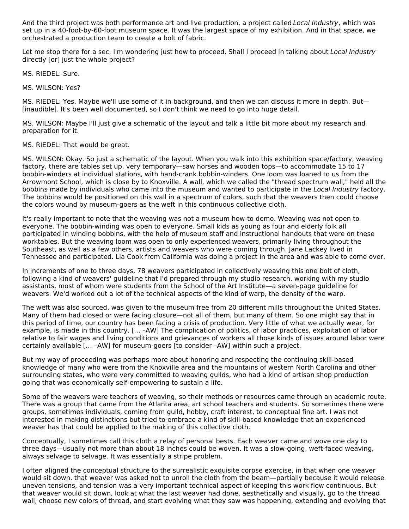And the third project was both performance art and live production, a project called Local Industry, which was set up in a 40-foot-by-60-foot museum space. It was the largest space of my exhibition. And in that space, we orchestrated a production team to create a bolt of fabric.

Let me stop there for a sec. I'm wondering just how to proceed. Shall I proceed in talking about Local Industry directly [or] just the whole project?

MS. RIEDEL: Sure.

MS. WILSON: Yes?

MS. RIEDEL: Yes. Maybe we'll use some of it in background, and then we can discuss it more in depth. But— [inaudible]. It's been well documented, so I don't think we need to go into huge detail.

MS. WILSON: Maybe I'll just give a schematic of the layout and talk a little bit more about my research and preparation for it.

MS. RIEDEL: That would be great.

MS. WILSON: Okay. So just a schematic of the layout. When you walk into this exhibition space/factory, weaving factory, there are tables set up, very temporary—saw horses and wooden tops—to accommodate 15 to 17 bobbin-winders at individual stations, with hand-crank bobbin-winders. One loom was loaned to us from the Arrowmont School, which is close by to Knoxville. A wall, which we called the "thread spectrum wall," held all the bobbins made by individuals who came into the museum and wanted to participate in the Local Industry factory. The bobbins would be positioned on this wall in a spectrum of colors, such that the weavers then could choose the colors wound by museum-goers as the weft in this continuous collective cloth.

It's really important to note that the weaving was not a museum how-to demo. Weaving was not open to everyone. The bobbin-winding was open to everyone. Small kids as young as four and elderly folk all participated in winding bobbins, with the help of museum staff and instructional handouts that were on these worktables. But the weaving loom was open to only experienced weavers, primarily living throughout the Southeast, as well as a few others, artists and weavers who were coming through. Jane Lackey lived in Tennessee and participated. Lia Cook from California was doing a project in the area and was able to come over.

In increments of one to three days, 78 weavers participated in collectively weaving this one bolt of cloth, following a kind of weavers' guideline that I'd prepared through my studio research, working with my studio assistants, most of whom were students from the School of the Art Institute—a seven-page guideline for weavers. We'd worked out a lot of the technical aspects of the kind of warp, the density of the warp.

The weft was also sourced, was given to the museum free from 20 different mills throughout the United States. Many of them had closed or were facing closure—not all of them, but many of them. So one might say that in this period of time, our country has been facing a crisis of production. Very little of what we actually wear, for example, is made in this country. [… –AW] The complication of politics, of labor practices, exploitation of labor relative to fair wages and living conditions and grievances of workers all those kinds of issues around labor were certainly available [… –AW] for museum-goers [to consider –AW] within such a project.

But my way of proceeding was perhaps more about honoring and respecting the continuing skill-based knowledge of many who were from the Knoxville area and the mountains of western North Carolina and other surrounding states, who were very committed to weaving guilds, who had a kind of artisan shop production going that was economically self-empowering to sustain a life.

Some of the weavers were teachers of weaving, so their methods or resources came through an academic route. There was a group that came from the Atlanta area, art school teachers and students. So sometimes there were groups, sometimes individuals, coming from guild, hobby, craft interest, to conceptual fine art. I was not interested in making distinctions but tried to embrace a kind of skill-based knowledge that an experienced weaver has that could be applied to the making of this collective cloth.

Conceptually, I sometimes call this cloth a relay of personal bests. Each weaver came and wove one day to three days—usually not more than about 18 inches could be woven. It was a slow-going, weft-faced weaving, always selvage to selvage. It was essentially a stripe problem.

I often aligned the conceptual structure to the surrealistic exquisite corpse exercise, in that when one weaver would sit down, that weaver was asked not to unroll the cloth from the beam—partially because it would release uneven tensions, and tension was a very important technical aspect of keeping this work flow continuous. But that weaver would sit down, look at what the last weaver had done, aesthetically and visually, go to the thread wall, choose new colors of thread, and start evolving what they saw was happening, extending and evolving that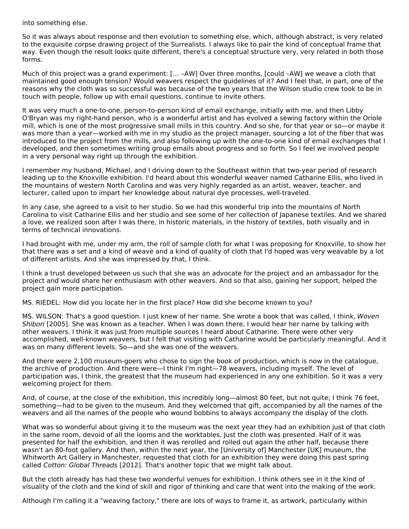into something else.

So it was always about response and then evolution to something else, which, although abstract, is very related to the exquisite corpse drawing project of the Surrealists. I always like to pair the kind of conceptual frame that way. Even though the result looks quite different, there's a conceptual structure very, very related in both those forms.

Much of this project was a grand experiment: [… –AW] Over three months, [could –AW] we weave a cloth that maintained good enough tension? Would weavers respect the guidelines of it? And I feel that, in part, one of the reasons why the cloth was so successful was because of the two years that the Wilson studio crew took to be in touch with people, follow up with email questions, continue to invite others.

It was very much a one-to-one, person-to-person kind of email exchange, initially with me, and then Libby O'Bryan was my right-hand person, who is a wonderful artist and has evolved a sewing factory within the Oriole mill, which is one of the most progressive small mills in this country. And so she, for that year or so—or maybe it was more than a year—worked with me in my studio as the project manager, sourcing a lot of the fiber that was introduced to the project from the mills, and also following up with the one-to-one kind of email exchanges that I developed, and then sometimes writing group emails about progress and so forth. So I feel we involved people in a very personal way right up through the exhibition.

I remember my husband, Michael, and I driving down to the Southeast within that two-year period of research leading up to the Knoxville exhibition. I'd heard about this wonderful weaver named Catharine Ellis, who lived in the mountains of western North Carolina and was very highly regarded as an artist, weaver, teacher, and lecturer, called upon to impart her knowledge about natural dye processes, well-traveled.

In any case, she agreed to a visit to her studio. So we had this wonderful trip into the mountains of North Carolina to visit Catharine Ellis and her studio and see some of her collection of Japanese textiles. And we shared a love, we realized soon after I was there, in historic materials, in the history of textiles, both visually and in terms of technical innovations.

I had brought with me, under my arm, the roll of sample cloth for what I was proposing for Knoxville, to show her that there was a set and a kind of weave and a kind of quality of cloth that I'd hoped was very weavable by a lot of different artists. And she was impressed by that, I think.

I think a trust developed between us such that she was an advocate for the project and an ambassador for the project and would share her enthusiasm with other weavers. And so that also, gaining her support, helped the project gain more participation.

MS. RIEDEL: How did you locate her in the first place? How did she become known to you?

MS. WILSON: That's a good question. I just knew of her name. She wrote a book that was called, I think, Woven Shibori [2005]. She was known as a teacher. When I was down there, I would hear her name by talking with other weavers. I think it was just from multiple sources I heard about Catharine. There were other very accomplished, well-known weavers, but I felt that visiting with Catharine would be particularly meaningful. And it was on many different levels. So—and she was one of the weavers.

And there were 2,100 museum-goers who chose to sign the book of production, which is now in the catalogue, the archive of production. And there were—I think I'm right—78 weavers, including myself. The level of participation was, I think, the greatest that the museum had experienced in any one exhibition. So it was a very welcoming project for them.

And, of course, at the close of the exhibition, this incredibly long—almost 80 feet, but not quite; I think 76 feet, something—had to be given to the museum. And they welcomed that gift, accompanied by all the names of the weavers and all the names of the people who wound bobbins to always accompany the display of the cloth.

What was so wonderful about giving it to the museum was the next year they had an exhibition just of that cloth in the same room, devoid of all the looms and the worktables. Just the cloth was presented. Half of it was presented for half the exhibition, and then it was rerolled and rolled out again the other half, because there wasn't an 80-foot gallery. And then, within the next year, the [University of] Manchester [UK] museum, the Whitworth Art Gallery in Manchester, requested that cloth for an exhibition they were doing this past spring called Cotton: Global Threads [2012]. That's another topic that we might talk about.

But the cloth already has had these two wonderful venues for exhibition. I think others see in it the kind of visuality of the cloth and the kind of skill and rigor of thinking and care that went into the making of the work.

Although I'm calling it a "weaving factory," there are lots of ways to frame it, as artwork, particularly within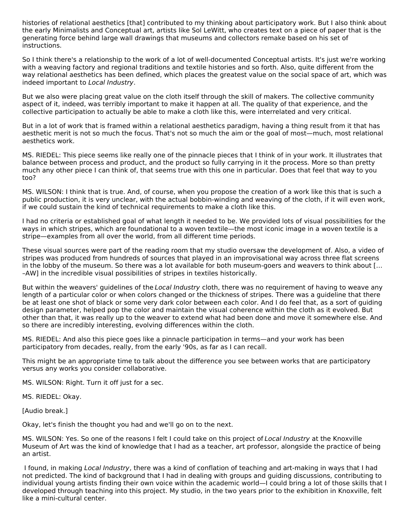histories of relational aesthetics [that] contributed to my thinking about participatory work. But I also think about the early Minimalists and Conceptual art, artists like Sol LeWitt, who creates text on a piece of paper that is the generating force behind large wall drawings that museums and collectors remake based on his set of instructions.

So I think there's a relationship to the work of a lot of well-documented Conceptual artists. It's just we're working with a weaving factory and regional traditions and textile histories and so forth. Also, quite different from the way relational aesthetics has been defined, which places the greatest value on the social space of art, which was indeed important to Local Industry.

But we also were placing great value on the cloth itself through the skill of makers. The collective community aspect of it, indeed, was terribly important to make it happen at all. The quality of that experience, and the collective participation to actually be able to make a cloth like this, were interrelated and very critical.

But in a lot of work that is framed within a relational aesthetics paradigm, having a thing result from it that has aesthetic merit is not so much the focus. That's not so much the aim or the goal of most—much, most relational aesthetics work.

MS. RIEDEL: This piece seems like really one of the pinnacle pieces that I think of in your work. It illustrates that balance between process and product, and the product so fully carrying in it the process. More so than pretty much any other piece I can think of, that seems true with this one in particular. Does that feel that way to you too?

MS. WILSON: I think that is true. And, of course, when you propose the creation of a work like this that is such a public production, it is very unclear, with the actual bobbin-winding and weaving of the cloth, if it will even work, if we could sustain the kind of technical requirements to make a cloth like this.

I had no criteria or established goal of what length it needed to be. We provided lots of visual possibilities for the ways in which stripes, which are foundational to a woven textile—the most iconic image in a woven textile is a stripe—examples from all over the world, from all different time periods.

These visual sources were part of the reading room that my studio oversaw the development of. Also, a video of stripes was produced from hundreds of sources that played in an improvisational way across three flat screens in the lobby of the museum. So there was a lot available for both museum-goers and weavers to think about [… –AW] in the incredible visual possibilities of stripes in textiles historically.

But within the weavers' guidelines of the Local Industry cloth, there was no requirement of having to weave any length of a particular color or when colors changed or the thickness of stripes. There was a guideline that there be at least one shot of black or some very dark color between each color. And I do feel that, as a sort of guiding design parameter, helped pop the color and maintain the visual coherence within the cloth as it evolved. But other than that, it was really up to the weaver to extend what had been done and move it somewhere else. And so there are incredibly interesting, evolving differences within the cloth.

MS. RIEDEL: And also this piece goes like a pinnacle participation in terms—and your work has been participatory from decades, really, from the early '90s, as far as I can recall.

This might be an appropriate time to talk about the difference you see between works that are participatory versus any works you consider collaborative.

MS. WILSON: Right. Turn it off just for a sec.

MS. RIEDEL: Okay.

[Audio break.]

Okay, let's finish the thought you had and we'll go on to the next.

MS. WILSON: Yes. So one of the reasons I felt I could take on this project of Local Industry at the Knoxville Museum of Art was the kind of knowledge that I had as a teacher, art professor, alongside the practice of being an artist.

I found, in making Local Industry, there was a kind of conflation of teaching and art-making in ways that I had not predicted. The kind of background that I had in dealing with groups and guiding discussions, contributing to individual young artists finding their own voice within the academic world—I could bring a lot of those skills that I developed through teaching into this project. My studio, in the two years prior to the exhibition in Knoxville, felt like a mini-cultural center.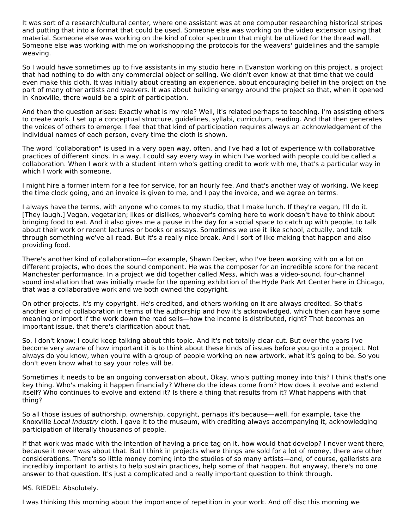It was sort of a research/cultural center, where one assistant was at one computer researching historical stripes and putting that into a format that could be used. Someone else was working on the video extension using that material. Someone else was working on the kind of color spectrum that might be utilized for the thread wall. Someone else was working with me on workshopping the protocols for the weavers' guidelines and the sample weaving.

So I would have sometimes up to five assistants in my studio here in Evanston working on this project, a project that had nothing to do with any commercial object or selling. We didn't even know at that time that we could even make this cloth. It was initially about creating an experience, about encouraging belief in the project on the part of many other artists and weavers. It was about building energy around the project so that, when it opened in Knoxville, there would be a spirit of participation.

And then the question arises: Exactly what is my role? Well, it's related perhaps to teaching. I'm assisting others to create work. I set up a conceptual structure, guidelines, syllabi, curriculum, reading. And that then generates the voices of others to emerge. I feel that that kind of participation requires always an acknowledgement of the individual names of each person, every time the cloth is shown.

The word "collaboration" is used in a very open way, often, and I've had a lot of experience with collaborative practices of different kinds. In a way, I could say every way in which I've worked with people could be called a collaboration. When I work with a student intern who's getting credit to work with me, that's a particular way in which I work with someone.

I might hire a former intern for a fee for service, for an hourly fee. And that's another way of working. We keep the time clock going, and an invoice is given to me, and I pay the invoice, and we agree on terms.

I always have the terms, with anyone who comes to my studio, that I make lunch. If they're vegan, I'll do it. [They laugh.] Vegan, vegetarian; likes or dislikes, whoever's coming here to work doesn't have to think about bringing food to eat. And it also gives me a pause in the day for a social space to catch up with people, to talk about their work or recent lectures or books or essays. Sometimes we use it like school, actually, and talk through something we've all read. But it's a really nice break. And I sort of like making that happen and also providing food.

There's another kind of collaboration—for example, Shawn Decker, who I've been working with on a lot on different projects, who does the sound component. He was the composer for an incredible score for the recent Manchester performance. In a project we did together called Mess, which was a video-sound, four-channel sound installation that was initially made for the opening exhibition of the Hyde Park Art Center here in Chicago, that was a collaborative work and we both owned the copyright.

On other projects, it's my copyright. He's credited, and others working on it are always credited. So that's another kind of collaboration in terms of the authorship and how it's acknowledged, which then can have some meaning or import if the work down the road sells—how the income is distributed, right? That becomes an important issue, that there's clarification about that.

So, I don't know; I could keep talking about this topic. And it's not totally clear-cut. But over the years I've become very aware of how important it is to think about these kinds of issues before you go into a project. Not always do you know, when you're with a group of people working on new artwork, what it's going to be. So you don't even know what to say your roles will be.

Sometimes it needs to be an ongoing conversation about, Okay, who's putting money into this? I think that's one key thing. Who's making it happen financially? Where do the ideas come from? How does it evolve and extend itself? Who continues to evolve and extend it? Is there a thing that results from it? What happens with that thing?

So all those issues of authorship, ownership, copyright, perhaps it's because—well, for example, take the Knoxville Local Industry cloth. I gave it to the museum, with crediting always accompanying it, acknowledging participation of literally thousands of people.

If that work was made with the intention of having a price tag on it, how would that develop? I never went there, because it never was about that. But I think in projects where things are sold for a lot of money, there are other considerations. There's so little money coming into the studios of so many artists—and, of course, gallerists are incredibly important to artists to help sustain practices, help some of that happen. But anyway, there's no one answer to that question. It's just a complicated and a really important question to think through.

MS. RIEDEL: Absolutely.

I was thinking this morning about the importance of repetition in your work. And off disc this morning we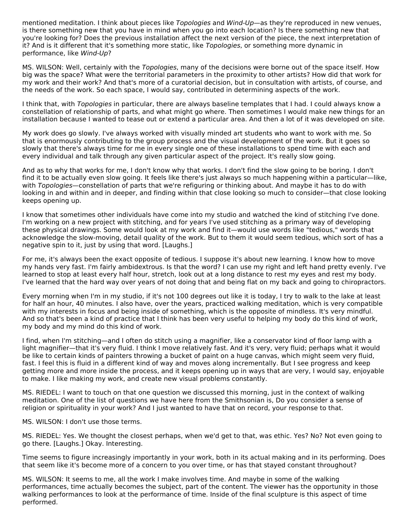mentioned meditation. I think about pieces like Topologies and Wind-Up—as they're reproduced in new venues, is there something new that you have in mind when you go into each location? Is there something new that you're looking for? Does the previous installation affect the next version of the piece, the next interpretation of it? And is it different that it's something more static, like Topologies, or something more dynamic in performance, like Wind-Up?

MS. WILSON: Well, certainly with the Topologies, many of the decisions were borne out of the space itself. How big was the space? What were the territorial parameters in the proximity to other artists? How did that work for my work and their work? And that's more of a curatorial decision, but in consultation with artists, of course, and the needs of the work. So each space, I would say, contributed in determining aspects of the work.

I think that, with Topologies in particular, there are always baseline templates that I had. I could always know a constellation of relationship of parts, and what might go where. Then sometimes I would make new things for an installation because I wanted to tease out or extend a particular area. And then a lot of it was developed on site.

My work does go slowly. I've always worked with visually minded art students who want to work with me. So that is enormously contributing to the group process and the visual development of the work. But it goes so slowly that there's always time for me in every single one of these installations to spend time with each and every individual and talk through any given particular aspect of the project. It's really slow going.

And as to why that works for me, I don't know why that works. I don't find the slow going to be boring. I don't find it to be actually even slow going. It feels like there's just always so much happening within a particular—like, with Topologies—constellation of parts that we're refiguring or thinking about. And maybe it has to do with looking in and within and in deeper, and finding within that close looking so much to consider—that close looking keeps opening up.

I know that sometimes other individuals have come into my studio and watched the kind of stitching I've done. I'm working on a new project with stitching, and for years I've used stitching as a primary way of developing these physical drawings. Some would look at my work and find it—would use words like "tedious," words that acknowledge the slow-moving, detail quality of the work. But to them it would seem tedious, which sort of has a negative spin to it, just by using that word. [Laughs.]

For me, it's always been the exact opposite of tedious. I suppose it's about new learning. I know how to move my hands very fast. I'm fairly ambidextrous. Is that the word? I can use my right and left hand pretty evenly. I've learned to stop at least every half hour, stretch, look out at a long distance to rest my eyes and rest my body. I've learned that the hard way over years of not doing that and being flat on my back and going to chiropractors.

Every morning when I'm in my studio, if it's not 100 degrees out like it is today, I try to walk to the lake at least for half an hour, 40 minutes. I also have, over the years, practiced walking meditation, which is very compatible with my interests in focus and being inside of something, which is the opposite of mindless. It's very mindful. And so that's been a kind of practice that I think has been very useful to helping my body do this kind of work, my body and my mind do this kind of work.

I find, when I'm stitching—and I often do stitch using a magnifier, like a conservator kind of floor lamp with a light magnifier—that it's very fluid. I think I move relatively fast. And it's very, very fluid; perhaps what it would be like to certain kinds of painters throwing a bucket of paint on a huge canvas, which might seem very fluid, fast. I feel this is fluid in a different kind of way and moves along incrementally. But I see progress and keep getting more and more inside the process, and it keeps opening up in ways that are very, I would say, enjoyable to make. I like making my work, and create new visual problems constantly.

MS. RIEDEL: I want to touch on that one question we discussed this morning, just in the context of walking meditation. One of the list of questions we have here from the Smithsonian is, Do you consider a sense of religion or spirituality in your work? And I just wanted to have that on record, your response to that.

MS. WILSON: I don't use those terms.

MS. RIEDEL: Yes. We thought the closest perhaps, when we'd get to that, was ethic. Yes? No? Not even going to go there. [Laughs.] Okay. Interesting.

Time seems to figure increasingly importantly in your work, both in its actual making and in its performing. Does that seem like it's become more of a concern to you over time, or has that stayed constant throughout?

MS. WILSON: It seems to me, all the work I make involves time. And maybe in some of the walking performances, time actually becomes the subject, part of the content. The viewer has the opportunity in those walking performances to look at the performance of time. Inside of the final sculpture is this aspect of time performed.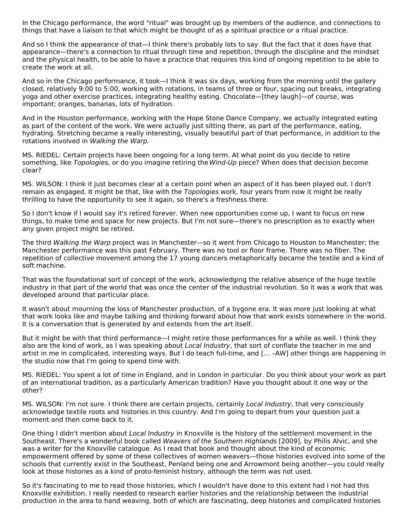In the Chicago performance, the word "ritual" was brought up by members of the audience, and connections to things that have a liaison to that which might be thought of as a spiritual practice or a ritual practice.

And so I think the appearance of that—I think there's probably lots to say. But the fact that it does have that appearance—there's a connection to ritual through time and repetition, through the discipline and the mindset and the physical health, to be able to have a practice that requires this kind of ongoing repetition to be able to create the work at all.

And so in the Chicago performance, it took—I think it was six days, working from the morning until the gallery closed, relatively 9:00 to 5:00, working with rotations, in teams of three or four, spacing out breaks, integrating yoga and other exercise practices, integrating healthy eating. Chocolate—[they laugh]—of course, was important; oranges, bananas, lots of hydration.

And in the Houston performance, working with the Hope Stone Dance Company, we actually integrated eating as part of the content of the work. We were actually just sitting there, as part of the performance, eating, hydrating. Stretching became a really interesting, visually beautiful part of that performance, in addition to the rotations involved in Walking the Warp.

MS. RIEDEL: Certain projects have been ongoing for a long term. At what point do you decide to retire something, like Topologies, or do you imagine retiring the Wind-Up piece? When does that decision become clear?

MS. WILSON: I think it just becomes clear at a certain point when an aspect of it has been played out. I don't remain as engaged. It might be that, like with the Topologies work, four years from now it might be really thrilling to have the opportunity to see it again, so there's a freshness there.

So I don't know if I would say it's retired forever. When new opportunities come up, I want to focus on new things, to make time and space for new projects. But I'm not sure—there's no prescription as to exactly when any given project might be retired.

The third Walking the Warp project was in Manchester—so it went from Chicago to Houston to Manchester; the Manchester performance was this past February. There was no tool or floor frame. There was no fiber. The repetition of collective movement among the 17 young dancers metaphorically became the textile and a kind of soft machine.

That was the foundational sort of concept of the work, acknowledging the relative absence of the huge textile industry in that part of the world that was once the center of the industrial revolution. So it was a work that was developed around that particular place.

It wasn't about mourning the loss of Manchester production, of a bygone era. It was more just looking at what that work looks like and maybe talking and thinking forward about how that work exists somewhere in the world. It is a conversation that is generated by and extends from the art itself.

But it might be with that third performance—I might retire those performances for a while as well. I think they also are the kind of work, as I was speaking about Local Industry, that sort of conflate the teacher in me and artist in me in complicated, interesting ways. But I do teach full-time, and [… –AW] other things are happening in the studio now that I'm going to spend time with.

MS. RIEDEL: You spent a lot of time in England, and in London in particular. Do you think about your work as part of an international tradition, as a particularly American tradition? Have you thought about it one way or the other?

MS. WILSON: I'm not sure. I think there are certain projects, certainly Local Industry, that very consciously acknowledge textile roots and histories in this country. And I'm going to depart from your question just a moment and then come back to it.

One thing I didn't mention about Local Industry in Knoxville is the history of the settlement movement in the Southeast. There's a wonderful book called Weavers of the Southern Highlands [2009], by Philis Alvic, and she was a writer for the Knoxville catalogue. As I read that book and thought about the kind of economic empowerment offered by some of these collectives of women weavers—those histories evolved into some of the schools that currently exist in the Southeast, Penland being one and Arrowmont being another—you could really look at those histories as a kind of proto-feminist history, although the term was not used.

So it's fascinating to me to read those histories, which I wouldn't have done to this extent had I not had this Knoxville exhibition. I really needed to research earlier histories and the relationship between the industrial production in the area to hand weaving, both of which are fascinating, deep histories and complicated histories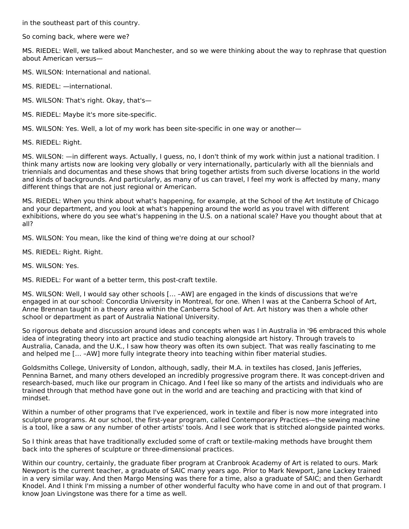in the southeast part of this country.

So coming back, where were we?

MS. RIEDEL: Well, we talked about Manchester, and so we were thinking about the way to rephrase that question about American versus—

MS. WILSON: International and national.

MS. RIEDEL: —international.

MS. WILSON: That's right. Okay, that's—

MS. RIEDEL: Maybe it's more site-specific.

MS. WILSON: Yes. Well, a lot of my work has been site-specific in one way or another—

MS. RIEDEL: Right.

MS. WILSON: —in different ways. Actually, I guess, no, I don't think of my work within just a national tradition. I think many artists now are looking very globally or very internationally, particularly with all the biennials and triennials and documentas and these shows that bring together artists from such diverse locations in the world and kinds of backgrounds. And particularly, as many of us can travel, I feel my work is affected by many, many different things that are not just regional or American.

MS. RIEDEL: When you think about what's happening, for example, at the School of the Art Institute of Chicago and your department, and you look at what's happening around the world as you travel with different exhibitions, where do you see what's happening in the U.S. on a national scale? Have you thought about that at all?

MS. WILSON: You mean, like the kind of thing we're doing at our school?

MS. RIEDEL: Right. Right.

MS. WILSON: Yes.

MS. RIEDEL: For want of a better term, this post-craft textile.

MS. WILSON: Well, I would say other schools [… –AW] are engaged in the kinds of discussions that we're engaged in at our school: Concordia University in Montreal, for one. When I was at the Canberra School of Art, Anne Brennan taught in a theory area within the Canberra School of Art. Art history was then a whole other school or department as part of Australia National University.

So rigorous debate and discussion around ideas and concepts when was I in Australia in '96 embraced this whole idea of integrating theory into art practice and studio teaching alongside art history. Through travels to Australia, Canada, and the U.K., I saw how theory was often its own subject. That was really fascinating to me and helped me [… –AW] more fully integrate theory into teaching within fiber material studies.

Goldsmiths College, University of London, although, sadly, their M.A. in textiles has closed, Janis Jefferies, Pennina Barnet, and many others developed an incredibly progressive program there. It was concept-driven and research-based, much like our program in Chicago. And I feel like so many of the artists and individuals who are trained through that method have gone out in the world and are teaching and practicing with that kind of mindset.

Within a number of other programs that I've experienced, work in textile and fiber is now more integrated into sculpture programs. At our school, the first-year program, called Contemporary Practices—the sewing machine is a tool, like a saw or any number of other artists' tools. And I see work that is stitched alongside painted works.

So I think areas that have traditionally excluded some of craft or textile-making methods have brought them back into the spheres of sculpture or three-dimensional practices.

Within our country, certainly, the graduate fiber program at Cranbrook Academy of Art is related to ours. Mark Newport is the current teacher, a graduate of SAIC many years ago. Prior to Mark Newport, Jane Lackey trained in a very similar way. And then Margo Mensing was there for a time, also a graduate of SAIC; and then Gerhardt Knodel. And I think I'm missing a number of other wonderful faculty who have come in and out of that program. I know Joan Livingstone was there for a time as well.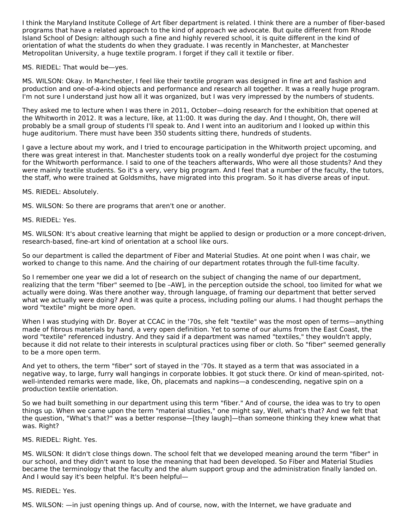I think the Maryland Institute College of Art fiber department is related. I think there are a number of fiber-based programs that have a related approach to the kind of approach we advocate. But quite different from Rhode Island School of Design: although such a fine and highly revered school, it is quite different in the kind of orientation of what the students do when they graduate. I was recently in Manchester, at Manchester Metropolitan University, a huge textile program. I forget if they call it textile or fiber.

MS. RIEDEL: That would be—yes.

MS. WILSON: Okay. In Manchester, I feel like their textile program was designed in fine art and fashion and production and one-of-a-kind objects and performance and research all together. It was a really huge program. I'm not sure I understand just how all it was organized, but I was very impressed by the numbers of students.

They asked me to lecture when I was there in 2011, October—doing research for the exhibition that opened at the Whitworth in 2012. It was a lecture, like, at 11:00. It was during the day. And I thought, Oh, there will probably be a small group of students I'll speak to. And I went into an auditorium and I looked up within this huge auditorium. There must have been 350 students sitting there, hundreds of students.

I gave a lecture about my work, and I tried to encourage participation in the Whitworth project upcoming, and there was great interest in that. Manchester students took on a really wonderful dye project for the costuming for the Whitworth performance. I said to one of the teachers afterwards, Who were all those students? And they were mainly textile students. So it's a very, very big program. And I feel that a number of the faculty, the tutors, the staff, who were trained at Goldsmiths, have migrated into this program. So it has diverse areas of input.

MS. RIEDEL: Absolutely.

MS. WILSON: So there are programs that aren't one or another.

#### MS. RIEDEL: Yes.

MS. WILSON: It's about creative learning that might be applied to design or production or a more concept-driven, research-based, fine-art kind of orientation at a school like ours.

So our department is called the department of Fiber and Material Studies. At one point when I was chair, we worked to change to this name. And the chairing of our department rotates through the full-time faculty.

So I remember one year we did a lot of research on the subject of changing the name of our department, realizing that the term "fiber" seemed to [be –AW], in the perception outside the school, too limited for what we actually were doing. Was there another way, through language, of framing our department that better served what we actually were doing? And it was quite a process, including polling our alums. I had thought perhaps the word "textile" might be more open.

When I was studying with Dr. Boyer at CCAC in the '70s, she felt "textile" was the most open of terms—anything made of fibrous materials by hand, a very open definition. Yet to some of our alums from the East Coast, the word "textile" referenced industry. And they said if a department was named "textiles," they wouldn't apply, because it did not relate to their interests in sculptural practices using fiber or cloth. So "fiber" seemed generally to be a more open term.

And yet to others, the term "fiber" sort of stayed in the '70s. It stayed as a term that was associated in a negative way, to large, furry wall hangings in corporate lobbies. It got stuck there. Or kind of mean-spirited, notwell-intended remarks were made, like, Oh, placemats and napkins—a condescending, negative spin on a production textile orientation.

So we had built something in our department using this term "fiber." And of course, the idea was to try to open things up. When we came upon the term "material studies," one might say, Well, what's that? And we felt that the question, "What's that?" was a better response—[they laugh]—than someone thinking they knew what that was. Right?

#### MS. RIEDEL: Right. Yes.

MS. WILSON: It didn't close things down. The school felt that we developed meaning around the term "fiber" in our school, and they didn't want to lose the meaning that had been developed. So Fiber and Material Studies became the terminology that the faculty and the alum support group and the administration finally landed on. And I would say it's been helpful. It's been helpful—

#### MS. RIEDEL: Yes.

MS. WILSON: —in just opening things up. And of course, now, with the Internet, we have graduate and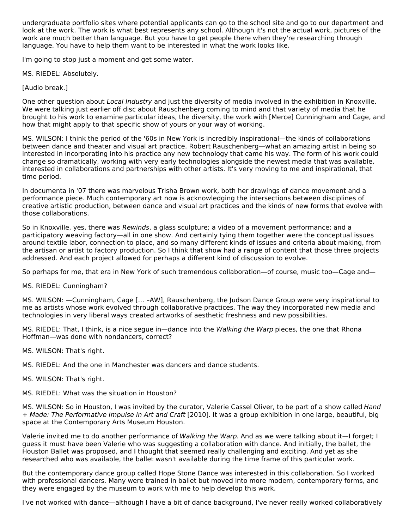undergraduate portfolio sites where potential applicants can go to the school site and go to our department and look at the work. The work is what best represents any school. Although it's not the actual work, pictures of the work are much better than language. But you have to get people there when they're researching through language. You have to help them want to be interested in what the work looks like.

I'm going to stop just a moment and get some water.

MS. RIEDEL: Absolutely.

[Audio break.]

One other question about Local Industry and just the diversity of media involved in the exhibition in Knoxville. We were talking just earlier off disc about Rauschenberg coming to mind and that variety of media that he brought to his work to examine particular ideas, the diversity, the work with [Merce] Cunningham and Cage, and how that might apply to that specific show of yours or your way of working.

MS. WILSON: I think the period of the '60s in New York is incredibly inspirational—the kinds of collaborations between dance and theater and visual art practice. Robert Rauschenberg—what an amazing artist in being so interested in incorporating into his practice any new technology that came his way. The form of his work could change so dramatically, working with very early technologies alongside the newest media that was available, interested in collaborations and partnerships with other artists. It's very moving to me and inspirational, that time period.

In documenta in '07 there was marvelous Trisha Brown work, both her drawings of dance movement and a performance piece. Much contemporary art now is acknowledging the intersections between disciplines of creative artistic production, between dance and visual art practices and the kinds of new forms that evolve with those collaborations.

So in Knoxville, yes, there was Rewinds, a glass sculpture; a video of a movement performance; and a participatory weaving factory—all in one show. And certainly tying them together were the conceptual issues around textile labor, connection to place, and so many different kinds of issues and criteria about making, from the artisan or artist to factory production. So I think that show had a range of content that those three projects addressed. And each project allowed for perhaps a different kind of discussion to evolve.

So perhaps for me, that era in New York of such tremendous collaboration—of course, music too—Cage and—

#### MS. RIEDEL: Cunningham?

MS. WILSON: —Cunningham, Cage [… –AW], Rauschenberg, the Judson Dance Group were very inspirational to me as artists whose work evolved through collaborative practices. The way they incorporated new media and technologies in very liberal ways created artworks of aesthetic freshness and new possibilities.

MS. RIEDEL: That, I think, is a nice segue in—dance into the Walking the Warp pieces, the one that Rhona Hoffman—was done with nondancers, correct?

MS. WILSON: That's right.

MS. RIEDEL: And the one in Manchester was dancers and dance students.

- MS. WILSON: That's right.
- MS. RIEDEL: What was the situation in Houston?

MS. WILSON: So in Houston, I was invited by the curator, Valerie Cassel Oliver, to be part of a show called Hand + Made: The Performative Impulse in Art and Craft [2010]. It was a group exhibition in one large, beautiful, big space at the Contemporary Arts Museum Houston.

Valerie invited me to do another performance of Walking the Warp. And as we were talking about it—I forget; I guess it must have been Valerie who was suggesting a collaboration with dance. And initially, the ballet, the Houston Ballet was proposed, and I thought that seemed really challenging and exciting. And yet as she researched who was available, the ballet wasn't available during the time frame of this particular work.

But the contemporary dance group called Hope Stone Dance was interested in this collaboration. So I worked with professional dancers. Many were trained in ballet but moved into more modern, contemporary forms, and they were engaged by the museum to work with me to help develop this work.

I've not worked with dance—although I have a bit of dance background, I've never really worked collaboratively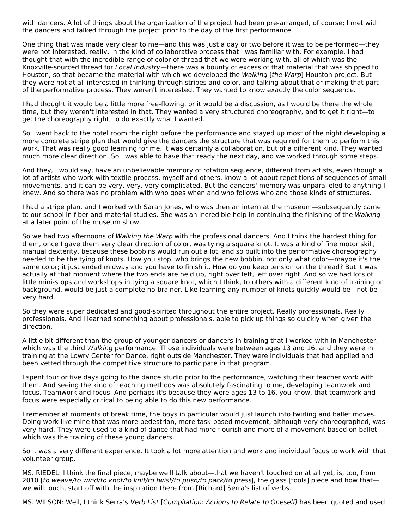with dancers. A lot of things about the organization of the project had been pre-arranged, of course; I met with the dancers and talked through the project prior to the day of the first performance.

One thing that was made very clear to me—and this was just a day or two before it was to be performed—they were not interested, really, in the kind of collaborative process that I was familiar with. For example, I had thought that with the incredible range of color of thread that we were working with, all of which was the Knoxville-sourced thread for Local Industry—there was a bounty of excess of that material that was shipped to Houston, so that became the material with which we developed the Walking [the Warp] Houston project. But they were not at all interested in thinking through stripes and color, and talking about that or making that part of the performative process. They weren't interested. They wanted to know exactly the color sequence.

I had thought it would be a little more free-flowing, or it would be a discussion, as I would be there the whole time, but they weren't interested in that. They wanted a very structured choreography, and to get it right—to get the choreography right, to do exactly what I wanted.

So I went back to the hotel room the night before the performance and stayed up most of the night developing a more concrete stripe plan that would give the dancers the structure that was required for them to perform this work. That was really good learning for me. It was certainly a collaboration, but of a different kind. They wanted much more clear direction. So I was able to have that ready the next day, and we worked through some steps.

And they, I would say, have an unbelievable memory of rotation sequence, different from artists, even though a lot of artists who work with textile process, myself and others, know a lot about repetitions of sequences of small movements, and it can be very, very, very complicated. But the dancers' memory was unparalleled to anything I knew. And so there was no problem with who goes when and who follows who and those kinds of structures.

I had a stripe plan, and I worked with Sarah Jones, who was then an intern at the museum—subsequently came to our school in fiber and material studies. She was an incredible help in continuing the finishing of the Walking at a later point of the museum show.

So we had two afternoons of Walking the Warp with the professional dancers. And I think the hardest thing for them, once I gave them very clear direction of color, was tying a square knot. It was a kind of fine motor skill, manual dexterity, because these bobbins would run out a lot, and so built into the performative choreography needed to be the tying of knots. How you stop, who brings the new bobbin, not only what color—maybe it's the same color; it just ended midway and you have to finish it. How do you keep tension on the thread? But it was actually at that moment where the two ends are held up, right over left, left over right. And so we had lots of little mini-stops and workshops in tying a square knot, which I think, to others with a different kind of training or background, would be just a complete no-brainer. Like learning any number of knots quickly would be—not be very hard.

So they were super dedicated and good-spirited throughout the entire project. Really professionals. Really professionals. And I learned something about professionals, able to pick up things so quickly when given the direction.

A little bit different than the group of younger dancers or dancers-in-training that I worked with in Manchester, which was the third Walking performance. Those individuals were between ages 13 and 16, and they were in training at the Lowry Center for Dance, right outside Manchester. They were individuals that had applied and been vetted through the competitive structure to participate in that program.

I spent four or five days going to the dance studio prior to the performance, watching their teacher work with them. And seeing the kind of teaching methods was absolutely fascinating to me, developing teamwork and focus. Teamwork and focus. And perhaps it's because they were ages 13 to 16, you know, that teamwork and focus were especially critical to being able to do this new performance.

I remember at moments of break time, the boys in particular would just launch into twirling and ballet moves. Doing work like mine that was more pedestrian, more task-based movement, although very choreographed, was very hard. They were used to a kind of dance that had more flourish and more of a movement based on ballet, which was the training of these young dancers.

So it was a very different experience. It took a lot more attention and work and individual focus to work with that volunteer group.

MS. RIEDEL: I think the final piece, maybe we'll talk about—that we haven't touched on at all yet, is, too, from 2010 [to weave/to wind/to knot/to knit/to twist/to push/to pack/to press], the glass [tools] piece and how thatwe will touch, start off with the inspiration there from [Richard] Serra's list of verbs.

MS. WILSON: Well, I think Serra's Verb List [Compilation: Actions to Relate to Oneself] has been quoted and used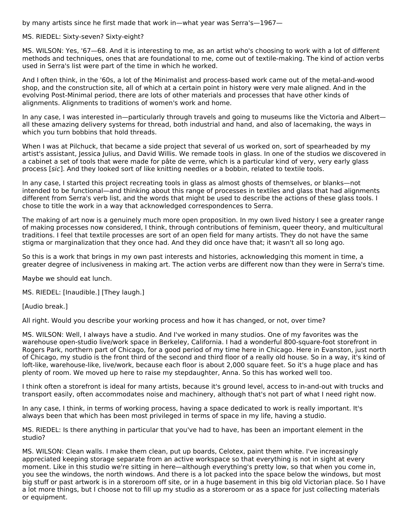by many artists since he first made that work in—what year was Serra's—1967—

#### MS. RIEDEL: Sixty-seven? Sixty-eight?

MS. WILSON: Yes, '67—68. And it is interesting to me, as an artist who's choosing to work with a lot of different methods and techniques, ones that are foundational to me, come out of textile-making. The kind of action verbs used in Serra's list were part of the time in which he worked.

And I often think, in the '60s, a lot of the Minimalist and process-based work came out of the metal-and-wood shop, and the construction site, all of which at a certain point in history were very male aligned. And in the evolving Post-Minimal period, there are lots of other materials and processes that have other kinds of alignments. Alignments to traditions of women's work and home.

In any case, I was interested in—particularly through travels and going to museums like the Victoria and Albert all these amazing delivery systems for thread, both industrial and hand, and also of lacemaking, the ways in which you turn bobbins that hold threads.

When I was at Pilchuck, that became a side project that several of us worked on, sort of spearheaded by my artist's assistant, Jessica Julius, and David Willis. We remade tools in glass. In one of the studios we discovered in a cabinet a set of tools that were made for pâte de verre, which is a particular kind of very, very early glass process [sic]. And they looked sort of like knitting needles or a bobbin, related to textile tools.

In any case, I started this project recreating tools in glass as almost ghosts of themselves, or blanks—not intended to be functional—and thinking about this range of processes in textiles and glass that had alignments different from Serra's verb list, and the words that might be used to describe the actions of these glass tools. I chose to title the work in a way that acknowledged correspondences to Serra.

The making of art now is a genuinely much more open proposition. In my own lived history I see a greater range of making processes now considered, I think, through contributions of feminism, queer theory, and multicultural traditions. I feel that textile processes are sort of an open field for many artists. They do not have the same stigma or marginalization that they once had. And they did once have that; it wasn't all so long ago.

So this is a work that brings in my own past interests and histories, acknowledging this moment in time, a greater degree of inclusiveness in making art. The action verbs are different now than they were in Serra's time.

Maybe we should eat lunch.

MS. RIEDEL: [Inaudible.] [They laugh.]

[Audio break.]

All right. Would you describe your working process and how it has changed, or not, over time?

MS. WILSON: Well, I always have a studio. And I've worked in many studios. One of my favorites was the warehouse open-studio live/work space in Berkeley, California. I had a wonderful 800-square-foot storefront in Rogers Park, northern part of Chicago, for a good period of my time here in Chicago. Here in Evanston, just north of Chicago, my studio is the front third of the second and third floor of a really old house. So in a way, it's kind of loft-like, warehouse-like, live/work, because each floor is about 2,000 square feet. So it's a huge place and has plenty of room. We moved up here to raise my stepdaughter, Anna. So this has worked well too.

I think often a storefront is ideal for many artists, because it's ground level, access to in-and-out with trucks and transport easily, often accommodates noise and machinery, although that's not part of what I need right now.

In any case, I think, in terms of working process, having a space dedicated to work is really important. It's always been that which has been most privileged in terms of space in my life, having a studio.

MS. RIEDEL: Is there anything in particular that you've had to have, has been an important element in the studio?

MS. WILSON: Clean walls. I make them clean, put up boards, Celotex, paint them white. I've increasingly appreciated keeping storage separate from an active workspace so that everything is not in sight at every moment. Like in this studio we're sitting in here—although everything's pretty low, so that when you come in, you see the windows, the north windows. And there is a lot packed into the space below the windows, but most big stuff or past artwork is in a storeroom off site, or in a huge basement in this big old Victorian place. So I have a lot more things, but I choose not to fill up my studio as a storeroom or as a space for just collecting materials or equipment.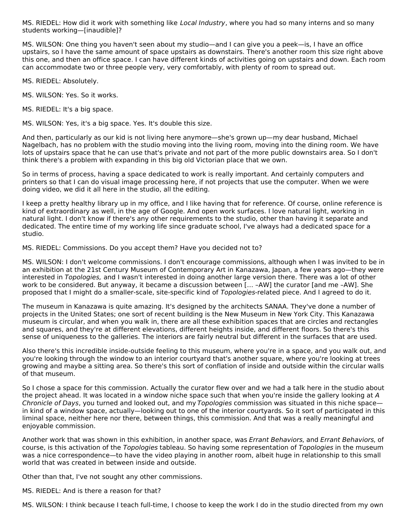MS. RIEDEL: How did it work with something like *Local Industry*, where you had so many interns and so many students working—[inaudible]?

MS. WILSON: One thing you haven't seen about my studio—and I can give you a peek—is, I have an office upstairs, so I have the same amount of space upstairs as downstairs. There's another room this size right above this one, and then an office space. I can have different kinds of activities going on upstairs and down. Each room can accommodate two or three people very, very comfortably, with plenty of room to spread out.

MS. RIEDEL: Absolutely.

MS. WILSON: Yes. So it works.

MS. RIEDEL: It's a big space.

MS. WILSON: Yes, it's a big space. Yes. It's double this size.

And then, particularly as our kid is not living here anymore—she's grown up—my dear husband, Michael Nagelbach, has no problem with the studio moving into the living room, moving into the dining room. We have lots of upstairs space that he can use that's private and not part of the more public downstairs area. So I don't think there's a problem with expanding in this big old Victorian place that we own.

So in terms of process, having a space dedicated to work is really important. And certainly computers and printers so that I can do visual image processing here, if not projects that use the computer. When we were doing video, we did it all here in the studio, all the editing.

I keep a pretty healthy library up in my office, and I like having that for reference. Of course, online reference is kind of extraordinary as well, in the age of Google. And open work surfaces. I love natural light, working in natural light. I don't know if there's any other requirements to the studio, other than having it separate and dedicated. The entire time of my working life since graduate school, I've always had a dedicated space for a studio.

MS. RIEDEL: Commissions. Do you accept them? Have you decided not to?

MS. WILSON: I don't welcome commissions. I don't encourage commissions, although when I was invited to be in an exhibition at the 21st Century Museum of Contemporary Art in Kanazawa, Japan, a few years ago—they were interested in Topologies, and I wasn't interested in doing another large version there. There was a lot of other work to be considered. But anyway, it became a discussion between [… –AW] the curator [and me –AW]. She proposed that I might do a smaller-scale, site-specific kind of Topologies-related piece. And I agreed to do it.

The museum in Kanazawa is quite amazing. It's designed by the architects SANAA. They've done a number of projects in the United States; one sort of recent building is the New Museum in New York City. This Kanazawa museum is circular, and when you walk in, there are all these exhibition spaces that are circles and rectangles and squares, and they're at different elevations, different heights inside, and different floors. So there's this sense of uniqueness to the galleries. The interiors are fairly neutral but different in the surfaces that are used.

Also there's this incredible inside-outside feeling to this museum, where you're in a space, and you walk out, and you're looking through the window to an interior courtyard that's another square, where you're looking at trees growing and maybe a sitting area. So there's this sort of conflation of inside and outside within the circular walls of that museum.

So I chose a space for this commission. Actually the curator flew over and we had a talk here in the studio about the project ahead. It was located in a window niche space such that when you're inside the gallery looking at A Chronicle of Days, you turned and looked out, and my Topologies commission was situated in this niche space in kind of a window space, actually—looking out to one of the interior courtyards. So it sort of participated in this liminal space, neither here nor there, between things, this commission. And that was a really meaningful and enjoyable commission.

Another work that was shown in this exhibition, in another space, was Errant Behaviors, and Errant Behaviors, of course, is this activation of the Topologies tableau. So having some representation of Topologies in the museum was a nice correspondence—to have the video playing in another room, albeit huge in relationship to this small world that was created in between inside and outside.

Other than that, I've not sought any other commissions.

MS. RIEDEL: And is there a reason for that?

MS. WILSON: I think because I teach full-time, I choose to keep the work I do in the studio directed from my own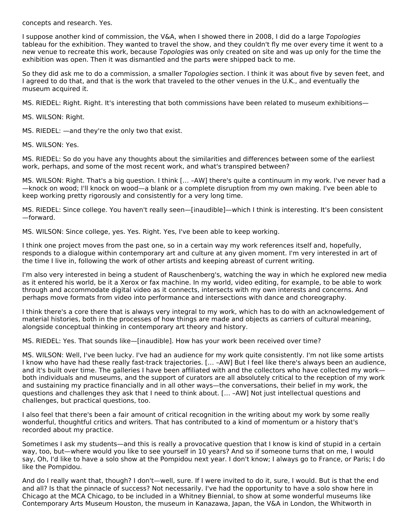concepts and research. Yes.

I suppose another kind of commission, the V&A, when I showed there in 2008, I did do a large Topologies tableau for the exhibition. They wanted to travel the show, and they couldn't fly me over every time it went to a new venue to recreate this work, because Topologies was only created on site and was up only for the time the exhibition was open. Then it was dismantled and the parts were shipped back to me.

So they did ask me to do a commission, a smaller Topologies section. I think it was about five by seven feet, and I agreed to do that, and that is the work that traveled to the other venues in the U.K., and eventually the museum acquired it.

MS. RIEDEL: Right. Right. It's interesting that both commissions have been related to museum exhibitions—

MS. WILSON: Right.

MS. RIEDEL: —and they're the only two that exist.

MS. WILSON: Yes.

MS. RIEDEL: So do you have any thoughts about the similarities and differences between some of the earliest work, perhaps, and some of the most recent work, and what's transpired between?

MS. WILSON: Right. That's a big question. I think [… –AW] there's quite a continuum in my work. I've never had a —knock on wood; I'll knock on wood—a blank or a complete disruption from my own making. I've been able to keep working pretty rigorously and consistently for a very long time.

MS. RIEDEL: Since college. You haven't really seen—[inaudible]—which I think is interesting. It's been consistent —forward.

MS. WILSON: Since college, yes. Yes. Right. Yes, I've been able to keep working.

I think one project moves from the past one, so in a certain way my work references itself and, hopefully, responds to a dialogue within contemporary art and culture at any given moment. I'm very interested in art of the time I live in, following the work of other artists and keeping abreast of current writing.

I'm also very interested in being a student of Rauschenberg's, watching the way in which he explored new media as it entered his world, be it a Xerox or fax machine. In my world, video editing, for example, to be able to work through and accommodate digital video as it connects, intersects with my own interests and concerns. And perhaps move formats from video into performance and intersections with dance and choreography.

I think there's a core there that is always very integral to my work, which has to do with an acknowledgement of material histories, both in the processes of how things are made and objects as carriers of cultural meaning, alongside conceptual thinking in contemporary art theory and history.

MS. RIEDEL: Yes. That sounds like—[inaudible]. How has your work been received over time?

MS. WILSON: Well, I've been lucky. I've had an audience for my work quite consistently. I'm not like some artists I know who have had these really fast-track trajectories. [… –AW] But I feel like there's always been an audience, and it's built over time. The galleries I have been affiliated with and the collectors who have collected my work both individuals and museums, and the support of curators are all absolutely critical to the reception of my work and sustaining my practice financially and in all other ways—the conversations, their belief in my work, the questions and challenges they ask that I need to think about. [… –AW] Not just intellectual questions and challenges, but practical questions, too.

I also feel that there's been a fair amount of critical recognition in the writing about my work by some really wonderful, thoughtful critics and writers. That has contributed to a kind of momentum or a history that's recorded about my practice.

Sometimes I ask my students—and this is really a provocative question that I know is kind of stupid in a certain way, too, but—where would you like to see yourself in 10 years? And so if someone turns that on me, I would say, Oh, I'd like to have a solo show at the Pompidou next year. I don't know; I always go to France, or Paris; I do like the Pompidou.

And do I really want that, though? I don't—well, sure. If I were invited to do it, sure, I would. But is that the end and all? Is that the pinnacle of success? Not necessarily. I've had the opportunity to have a solo show here in Chicago at the MCA Chicago, to be included in a Whitney Biennial, to show at some wonderful museums like Contemporary Arts Museum Houston, the museum in Kanazawa, Japan, the V&A in London, the Whitworth in